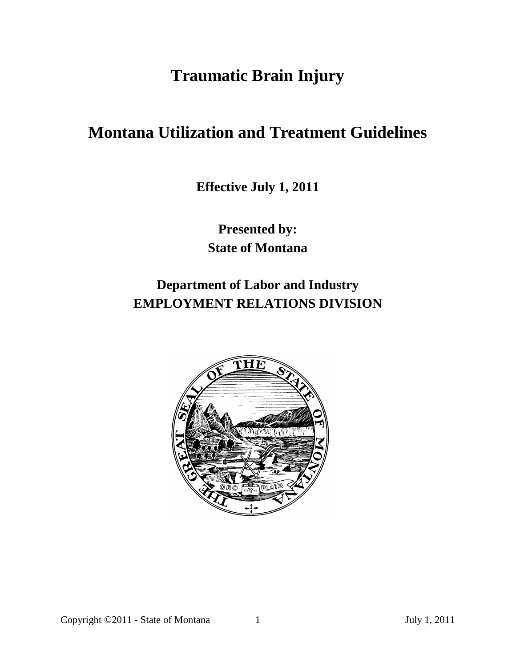# **Traumatic Brain Injury**

# **Montana Utilization and Treatment Guidelines**

**Effective July 1, 2011**

**Presented by: State of Montana**

# **Department of Labor and Industry EMPLOYMENT RELATIONS DIVISION**

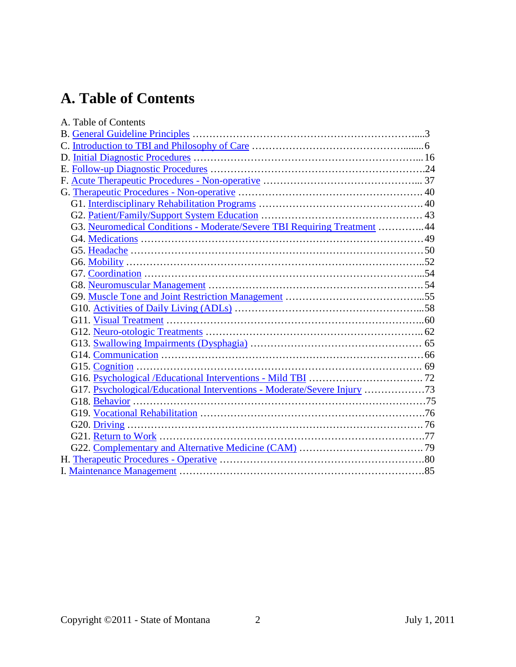# **A. Table of Contents**

| A. Table of Contents                                                      |  |
|---------------------------------------------------------------------------|--|
|                                                                           |  |
|                                                                           |  |
|                                                                           |  |
|                                                                           |  |
|                                                                           |  |
|                                                                           |  |
|                                                                           |  |
|                                                                           |  |
| G3. Neuromedical Conditions - Moderate/Severe TBI Requiring Treatment  44 |  |
|                                                                           |  |
|                                                                           |  |
|                                                                           |  |
|                                                                           |  |
|                                                                           |  |
|                                                                           |  |
|                                                                           |  |
|                                                                           |  |
|                                                                           |  |
|                                                                           |  |
|                                                                           |  |
|                                                                           |  |
|                                                                           |  |
| G17. Psychological/Educational Interventions - Moderate/Severe Injury 73  |  |
|                                                                           |  |
|                                                                           |  |
|                                                                           |  |
|                                                                           |  |
|                                                                           |  |
|                                                                           |  |
|                                                                           |  |
|                                                                           |  |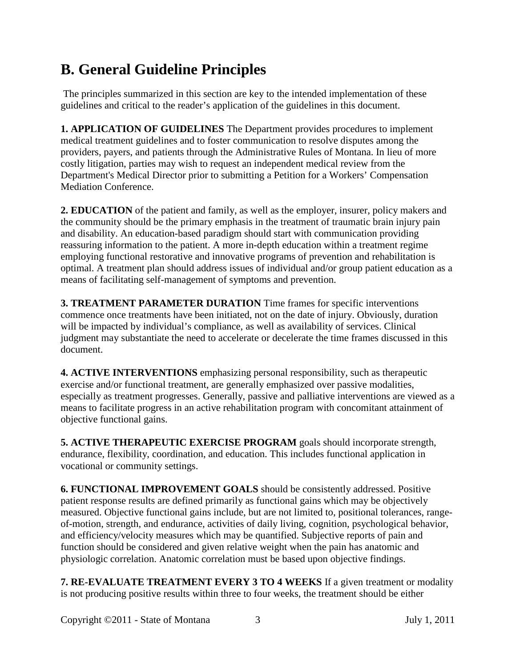# <span id="page-2-0"></span>**B. General Guideline Principles**

The principles summarized in this section are key to the intended implementation of these guidelines and critical to the reader's application of the guidelines in this document.

**1. APPLICATION OF GUIDELINES** The Department provides procedures to implement medical treatment guidelines and to foster communication to resolve disputes among the providers, payers, and patients through the Administrative Rules of Montana. In lieu of more costly litigation, parties may wish to request an independent medical review from the Department's Medical Director prior to submitting a Petition for a Workers' Compensation Mediation Conference.

**2. EDUCATION** of the patient and family, as well as the employer, insurer, policy makers and the community should be the primary emphasis in the treatment of traumatic brain injury pain and disability. An education-based paradigm should start with communication providing reassuring information to the patient. A more in-depth education within a treatment regime employing functional restorative and innovative programs of prevention and rehabilitation is optimal. A treatment plan should address issues of individual and/or group patient education as a means of facilitating self-management of symptoms and prevention.

**3. TREATMENT PARAMETER DURATION** Time frames for specific interventions commence once treatments have been initiated, not on the date of injury. Obviously, duration will be impacted by individual's compliance, as well as availability of services. Clinical judgment may substantiate the need to accelerate or decelerate the time frames discussed in this document.

**4. ACTIVE INTERVENTIONS** emphasizing personal responsibility, such as therapeutic exercise and/or functional treatment, are generally emphasized over passive modalities, especially as treatment progresses. Generally, passive and palliative interventions are viewed as a means to facilitate progress in an active rehabilitation program with concomitant attainment of objective functional gains.

**5. ACTIVE THERAPEUTIC EXERCISE PROGRAM** goals should incorporate strength, endurance, flexibility, coordination, and education. This includes functional application in vocational or community settings.

**6. FUNCTIONAL IMPROVEMENT GOALS** should be consistently addressed. Positive patient response results are defined primarily as functional gains which may be objectively measured. Objective functional gains include, but are not limited to, positional tolerances, rangeof-motion, strength, and endurance, activities of daily living, cognition, psychological behavior, and efficiency/velocity measures which may be quantified. Subjective reports of pain and function should be considered and given relative weight when the pain has anatomic and physiologic correlation. Anatomic correlation must be based upon objective findings.

**7. RE-EVALUATE TREATMENT EVERY 3 TO 4 WEEKS** If a given treatment or modality is not producing positive results within three to four weeks, the treatment should be either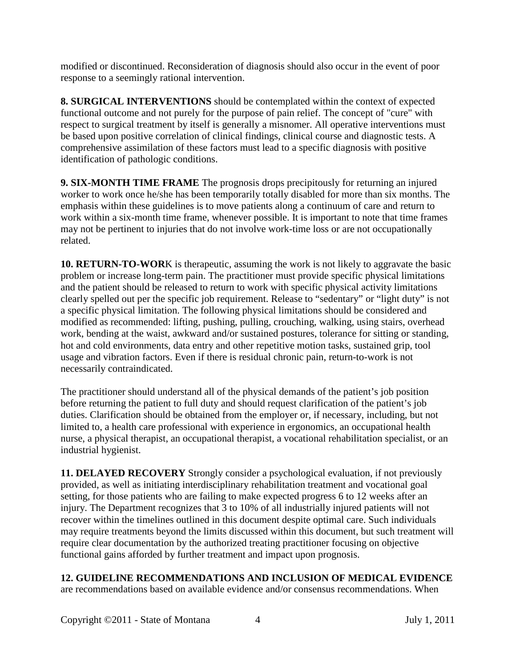modified or discontinued. Reconsideration of diagnosis should also occur in the event of poor response to a seemingly rational intervention.

**8. SURGICAL INTERVENTIONS** should be contemplated within the context of expected functional outcome and not purely for the purpose of pain relief. The concept of "cure" with respect to surgical treatment by itself is generally a misnomer. All operative interventions must be based upon positive correlation of clinical findings, clinical course and diagnostic tests. A comprehensive assimilation of these factors must lead to a specific diagnosis with positive identification of pathologic conditions.

**9. SIX-MONTH TIME FRAME** The prognosis drops precipitously for returning an injured worker to work once he/she has been temporarily totally disabled for more than six months. The emphasis within these guidelines is to move patients along a continuum of care and return to work within a six-month time frame, whenever possible. It is important to note that time frames may not be pertinent to injuries that do not involve work-time loss or are not occupationally related.

**10. RETURN-TO-WOR**K is therapeutic, assuming the work is not likely to aggravate the basic problem or increase long-term pain. The practitioner must provide specific physical limitations and the patient should be released to return to work with specific physical activity limitations clearly spelled out per the specific job requirement. Release to "sedentary" or "light duty" is not a specific physical limitation. The following physical limitations should be considered and modified as recommended: lifting, pushing, pulling, crouching, walking, using stairs, overhead work, bending at the waist, awkward and/or sustained postures, tolerance for sitting or standing, hot and cold environments, data entry and other repetitive motion tasks, sustained grip, tool usage and vibration factors. Even if there is residual chronic pain, return-to-work is not necessarily contraindicated.

The practitioner should understand all of the physical demands of the patient's job position before returning the patient to full duty and should request clarification of the patient's job duties. Clarification should be obtained from the employer or, if necessary, including, but not limited to, a health care professional with experience in ergonomics, an occupational health nurse, a physical therapist, an occupational therapist, a vocational rehabilitation specialist, or an industrial hygienist.

**11. DELAYED RECOVERY** Strongly consider a psychological evaluation, if not previously provided, as well as initiating interdisciplinary rehabilitation treatment and vocational goal setting, for those patients who are failing to make expected progress 6 to 12 weeks after an injury. The Department recognizes that 3 to 10% of all industrially injured patients will not recover within the timelines outlined in this document despite optimal care. Such individuals may require treatments beyond the limits discussed within this document, but such treatment will require clear documentation by the authorized treating practitioner focusing on objective functional gains afforded by further treatment and impact upon prognosis.

**12. GUIDELINE RECOMMENDATIONS AND INCLUSION OF MEDICAL EVIDENCE**

are recommendations based on available evidence and/or consensus recommendations. When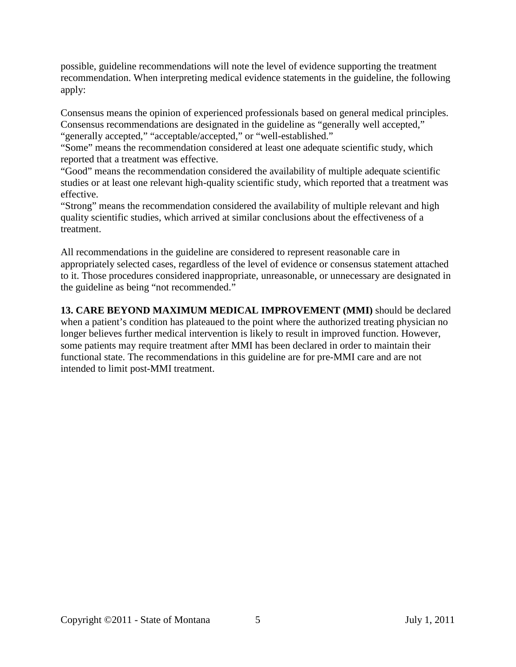possible, guideline recommendations will note the level of evidence supporting the treatment recommendation. When interpreting medical evidence statements in the guideline, the following apply:

Consensus means the opinion of experienced professionals based on general medical principles. Consensus recommendations are designated in the guideline as "generally well accepted," "generally accepted," "acceptable/accepted," or "well-established."

"Some" means the recommendation considered at least one adequate scientific study, which reported that a treatment was effective.

"Good" means the recommendation considered the availability of multiple adequate scientific studies or at least one relevant high-quality scientific study, which reported that a treatment was effective.

"Strong" means the recommendation considered the availability of multiple relevant and high quality scientific studies, which arrived at similar conclusions about the effectiveness of a treatment.

All recommendations in the guideline are considered to represent reasonable care in appropriately selected cases, regardless of the level of evidence or consensus statement attached to it. Those procedures considered inappropriate, unreasonable, or unnecessary are designated in the guideline as being "not recommended."

**13. CARE BEYOND MAXIMUM MEDICAL IMPROVEMENT (MMI)** should be declared when a patient's condition has plateaued to the point where the authorized treating physician no longer believes further medical intervention is likely to result in improved function. However, some patients may require treatment after MMI has been declared in order to maintain their functional state. The recommendations in this guideline are for pre-MMI care and are not intended to limit post-MMI treatment.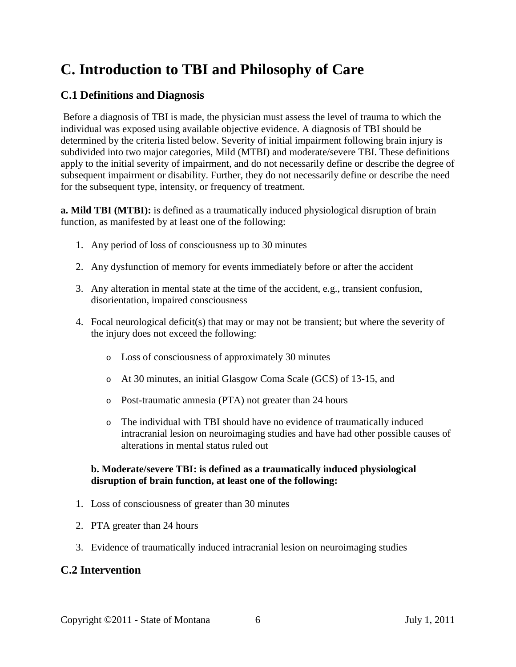# <span id="page-5-0"></span>**C. Introduction to TBI and Philosophy of Care**

### **C.1 Definitions and Diagnosis**

Before a diagnosis of TBI is made, the physician must assess the level of trauma to which the individual was exposed using available objective evidence. A diagnosis of TBI should be determined by the criteria listed below. Severity of initial impairment following brain injury is subdivided into two major categories, Mild (MTBI) and moderate/severe TBI. These definitions apply to the initial severity of impairment, and do not necessarily define or describe the degree of subsequent impairment or disability. Further, they do not necessarily define or describe the need for the subsequent type, intensity, or frequency of treatment.

**a. Mild TBI (MTBI):** is defined as a traumatically induced physiological disruption of brain function, as manifested by at least one of the following:

- 1. Any period of loss of consciousness up to 30 minutes
- 2. Any dysfunction of memory for events immediately before or after the accident
- 3. Any alteration in mental state at the time of the accident, e.g., transient confusion, disorientation, impaired consciousness
- 4. Focal neurological deficit(s) that may or may not be transient; but where the severity of the injury does not exceed the following:
	- o Loss of consciousness of approximately 30 minutes
	- o At 30 minutes, an initial Glasgow Coma Scale (GCS) of 13-15, and
	- o Post-traumatic amnesia (PTA) not greater than 24 hours
	- o The individual with TBI should have no evidence of traumatically induced intracranial lesion on neuroimaging studies and have had other possible causes of alterations in mental status ruled out

#### **b. Moderate/severe TBI: is defined as a traumatically induced physiological disruption of brain function, at least one of the following:**

- 1. Loss of consciousness of greater than 30 minutes
- 2. PTA greater than 24 hours
- 3. Evidence of traumatically induced intracranial lesion on neuroimaging studies

#### **C.2 Intervention**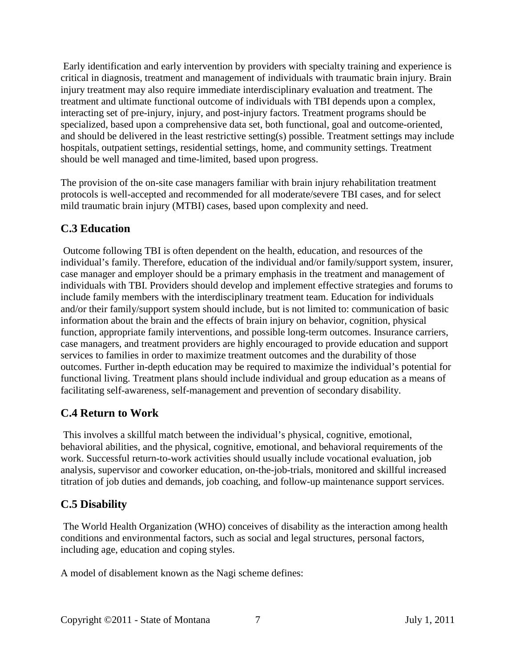Early identification and early intervention by providers with specialty training and experience is critical in diagnosis, treatment and management of individuals with traumatic brain injury. Brain injury treatment may also require immediate interdisciplinary evaluation and treatment. The treatment and ultimate functional outcome of individuals with TBI depends upon a complex, interacting set of pre-injury, injury, and post-injury factors. Treatment programs should be specialized, based upon a comprehensive data set, both functional, goal and outcome-oriented, and should be delivered in the least restrictive setting(s) possible. Treatment settings may include hospitals, outpatient settings, residential settings, home, and community settings. Treatment should be well managed and time-limited, based upon progress.

The provision of the on-site case managers familiar with brain injury rehabilitation treatment protocols is well-accepted and recommended for all moderate/severe TBI cases, and for select mild traumatic brain injury (MTBI) cases, based upon complexity and need.

# **C.3 Education**

Outcome following TBI is often dependent on the health, education, and resources of the individual's family. Therefore, education of the individual and/or family/support system, insurer, case manager and employer should be a primary emphasis in the treatment and management of individuals with TBI. Providers should develop and implement effective strategies and forums to include family members with the interdisciplinary treatment team. Education for individuals and/or their family/support system should include, but is not limited to: communication of basic information about the brain and the effects of brain injury on behavior, cognition, physical function, appropriate family interventions, and possible long-term outcomes. Insurance carriers, case managers, and treatment providers are highly encouraged to provide education and support services to families in order to maximize treatment outcomes and the durability of those outcomes. Further in-depth education may be required to maximize the individual's potential for functional living. Treatment plans should include individual and group education as a means of facilitating self-awareness, self-management and prevention of secondary disability.

# **C.4 Return to Work**

This involves a skillful match between the individual's physical, cognitive, emotional, behavioral abilities, and the physical, cognitive, emotional, and behavioral requirements of the work. Successful return-to-work activities should usually include vocational evaluation, job analysis, supervisor and coworker education, on-the-job-trials, monitored and skillful increased titration of job duties and demands, job coaching, and follow-up maintenance support services.

# **C.5 Disability**

The World Health Organization (WHO) conceives of disability as the interaction among health conditions and environmental factors, such as social and legal structures, personal factors, including age, education and coping styles.

A model of disablement known as the Nagi scheme defines: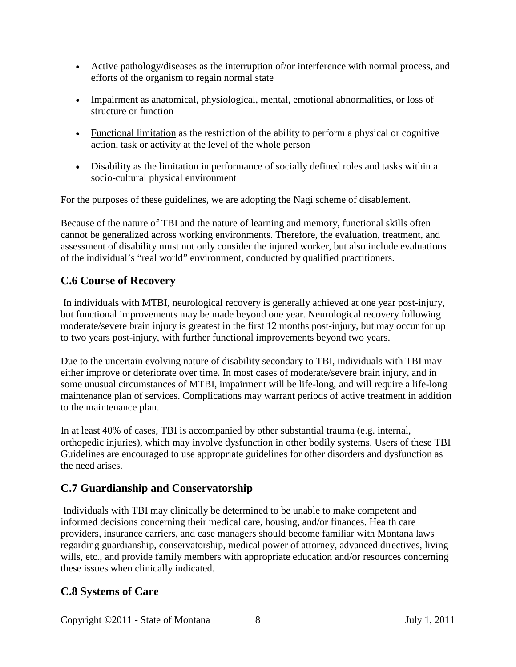- Active pathology/diseases as the interruption of/or interference with normal process, and efforts of the organism to regain normal state
- Impairment as anatomical, physiological, mental, emotional abnormalities, or loss of structure or function
- Functional limitation as the restriction of the ability to perform a physical or cognitive action, task or activity at the level of the whole person
- Disability as the limitation in performance of socially defined roles and tasks within a socio-cultural physical environment

For the purposes of these guidelines, we are adopting the Nagi scheme of disablement.

Because of the nature of TBI and the nature of learning and memory, functional skills often cannot be generalized across working environments. Therefore, the evaluation, treatment, and assessment of disability must not only consider the injured worker, but also include evaluations of the individual's "real world" environment, conducted by qualified practitioners.

# **C.6 Course of Recovery**

In individuals with MTBI, neurological recovery is generally achieved at one year post-injury, but functional improvements may be made beyond one year. Neurological recovery following moderate/severe brain injury is greatest in the first 12 months post-injury, but may occur for up to two years post-injury, with further functional improvements beyond two years.

Due to the uncertain evolving nature of disability secondary to TBI, individuals with TBI may either improve or deteriorate over time. In most cases of moderate/severe brain injury, and in some unusual circumstances of MTBI, impairment will be life-long, and will require a life-long maintenance plan of services. Complications may warrant periods of active treatment in addition to the maintenance plan.

In at least 40% of cases, TBI is accompanied by other substantial trauma (e.g. internal, orthopedic injuries), which may involve dysfunction in other bodily systems. Users of these TBI Guidelines are encouraged to use appropriate guidelines for other disorders and dysfunction as the need arises.

# **C.7 Guardianship and Conservatorship**

Individuals with TBI may clinically be determined to be unable to make competent and informed decisions concerning their medical care, housing, and/or finances. Health care providers, insurance carriers, and case managers should become familiar with Montana laws regarding guardianship, conservatorship, medical power of attorney, advanced directives, living wills, etc., and provide family members with appropriate education and/or resources concerning these issues when clinically indicated.

# **C.8 Systems of Care**

Copyright ©2011 - State of Montana 8 July 1, 2011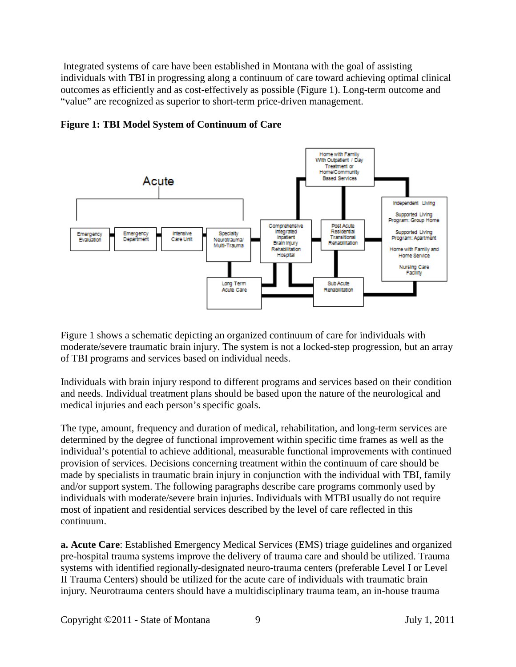Integrated systems of care have been established in Montana with the goal of assisting individuals with TBI in progressing along a continuum of care toward achieving optimal clinical outcomes as efficiently and as cost-effectively as possible (Figure 1). Long-term outcome and "value" are recognized as superior to short-term price-driven management.



#### **Figure 1: TBI Model System of Continuum of Care**

Figure 1 shows a schematic depicting an organized continuum of care for individuals with moderate/severe traumatic brain injury. The system is not a locked-step progression, but an array of TBI programs and services based on individual needs.

Individuals with brain injury respond to different programs and services based on their condition and needs. Individual treatment plans should be based upon the nature of the neurological and medical injuries and each person's specific goals.

The type, amount, frequency and duration of medical, rehabilitation, and long-term services are determined by the degree of functional improvement within specific time frames as well as the individual's potential to achieve additional, measurable functional improvements with continued provision of services. Decisions concerning treatment within the continuum of care should be made by specialists in traumatic brain injury in conjunction with the individual with TBI, family and/or support system. The following paragraphs describe care programs commonly used by individuals with moderate/severe brain injuries. Individuals with MTBI usually do not require most of inpatient and residential services described by the level of care reflected in this continuum.

**a. Acute Care**: Established Emergency Medical Services (EMS) triage guidelines and organized pre-hospital trauma systems improve the delivery of trauma care and should be utilized. Trauma systems with identified regionally-designated neuro-trauma centers (preferable Level I or Level II Trauma Centers) should be utilized for the acute care of individuals with traumatic brain injury. Neurotrauma centers should have a multidisciplinary trauma team, an in-house trauma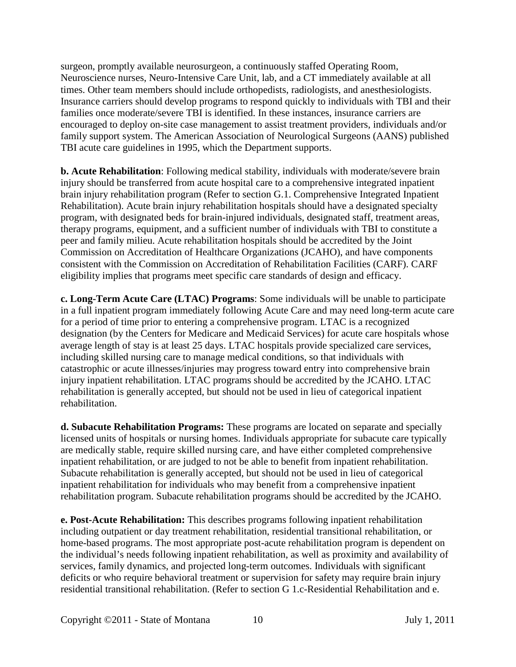surgeon, promptly available neurosurgeon, a continuously staffed Operating Room, Neuroscience nurses, Neuro-Intensive Care Unit, lab, and a CT immediately available at all times. Other team members should include orthopedists, radiologists, and anesthesiologists. Insurance carriers should develop programs to respond quickly to individuals with TBI and their families once moderate/severe TBI is identified. In these instances, insurance carriers are encouraged to deploy on-site case management to assist treatment providers, individuals and/or family support system. The American Association of Neurological Surgeons (AANS) published TBI acute care guidelines in 1995, which the Department supports.

**b. Acute Rehabilitation**: Following medical stability, individuals with moderate/severe brain injury should be transferred from acute hospital care to a comprehensive integrated inpatient brain injury rehabilitation program (Refer to section G.1. Comprehensive Integrated Inpatient Rehabilitation). Acute brain injury rehabilitation hospitals should have a designated specialty program, with designated beds for brain-injured individuals, designated staff, treatment areas, therapy programs, equipment, and a sufficient number of individuals with TBI to constitute a peer and family milieu. Acute rehabilitation hospitals should be accredited by the Joint Commission on Accreditation of Healthcare Organizations (JCAHO), and have components consistent with the Commission on Accreditation of Rehabilitation Facilities (CARF). CARF eligibility implies that programs meet specific care standards of design and efficacy.

**c. Long-Term Acute Care (LTAC) Programs**: Some individuals will be unable to participate in a full inpatient program immediately following Acute Care and may need long-term acute care for a period of time prior to entering a comprehensive program. LTAC is a recognized designation (by the Centers for Medicare and Medicaid Services) for acute care hospitals whose average length of stay is at least 25 days. LTAC hospitals provide specialized care services, including skilled nursing care to manage medical conditions, so that individuals with catastrophic or acute illnesses/injuries may progress toward entry into comprehensive brain injury inpatient rehabilitation. LTAC programs should be accredited by the JCAHO. LTAC rehabilitation is generally accepted, but should not be used in lieu of categorical inpatient rehabilitation.

**d. Subacute Rehabilitation Programs:** These programs are located on separate and specially licensed units of hospitals or nursing homes. Individuals appropriate for subacute care typically are medically stable, require skilled nursing care, and have either completed comprehensive inpatient rehabilitation, or are judged to not be able to benefit from inpatient rehabilitation. Subacute rehabilitation is generally accepted, but should not be used in lieu of categorical inpatient rehabilitation for individuals who may benefit from a comprehensive inpatient rehabilitation program. Subacute rehabilitation programs should be accredited by the JCAHO.

**e. Post-Acute Rehabilitation:** This describes programs following inpatient rehabilitation including outpatient or day treatment rehabilitation, residential transitional rehabilitation, or home-based programs. The most appropriate post-acute rehabilitation program is dependent on the individual's needs following inpatient rehabilitation, as well as proximity and availability of services, family dynamics, and projected long-term outcomes. Individuals with significant deficits or who require behavioral treatment or supervision for safety may require brain injury residential transitional rehabilitation. (Refer to section G 1.c-Residential Rehabilitation and e.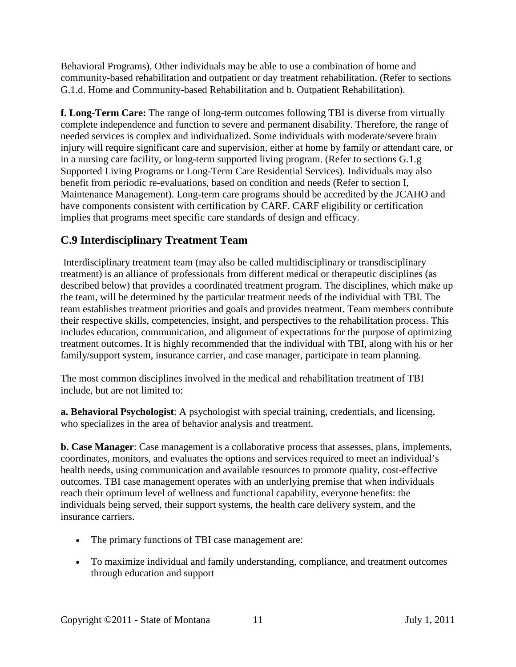Behavioral Programs). Other individuals may be able to use a combination of home and community-based rehabilitation and outpatient or day treatment rehabilitation. (Refer to sections G.1.d. Home and Community-based Rehabilitation and b. Outpatient Rehabilitation).

**f. Long-Term Care:** The range of long-term outcomes following TBI is diverse from virtually complete independence and function to severe and permanent disability. Therefore, the range of needed services is complex and individualized. Some individuals with moderate/severe brain injury will require significant care and supervision, either at home by family or attendant care, or in a nursing care facility, or long-term supported living program. (Refer to sections G.1.g Supported Living Programs or Long-Term Care Residential Services). Individuals may also benefit from periodic re-evaluations, based on condition and needs (Refer to section I, Maintenance Management). Long-term care programs should be accredited by the JCAHO and have components consistent with certification by CARF. CARF eligibility or certification implies that programs meet specific care standards of design and efficacy.

# **C.9 Interdisciplinary Treatment Team**

Interdisciplinary treatment team (may also be called multidisciplinary or transdisciplinary treatment) is an alliance of professionals from different medical or therapeutic disciplines (as described below) that provides a coordinated treatment program. The disciplines, which make up the team, will be determined by the particular treatment needs of the individual with TBI. The team establishes treatment priorities and goals and provides treatment. Team members contribute their respective skills, competencies, insight, and perspectives to the rehabilitation process. This includes education, communication, and alignment of expectations for the purpose of optimizing treatment outcomes. It is highly recommended that the individual with TBI, along with his or her family/support system, insurance carrier, and case manager, participate in team planning.

The most common disciplines involved in the medical and rehabilitation treatment of TBI include, but are not limited to:

**a. Behavioral Psychologist**: A psychologist with special training, credentials, and licensing, who specializes in the area of behavior analysis and treatment.

**b. Case Manager**: Case management is a collaborative process that assesses, plans, implements, coordinates, monitors, and evaluates the options and services required to meet an individual's health needs, using communication and available resources to promote quality, cost-effective outcomes. TBI case management operates with an underlying premise that when individuals reach their optimum level of wellness and functional capability, everyone benefits: the individuals being served, their support systems, the health care delivery system, and the insurance carriers.

- The primary functions of TBI case management are:
- To maximize individual and family understanding, compliance, and treatment outcomes through education and support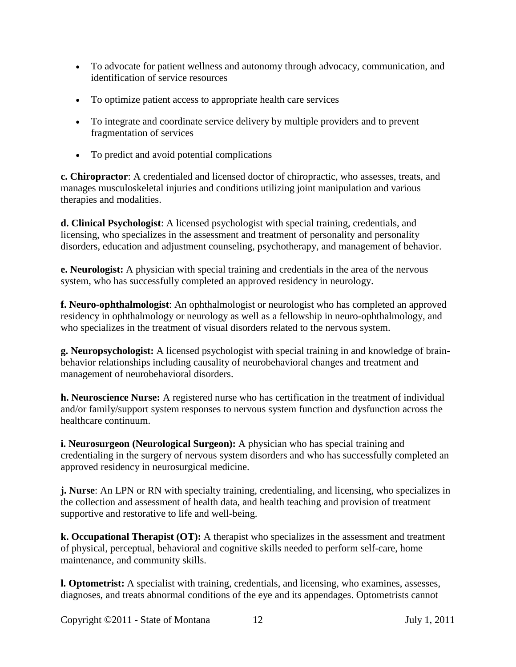- To advocate for patient wellness and autonomy through advocacy, communication, and identification of service resources
- To optimize patient access to appropriate health care services
- To integrate and coordinate service delivery by multiple providers and to prevent fragmentation of services
- To predict and avoid potential complications

**c. Chiropractor**: A credentialed and licensed doctor of chiropractic, who assesses, treats, and manages musculoskeletal injuries and conditions utilizing joint manipulation and various therapies and modalities.

**d. Clinical Psychologist**: A licensed psychologist with special training, credentials, and licensing, who specializes in the assessment and treatment of personality and personality disorders, education and adjustment counseling, psychotherapy, and management of behavior.

**e. Neurologist:** A physician with special training and credentials in the area of the nervous system, who has successfully completed an approved residency in neurology.

**f. Neuro-ophthalmologist**: An ophthalmologist or neurologist who has completed an approved residency in ophthalmology or neurology as well as a fellowship in neuro-ophthalmology, and who specializes in the treatment of visual disorders related to the nervous system.

**g. Neuropsychologist:** A licensed psychologist with special training in and knowledge of brainbehavior relationships including causality of neurobehavioral changes and treatment and management of neurobehavioral disorders.

**h. Neuroscience Nurse:** A registered nurse who has certification in the treatment of individual and/or family/support system responses to nervous system function and dysfunction across the healthcare continuum.

**i. Neurosurgeon (Neurological Surgeon):** A physician who has special training and credentialing in the surgery of nervous system disorders and who has successfully completed an approved residency in neurosurgical medicine.

**j. Nurse**: An LPN or RN with specialty training, credentialing, and licensing, who specializes in the collection and assessment of health data, and health teaching and provision of treatment supportive and restorative to life and well-being.

**k. Occupational Therapist (OT):** A therapist who specializes in the assessment and treatment of physical, perceptual, behavioral and cognitive skills needed to perform self-care, home maintenance, and community skills.

**l. Optometrist:** A specialist with training, credentials, and licensing, who examines, assesses, diagnoses, and treats abnormal conditions of the eye and its appendages. Optometrists cannot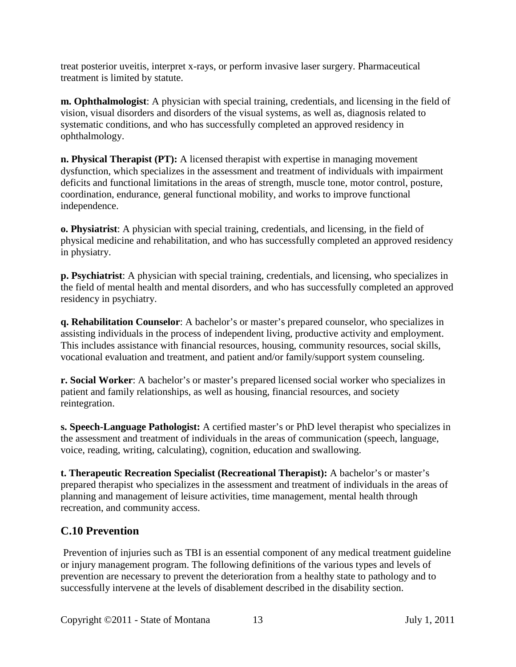treat posterior uveitis, interpret x-rays, or perform invasive laser surgery. Pharmaceutical treatment is limited by statute.

**m. Ophthalmologist**: A physician with special training, credentials, and licensing in the field of vision, visual disorders and disorders of the visual systems, as well as, diagnosis related to systematic conditions, and who has successfully completed an approved residency in ophthalmology.

**n. Physical Therapist (PT):** A licensed therapist with expertise in managing movement dysfunction, which specializes in the assessment and treatment of individuals with impairment deficits and functional limitations in the areas of strength, muscle tone, motor control, posture, coordination, endurance, general functional mobility, and works to improve functional independence.

**o. Physiatrist**: A physician with special training, credentials, and licensing, in the field of physical medicine and rehabilitation, and who has successfully completed an approved residency in physiatry.

**p. Psychiatrist**: A physician with special training, credentials, and licensing, who specializes in the field of mental health and mental disorders, and who has successfully completed an approved residency in psychiatry.

**q. Rehabilitation Counselor**: A bachelor's or master's prepared counselor, who specializes in assisting individuals in the process of independent living, productive activity and employment. This includes assistance with financial resources, housing, community resources, social skills, vocational evaluation and treatment, and patient and/or family/support system counseling.

**r. Social Worker**: A bachelor's or master's prepared licensed social worker who specializes in patient and family relationships, as well as housing, financial resources, and society reintegration.

**s. Speech-Language Pathologist:** A certified master's or PhD level therapist who specializes in the assessment and treatment of individuals in the areas of communication (speech, language, voice, reading, writing, calculating), cognition, education and swallowing.

**t. Therapeutic Recreation Specialist (Recreational Therapist):** A bachelor's or master's prepared therapist who specializes in the assessment and treatment of individuals in the areas of planning and management of leisure activities, time management, mental health through recreation, and community access.

# **C.10 Prevention**

Prevention of injuries such as TBI is an essential component of any medical treatment guideline or injury management program. The following definitions of the various types and levels of prevention are necessary to prevent the deterioration from a healthy state to pathology and to successfully intervene at the levels of disablement described in the disability section.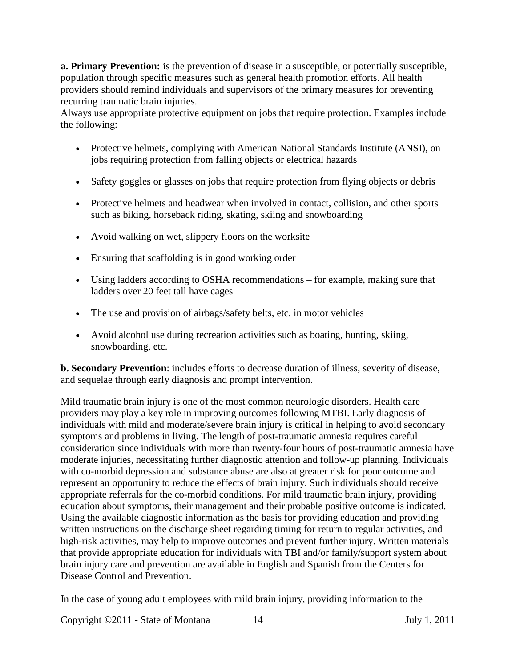**a. Primary Prevention:** is the prevention of disease in a susceptible, or potentially susceptible, population through specific measures such as general health promotion efforts. All health providers should remind individuals and supervisors of the primary measures for preventing recurring traumatic brain injuries.

Always use appropriate protective equipment on jobs that require protection. Examples include the following:

- Protective helmets, complying with American National Standards Institute (ANSI), on jobs requiring protection from falling objects or electrical hazards
- Safety goggles or glasses on jobs that require protection from flying objects or debris
- Protective helmets and headwear when involved in contact, collision, and other sports such as biking, horseback riding, skating, skiing and snowboarding
- Avoid walking on wet, slippery floors on the worksite
- Ensuring that scaffolding is in good working order
- Using ladders according to OSHA recommendations for example, making sure that ladders over 20 feet tall have cages
- The use and provision of airbags/safety belts, etc. in motor vehicles
- Avoid alcohol use during recreation activities such as boating, hunting, skiing, snowboarding, etc.

**b. Secondary Prevention**: includes efforts to decrease duration of illness, severity of disease, and sequelae through early diagnosis and prompt intervention.

Mild traumatic brain injury is one of the most common neurologic disorders. Health care providers may play a key role in improving outcomes following MTBI. Early diagnosis of individuals with mild and moderate/severe brain injury is critical in helping to avoid secondary symptoms and problems in living. The length of post-traumatic amnesia requires careful consideration since individuals with more than twenty-four hours of post-traumatic amnesia have moderate injuries, necessitating further diagnostic attention and follow-up planning. Individuals with co-morbid depression and substance abuse are also at greater risk for poor outcome and represent an opportunity to reduce the effects of brain injury. Such individuals should receive appropriate referrals for the co-morbid conditions. For mild traumatic brain injury, providing education about symptoms, their management and their probable positive outcome is indicated. Using the available diagnostic information as the basis for providing education and providing written instructions on the discharge sheet regarding timing for return to regular activities, and high-risk activities, may help to improve outcomes and prevent further injury. Written materials that provide appropriate education for individuals with TBI and/or family/support system about brain injury care and prevention are available in English and Spanish from the Centers for Disease Control and Prevention.

In the case of young adult employees with mild brain injury, providing information to the

Copyright ©2011 - State of Montana 14 July 1, 2011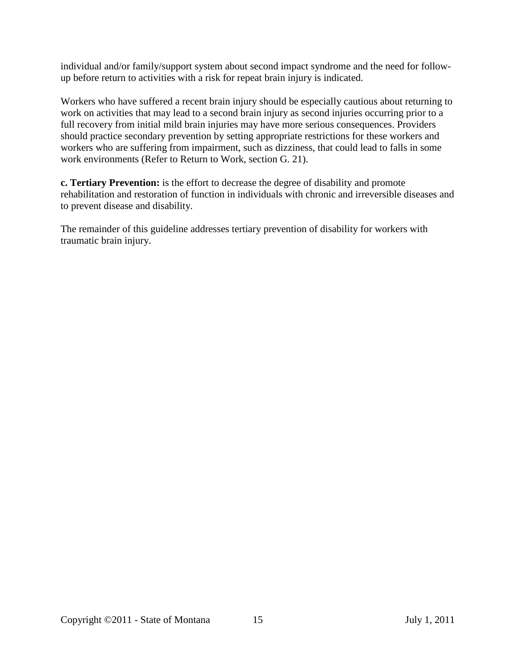individual and/or family/support system about second impact syndrome and the need for followup before return to activities with a risk for repeat brain injury is indicated.

Workers who have suffered a recent brain injury should be especially cautious about returning to work on activities that may lead to a second brain injury as second injuries occurring prior to a full recovery from initial mild brain injuries may have more serious consequences. Providers should practice secondary prevention by setting appropriate restrictions for these workers and workers who are suffering from impairment, such as dizziness, that could lead to falls in some work environments (Refer to Return to Work, section G. 21).

**c. Tertiary Prevention:** is the effort to decrease the degree of disability and promote rehabilitation and restoration of function in individuals with chronic and irreversible diseases and to prevent disease and disability.

The remainder of this guideline addresses tertiary prevention of disability for workers with traumatic brain injury.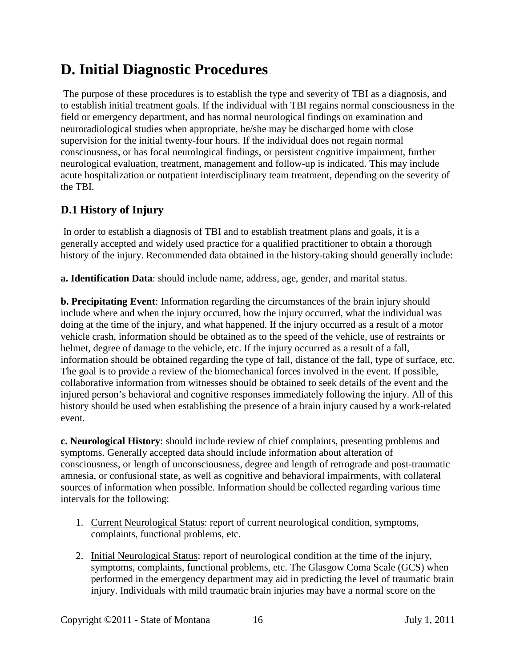# <span id="page-15-0"></span>**D. Initial Diagnostic Procedures**

The purpose of these procedures is to establish the type and severity of TBI as a diagnosis, and to establish initial treatment goals. If the individual with TBI regains normal consciousness in the field or emergency department, and has normal neurological findings on examination and neuroradiological studies when appropriate, he/she may be discharged home with close supervision for the initial twenty-four hours. If the individual does not regain normal consciousness, or has focal neurological findings, or persistent cognitive impairment, further neurological evaluation, treatment, management and follow-up is indicated. This may include acute hospitalization or outpatient interdisciplinary team treatment, depending on the severity of the TBI.

# **D.1 History of Injury**

In order to establish a diagnosis of TBI and to establish treatment plans and goals, it is a generally accepted and widely used practice for a qualified practitioner to obtain a thorough history of the injury. Recommended data obtained in the history-taking should generally include:

**a. Identification Data**: should include name, address, age, gender, and marital status.

**b. Precipitating Event**: Information regarding the circumstances of the brain injury should include where and when the injury occurred, how the injury occurred, what the individual was doing at the time of the injury, and what happened. If the injury occurred as a result of a motor vehicle crash, information should be obtained as to the speed of the vehicle, use of restraints or helmet, degree of damage to the vehicle, etc. If the injury occurred as a result of a fall, information should be obtained regarding the type of fall, distance of the fall, type of surface, etc. The goal is to provide a review of the biomechanical forces involved in the event. If possible, collaborative information from witnesses should be obtained to seek details of the event and the injured person's behavioral and cognitive responses immediately following the injury. All of this history should be used when establishing the presence of a brain injury caused by a work-related event.

**c. Neurological History**: should include review of chief complaints, presenting problems and symptoms. Generally accepted data should include information about alteration of consciousness, or length of unconsciousness, degree and length of retrograde and post-traumatic amnesia, or confusional state, as well as cognitive and behavioral impairments, with collateral sources of information when possible. Information should be collected regarding various time intervals for the following:

- 1. Current Neurological Status: report of current neurological condition, symptoms, complaints, functional problems, etc.
- 2. Initial Neurological Status: report of neurological condition at the time of the injury, symptoms, complaints, functional problems, etc. The Glasgow Coma Scale (GCS) when performed in the emergency department may aid in predicting the level of traumatic brain injury. Individuals with mild traumatic brain injuries may have a normal score on the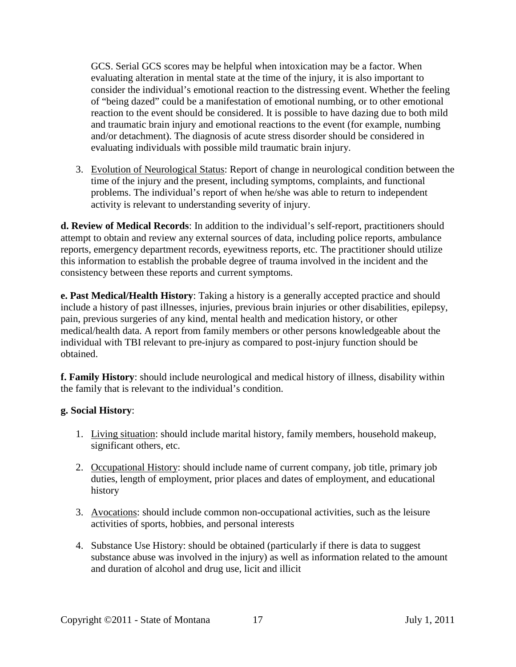GCS. Serial GCS scores may be helpful when intoxication may be a factor. When evaluating alteration in mental state at the time of the injury, it is also important to consider the individual's emotional reaction to the distressing event. Whether the feeling of "being dazed" could be a manifestation of emotional numbing, or to other emotional reaction to the event should be considered. It is possible to have dazing due to both mild and traumatic brain injury and emotional reactions to the event (for example, numbing and/or detachment). The diagnosis of acute stress disorder should be considered in evaluating individuals with possible mild traumatic brain injury.

3. Evolution of Neurological Status: Report of change in neurological condition between the time of the injury and the present, including symptoms, complaints, and functional problems. The individual's report of when he/she was able to return to independent activity is relevant to understanding severity of injury.

**d. Review of Medical Records**: In addition to the individual's self-report, practitioners should attempt to obtain and review any external sources of data, including police reports, ambulance reports, emergency department records, eyewitness reports, etc. The practitioner should utilize this information to establish the probable degree of trauma involved in the incident and the consistency between these reports and current symptoms.

**e. Past Medical/Health History**: Taking a history is a generally accepted practice and should include a history of past illnesses, injuries, previous brain injuries or other disabilities, epilepsy, pain, previous surgeries of any kind, mental health and medication history, or other medical/health data. A report from family members or other persons knowledgeable about the individual with TBI relevant to pre-injury as compared to post-injury function should be obtained.

**f. Family History**: should include neurological and medical history of illness, disability within the family that is relevant to the individual's condition.

#### **g. Social History**:

- 1. Living situation: should include marital history, family members, household makeup, significant others, etc.
- 2. Occupational History: should include name of current company, job title, primary job duties, length of employment, prior places and dates of employment, and educational history
- 3. Avocations: should include common non-occupational activities, such as the leisure activities of sports, hobbies, and personal interests
- 4. Substance Use History: should be obtained (particularly if there is data to suggest substance abuse was involved in the injury) as well as information related to the amount and duration of alcohol and drug use, licit and illicit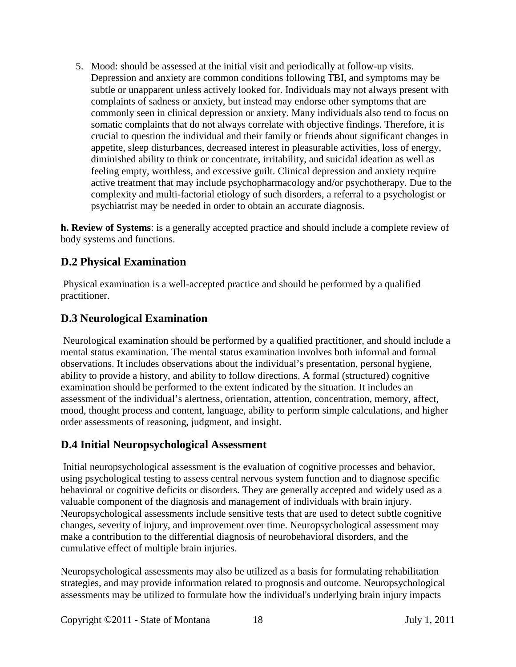5. Mood: should be assessed at the initial visit and periodically at follow-up visits. Depression and anxiety are common conditions following TBI, and symptoms may be subtle or unapparent unless actively looked for. Individuals may not always present with complaints of sadness or anxiety, but instead may endorse other symptoms that are commonly seen in clinical depression or anxiety. Many individuals also tend to focus on somatic complaints that do not always correlate with objective findings. Therefore, it is crucial to question the individual and their family or friends about significant changes in appetite, sleep disturbances, decreased interest in pleasurable activities, loss of energy, diminished ability to think or concentrate, irritability, and suicidal ideation as well as feeling empty, worthless, and excessive guilt. Clinical depression and anxiety require active treatment that may include psychopharmacology and/or psychotherapy. Due to the complexity and multi-factorial etiology of such disorders, a referral to a psychologist or psychiatrist may be needed in order to obtain an accurate diagnosis.

**h. Review of Systems**: is a generally accepted practice and should include a complete review of body systems and functions.

# **D.2 Physical Examination**

Physical examination is a well-accepted practice and should be performed by a qualified practitioner.

# **D.3 Neurological Examination**

Neurological examination should be performed by a qualified practitioner, and should include a mental status examination. The mental status examination involves both informal and formal observations. It includes observations about the individual's presentation, personal hygiene, ability to provide a history, and ability to follow directions. A formal (structured) cognitive examination should be performed to the extent indicated by the situation. It includes an assessment of the individual's alertness, orientation, attention, concentration, memory, affect, mood, thought process and content, language, ability to perform simple calculations, and higher order assessments of reasoning, judgment, and insight.

# **D.4 Initial Neuropsychological Assessment**

Initial neuropsychological assessment is the evaluation of cognitive processes and behavior, using psychological testing to assess central nervous system function and to diagnose specific behavioral or cognitive deficits or disorders. They are generally accepted and widely used as a valuable component of the diagnosis and management of individuals with brain injury. Neuropsychological assessments include sensitive tests that are used to detect subtle cognitive changes, severity of injury, and improvement over time. Neuropsychological assessment may make a contribution to the differential diagnosis of neurobehavioral disorders, and the cumulative effect of multiple brain injuries.

Neuropsychological assessments may also be utilized as a basis for formulating rehabilitation strategies, and may provide information related to prognosis and outcome. Neuropsychological assessments may be utilized to formulate how the individual's underlying brain injury impacts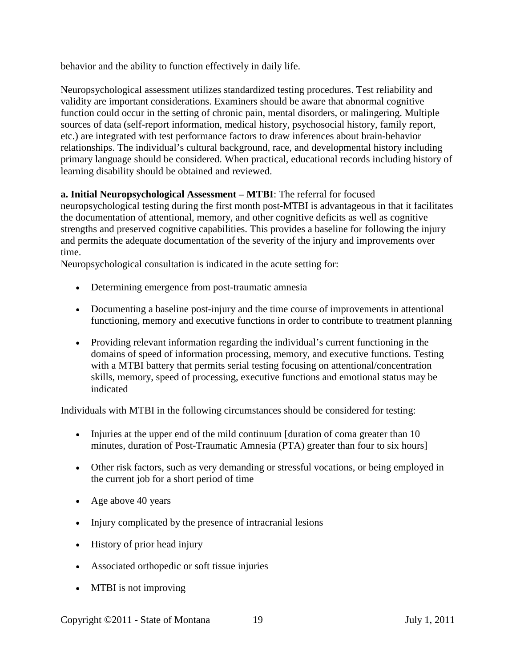behavior and the ability to function effectively in daily life.

Neuropsychological assessment utilizes standardized testing procedures. Test reliability and validity are important considerations. Examiners should be aware that abnormal cognitive function could occur in the setting of chronic pain, mental disorders, or malingering. Multiple sources of data (self-report information, medical history, psychosocial history, family report, etc.) are integrated with test performance factors to draw inferences about brain-behavior relationships. The individual's cultural background, race, and developmental history including primary language should be considered. When practical, educational records including history of learning disability should be obtained and reviewed.

#### **a. Initial Neuropsychological Assessment – MTBI**: The referral for focused

neuropsychological testing during the first month post-MTBI is advantageous in that it facilitates the documentation of attentional, memory, and other cognitive deficits as well as cognitive strengths and preserved cognitive capabilities. This provides a baseline for following the injury and permits the adequate documentation of the severity of the injury and improvements over time.

Neuropsychological consultation is indicated in the acute setting for:

- Determining emergence from post-traumatic amnesia
- Documenting a baseline post-injury and the time course of improvements in attentional functioning, memory and executive functions in order to contribute to treatment planning
- Providing relevant information regarding the individual's current functioning in the domains of speed of information processing, memory, and executive functions. Testing with a MTBI battery that permits serial testing focusing on attentional/concentration skills, memory, speed of processing, executive functions and emotional status may be indicated

Individuals with MTBI in the following circumstances should be considered for testing:

- Injuries at the upper end of the mild continuum [duration of coma greater than 10 minutes, duration of Post-Traumatic Amnesia (PTA) greater than four to six hours]
- Other risk factors, such as very demanding or stressful vocations, or being employed in the current job for a short period of time
- Age above 40 years
- Injury complicated by the presence of intracranial lesions
- History of prior head injury
- Associated orthopedic or soft tissue injuries
- MTBI is not improving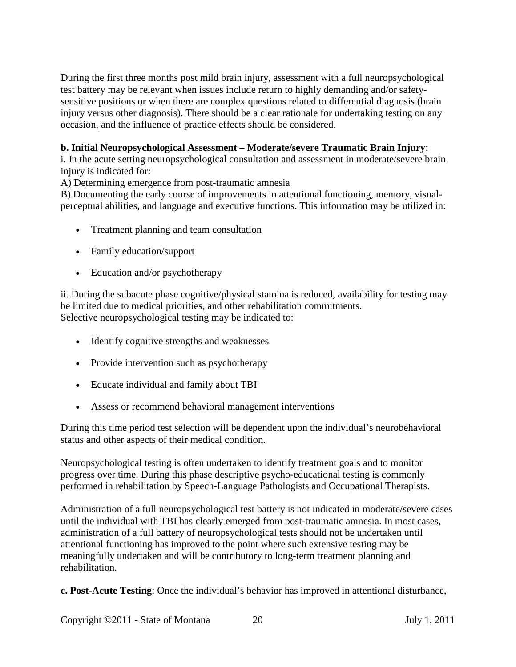During the first three months post mild brain injury, assessment with a full neuropsychological test battery may be relevant when issues include return to highly demanding and/or safetysensitive positions or when there are complex questions related to differential diagnosis (brain injury versus other diagnosis). There should be a clear rationale for undertaking testing on any occasion, and the influence of practice effects should be considered.

#### **b. Initial Neuropsychological Assessment – Moderate/severe Traumatic Brain Injury**:

i. In the acute setting neuropsychological consultation and assessment in moderate/severe brain injury is indicated for:

A) Determining emergence from post-traumatic amnesia

B) Documenting the early course of improvements in attentional functioning, memory, visualperceptual abilities, and language and executive functions. This information may be utilized in:

- Treatment planning and team consultation
- Family education/support
- Education and/or psychotherapy

ii. During the subacute phase cognitive/physical stamina is reduced, availability for testing may be limited due to medical priorities, and other rehabilitation commitments. Selective neuropsychological testing may be indicated to:

- Identify cognitive strengths and weaknesses
- Provide intervention such as psychotherapy
- Educate individual and family about TBI
- Assess or recommend behavioral management interventions

During this time period test selection will be dependent upon the individual's neurobehavioral status and other aspects of their medical condition.

Neuropsychological testing is often undertaken to identify treatment goals and to monitor progress over time. During this phase descriptive psycho-educational testing is commonly performed in rehabilitation by Speech-Language Pathologists and Occupational Therapists.

Administration of a full neuropsychological test battery is not indicated in moderate/severe cases until the individual with TBI has clearly emerged from post-traumatic amnesia. In most cases, administration of a full battery of neuropsychological tests should not be undertaken until attentional functioning has improved to the point where such extensive testing may be meaningfully undertaken and will be contributory to long-term treatment planning and rehabilitation.

**c. Post-Acute Testing**: Once the individual's behavior has improved in attentional disturbance,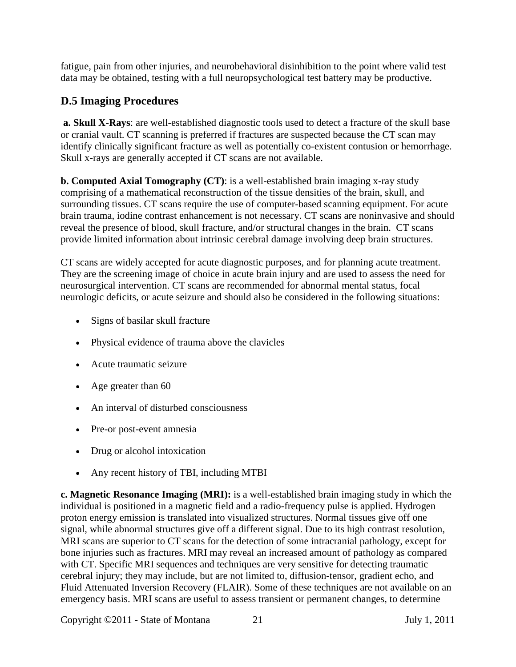fatigue, pain from other injuries, and neurobehavioral disinhibition to the point where valid test data may be obtained, testing with a full neuropsychological test battery may be productive.

# **D.5 Imaging Procedures**

**a. Skull X-Rays**: are well-established diagnostic tools used to detect a fracture of the skull base or cranial vault. CT scanning is preferred if fractures are suspected because the CT scan may identify clinically significant fracture as well as potentially co-existent contusion or hemorrhage. Skull x-rays are generally accepted if CT scans are not available.

**b. Computed Axial Tomography (CT)**: is a well-established brain imaging x-ray study comprising of a mathematical reconstruction of the tissue densities of the brain, skull, and surrounding tissues. CT scans require the use of computer-based scanning equipment. For acute brain trauma, iodine contrast enhancement is not necessary. CT scans are noninvasive and should reveal the presence of blood, skull fracture, and/or structural changes in the brain. CT scans provide limited information about intrinsic cerebral damage involving deep brain structures.

CT scans are widely accepted for acute diagnostic purposes, and for planning acute treatment. They are the screening image of choice in acute brain injury and are used to assess the need for neurosurgical intervention. CT scans are recommended for abnormal mental status, focal neurologic deficits, or acute seizure and should also be considered in the following situations:

- Signs of basilar skull fracture
- Physical evidence of trauma above the clavicles
- Acute traumatic seizure
- Age greater than 60
- An interval of disturbed consciousness
- Pre-or post-event amnesia
- Drug or alcohol intoxication
- Any recent history of TBI, including MTBI

**c. Magnetic Resonance Imaging (MRI):** is a well-established brain imaging study in which the individual is positioned in a magnetic field and a radio-frequency pulse is applied. Hydrogen proton energy emission is translated into visualized structures. Normal tissues give off one signal, while abnormal structures give off a different signal. Due to its high contrast resolution, MRI scans are superior to CT scans for the detection of some intracranial pathology, except for bone injuries such as fractures. MRI may reveal an increased amount of pathology as compared with CT. Specific MRI sequences and techniques are very sensitive for detecting traumatic cerebral injury; they may include, but are not limited to, diffusion-tensor, gradient echo, and Fluid Attenuated Inversion Recovery (FLAIR). Some of these techniques are not available on an emergency basis. MRI scans are useful to assess transient or permanent changes, to determine

Copyright ©2011 - State of Montana 21 July 1, 2011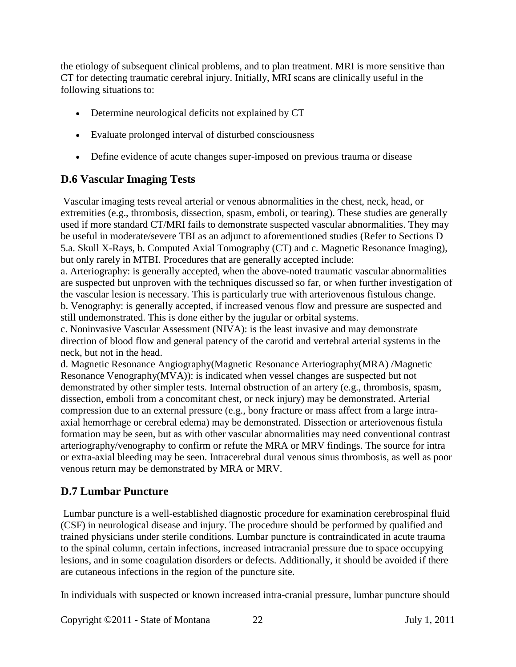the etiology of subsequent clinical problems, and to plan treatment. MRI is more sensitive than CT for detecting traumatic cerebral injury. Initially, MRI scans are clinically useful in the following situations to:

- Determine neurological deficits not explained by CT
- Evaluate prolonged interval of disturbed consciousness
- Define evidence of acute changes super-imposed on previous trauma or disease

# **D.6 Vascular Imaging Tests**

Vascular imaging tests reveal arterial or venous abnormalities in the chest, neck, head, or extremities (e.g., thrombosis, dissection, spasm, emboli, or tearing). These studies are generally used if more standard CT/MRI fails to demonstrate suspected vascular abnormalities. They may be useful in moderate/severe TBI as an adjunct to aforementioned studies (Refer to Sections D 5.a. Skull X-Rays, b. Computed Axial Tomography (CT) and c. Magnetic Resonance Imaging), but only rarely in MTBI. Procedures that are generally accepted include:

a. Arteriography: is generally accepted, when the above-noted traumatic vascular abnormalities are suspected but unproven with the techniques discussed so far, or when further investigation of the vascular lesion is necessary. This is particularly true with arteriovenous fistulous change. b. Venography: is generally accepted, if increased venous flow and pressure are suspected and still undemonstrated. This is done either by the jugular or orbital systems.

c. Noninvasive Vascular Assessment (NIVA): is the least invasive and may demonstrate direction of blood flow and general patency of the carotid and vertebral arterial systems in the neck, but not in the head.

d. Magnetic Resonance Angiography(Magnetic Resonance Arteriography(MRA) /Magnetic Resonance Venography(MVA)): is indicated when vessel changes are suspected but not demonstrated by other simpler tests. Internal obstruction of an artery (e.g., thrombosis, spasm, dissection, emboli from a concomitant chest, or neck injury) may be demonstrated. Arterial compression due to an external pressure (e.g., bony fracture or mass affect from a large intraaxial hemorrhage or cerebral edema) may be demonstrated. Dissection or arteriovenous fistula formation may be seen, but as with other vascular abnormalities may need conventional contrast arteriography/venography to confirm or refute the MRA or MRV findings. The source for intra or extra-axial bleeding may be seen. Intracerebral dural venous sinus thrombosis, as well as poor venous return may be demonstrated by MRA or MRV.

# **D.7 Lumbar Puncture**

Lumbar puncture is a well-established diagnostic procedure for examination cerebrospinal fluid (CSF) in neurological disease and injury. The procedure should be performed by qualified and trained physicians under sterile conditions. Lumbar puncture is contraindicated in acute trauma to the spinal column, certain infections, increased intracranial pressure due to space occupying lesions, and in some coagulation disorders or defects. Additionally, it should be avoided if there are cutaneous infections in the region of the puncture site.

In individuals with suspected or known increased intra-cranial pressure, lumbar puncture should

Copyright ©2011 - State of Montana 22 July 1, 2011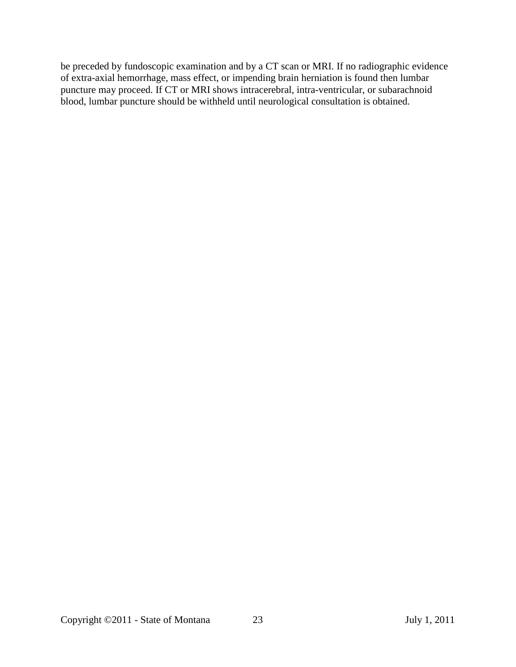be preceded by fundoscopic examination and by a CT scan or MRI. If no radiographic evidence of extra-axial hemorrhage, mass effect, or impending brain herniation is found then lumbar puncture may proceed. If CT or MRI shows intracerebral, intra-ventricular, or subarachnoid blood, lumbar puncture should be withheld until neurological consultation is obtained.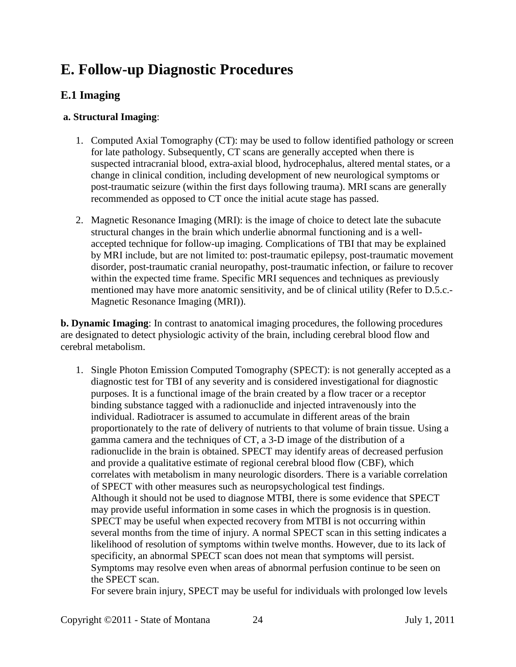# <span id="page-23-0"></span>**E. Follow-up Diagnostic Procedures**

# **E.1 Imaging**

#### **a. Structural Imaging**:

- 1. Computed Axial Tomography (CT): may be used to follow identified pathology or screen for late pathology. Subsequently, CT scans are generally accepted when there is suspected intracranial blood, extra-axial blood, hydrocephalus, altered mental states, or a change in clinical condition, including development of new neurological symptoms or post-traumatic seizure (within the first days following trauma). MRI scans are generally recommended as opposed to CT once the initial acute stage has passed.
- 2. Magnetic Resonance Imaging (MRI): is the image of choice to detect late the subacute structural changes in the brain which underlie abnormal functioning and is a wellaccepted technique for follow-up imaging. Complications of TBI that may be explained by MRI include, but are not limited to: post-traumatic epilepsy, post-traumatic movement disorder, post-traumatic cranial neuropathy, post-traumatic infection, or failure to recover within the expected time frame. Specific MRI sequences and techniques as previously mentioned may have more anatomic sensitivity, and be of clinical utility (Refer to D.5.c.- Magnetic Resonance Imaging (MRI)).

**b. Dynamic Imaging**: In contrast to anatomical imaging procedures, the following procedures are designated to detect physiologic activity of the brain, including cerebral blood flow and cerebral metabolism.

1. Single Photon Emission Computed Tomography (SPECT): is not generally accepted as a diagnostic test for TBI of any severity and is considered investigational for diagnostic purposes. It is a functional image of the brain created by a flow tracer or a receptor binding substance tagged with a radionuclide and injected intravenously into the individual. Radiotracer is assumed to accumulate in different areas of the brain proportionately to the rate of delivery of nutrients to that volume of brain tissue. Using a gamma camera and the techniques of CT, a 3-D image of the distribution of a radionuclide in the brain is obtained. SPECT may identify areas of decreased perfusion and provide a qualitative estimate of regional cerebral blood flow (CBF), which correlates with metabolism in many neurologic disorders. There is a variable correlation of SPECT with other measures such as neuropsychological test findings. Although it should not be used to diagnose MTBI, there is some evidence that SPECT may provide useful information in some cases in which the prognosis is in question. SPECT may be useful when expected recovery from MTBI is not occurring within several months from the time of injury. A normal SPECT scan in this setting indicates a likelihood of resolution of symptoms within twelve months. However, due to its lack of specificity, an abnormal SPECT scan does not mean that symptoms will persist. Symptoms may resolve even when areas of abnormal perfusion continue to be seen on the SPECT scan.

For severe brain injury, SPECT may be useful for individuals with prolonged low levels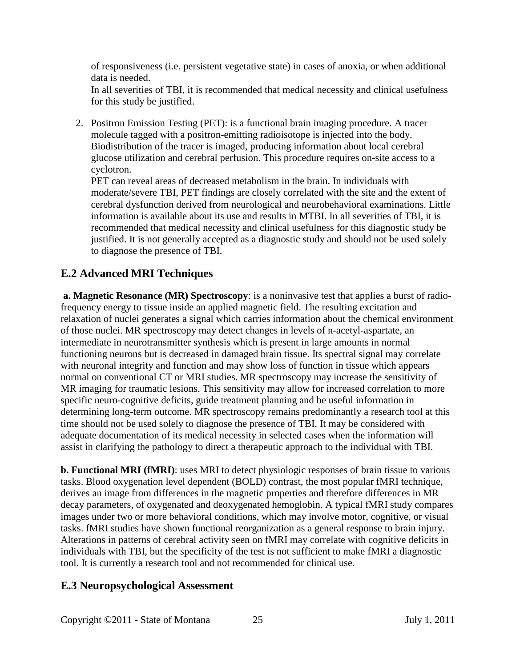of responsiveness (i.e. persistent vegetative state) in cases of anoxia, or when additional data is needed.

In all severities of TBI, it is recommended that medical necessity and clinical usefulness for this study be justified.

2. Positron Emission Testing (PET): is a functional brain imaging procedure. A tracer molecule tagged with a positron-emitting radioisotope is injected into the body. Biodistribution of the tracer is imaged, producing information about local cerebral glucose utilization and cerebral perfusion. This procedure requires on-site access to a cyclotron.

PET can reveal areas of decreased metabolism in the brain. In individuals with moderate/severe TBI, PET findings are closely correlated with the site and the extent of cerebral dysfunction derived from neurological and neurobehavioral examinations. Little information is available about its use and results in MTBI. In all severities of TBI, it is recommended that medical necessity and clinical usefulness for this diagnostic study be justified. It is not generally accepted as a diagnostic study and should not be used solely to diagnose the presence of TBI.

# **E.2 Advanced MRI Techniques**

**a. Magnetic Resonance (MR) Spectroscopy**: is a noninvasive test that applies a burst of radiofrequency energy to tissue inside an applied magnetic field. The resulting excitation and relaxation of nuclei generates a signal which carries information about the chemical environment of those nuclei. MR spectroscopy may detect changes in levels of n-acetyl-aspartate, an intermediate in neurotransmitter synthesis which is present in large amounts in normal functioning neurons but is decreased in damaged brain tissue. Its spectral signal may correlate with neuronal integrity and function and may show loss of function in tissue which appears normal on conventional CT or MRI studies. MR spectroscopy may increase the sensitivity of MR imaging for traumatic lesions. This sensitivity may allow for increased correlation to more specific neuro-cognitive deficits, guide treatment planning and be useful information in determining long-term outcome. MR spectroscopy remains predominantly a research tool at this time should not be used solely to diagnose the presence of TBI. It may be considered with adequate documentation of its medical necessity in selected cases when the information will assist in clarifying the pathology to direct a therapeutic approach to the individual with TBI.

**b. Functional MRI (fMRI)**: uses MRI to detect physiologic responses of brain tissue to various tasks. Blood oxygenation level dependent (BOLD) contrast, the most popular fMRI technique, derives an image from differences in the magnetic properties and therefore differences in MR decay parameters, of oxygenated and deoxygenated hemoglobin. A typical fMRI study compares images under two or more behavioral conditions, which may involve motor, cognitive, or visual tasks. fMRI studies have shown functional reorganization as a general response to brain injury. Alterations in patterns of cerebral activity seen on fMRI may correlate with cognitive deficits in individuals with TBI, but the specificity of the test is not sufficient to make fMRI a diagnostic tool. It is currently a research tool and not recommended for clinical use.

#### **E.3 Neuropsychological Assessment**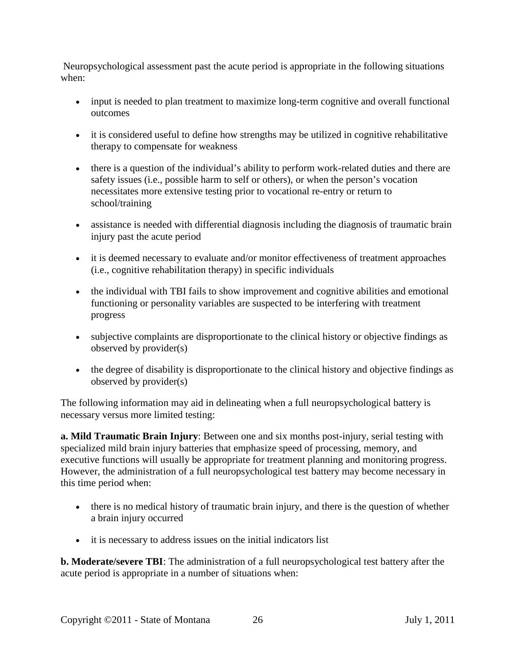Neuropsychological assessment past the acute period is appropriate in the following situations when:

- input is needed to plan treatment to maximize long-term cognitive and overall functional outcomes
- it is considered useful to define how strengths may be utilized in cognitive rehabilitative therapy to compensate for weakness
- there is a question of the individual's ability to perform work-related duties and there are safety issues (i.e., possible harm to self or others), or when the person's vocation necessitates more extensive testing prior to vocational re-entry or return to school/training
- assistance is needed with differential diagnosis including the diagnosis of traumatic brain injury past the acute period
- it is deemed necessary to evaluate and/or monitor effectiveness of treatment approaches (i.e., cognitive rehabilitation therapy) in specific individuals
- the individual with TBI fails to show improvement and cognitive abilities and emotional functioning or personality variables are suspected to be interfering with treatment progress
- subjective complaints are disproportionate to the clinical history or objective findings as observed by provider(s)
- the degree of disability is disproportionate to the clinical history and objective findings as observed by provider(s)

The following information may aid in delineating when a full neuropsychological battery is necessary versus more limited testing:

**a. Mild Traumatic Brain Injury**: Between one and six months post-injury, serial testing with specialized mild brain injury batteries that emphasize speed of processing, memory, and executive functions will usually be appropriate for treatment planning and monitoring progress. However, the administration of a full neuropsychological test battery may become necessary in this time period when:

- there is no medical history of traumatic brain injury, and there is the question of whether a brain injury occurred
- it is necessary to address issues on the initial indicators list

**b. Moderate/severe TBI**: The administration of a full neuropsychological test battery after the acute period is appropriate in a number of situations when: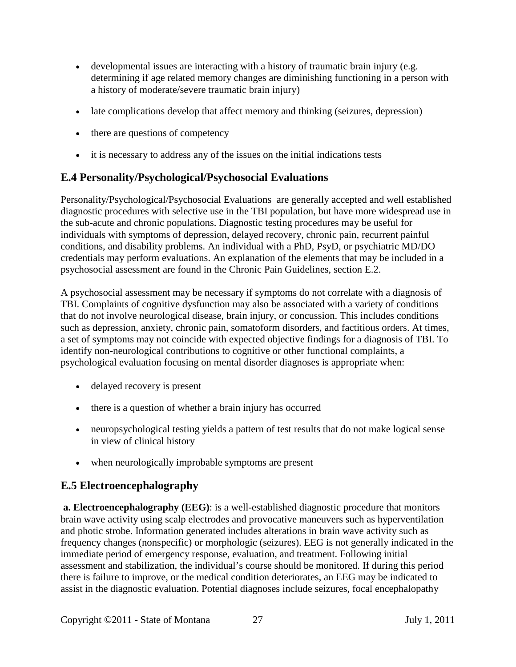- developmental issues are interacting with a history of traumatic brain injury (e.g. determining if age related memory changes are diminishing functioning in a person with a history of moderate/severe traumatic brain injury)
- late complications develop that affect memory and thinking (seizures, depression)
- there are questions of competency
- it is necessary to address any of the issues on the initial indications tests

# **E.4 Personality/Psychological/Psychosocial Evaluations**

Personality/Psychological/Psychosocial Evaluations are generally accepted and well established diagnostic procedures with selective use in the TBI population, but have more widespread use in the sub-acute and chronic populations. Diagnostic testing procedures may be useful for individuals with symptoms of depression, delayed recovery, chronic pain, recurrent painful conditions, and disability problems. An individual with a PhD, PsyD, or psychiatric MD/DO credentials may perform evaluations. An explanation of the elements that may be included in a psychosocial assessment are found in the Chronic Pain Guidelines, section E.2.

A psychosocial assessment may be necessary if symptoms do not correlate with a diagnosis of TBI. Complaints of cognitive dysfunction may also be associated with a variety of conditions that do not involve neurological disease, brain injury, or concussion. This includes conditions such as depression, anxiety, chronic pain, somatoform disorders, and factitious orders. At times, a set of symptoms may not coincide with expected objective findings for a diagnosis of TBI. To identify non-neurological contributions to cognitive or other functional complaints, a psychological evaluation focusing on mental disorder diagnoses is appropriate when:

- delayed recovery is present
- there is a question of whether a brain injury has occurred
- neuropsychological testing yields a pattern of test results that do not make logical sense in view of clinical history
- when neurologically improbable symptoms are present

# **E.5 Electroencephalography**

**a. Electroencephalography (EEG)**: is a well-established diagnostic procedure that monitors brain wave activity using scalp electrodes and provocative maneuvers such as hyperventilation and photic strobe. Information generated includes alterations in brain wave activity such as frequency changes (nonspecific) or morphologic (seizures). EEG is not generally indicated in the immediate period of emergency response, evaluation, and treatment. Following initial assessment and stabilization, the individual's course should be monitored. If during this period there is failure to improve, or the medical condition deteriorates, an EEG may be indicated to assist in the diagnostic evaluation. Potential diagnoses include seizures, focal encephalopathy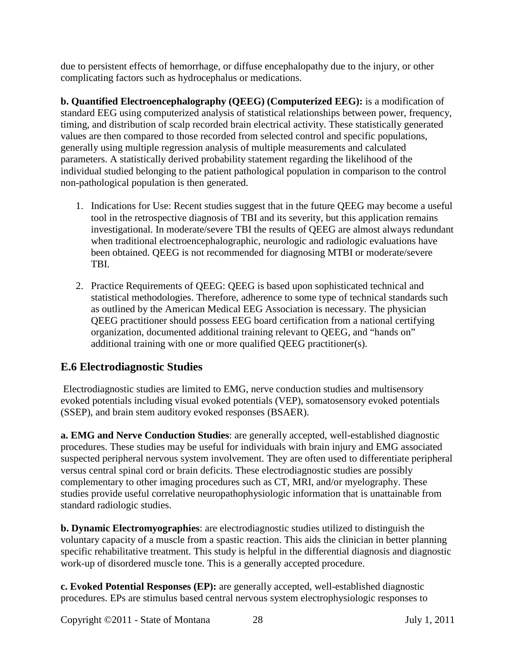due to persistent effects of hemorrhage, or diffuse encephalopathy due to the injury, or other complicating factors such as hydrocephalus or medications.

**b. Quantified Electroencephalography (QEEG) (Computerized EEG):** is a modification of standard EEG using computerized analysis of statistical relationships between power, frequency, timing, and distribution of scalp recorded brain electrical activity. These statistically generated values are then compared to those recorded from selected control and specific populations, generally using multiple regression analysis of multiple measurements and calculated parameters. A statistically derived probability statement regarding the likelihood of the individual studied belonging to the patient pathological population in comparison to the control non-pathological population is then generated.

- 1. Indications for Use: Recent studies suggest that in the future QEEG may become a useful tool in the retrospective diagnosis of TBI and its severity, but this application remains investigational. In moderate/severe TBI the results of QEEG are almost always redundant when traditional electroencephalographic, neurologic and radiologic evaluations have been obtained. QEEG is not recommended for diagnosing MTBI or moderate/severe TBI.
- 2. Practice Requirements of QEEG: QEEG is based upon sophisticated technical and statistical methodologies. Therefore, adherence to some type of technical standards such as outlined by the American Medical EEG Association is necessary. The physician QEEG practitioner should possess EEG board certification from a national certifying organization, documented additional training relevant to QEEG, and "hands on" additional training with one or more qualified QEEG practitioner(s).

# **E.6 Electrodiagnostic Studies**

Electrodiagnostic studies are limited to EMG, nerve conduction studies and multisensory evoked potentials including visual evoked potentials (VEP), somatosensory evoked potentials (SSEP), and brain stem auditory evoked responses (BSAER).

**a. EMG and Nerve Conduction Studies**: are generally accepted, well-established diagnostic procedures. These studies may be useful for individuals with brain injury and EMG associated suspected peripheral nervous system involvement. They are often used to differentiate peripheral versus central spinal cord or brain deficits. These electrodiagnostic studies are possibly complementary to other imaging procedures such as CT, MRI, and/or myelography. These studies provide useful correlative neuropathophysiologic information that is unattainable from standard radiologic studies.

**b. Dynamic Electromyographies**: are electrodiagnostic studies utilized to distinguish the voluntary capacity of a muscle from a spastic reaction. This aids the clinician in better planning specific rehabilitative treatment. This study is helpful in the differential diagnosis and diagnostic work-up of disordered muscle tone. This is a generally accepted procedure.

**c. Evoked Potential Responses (EP):** are generally accepted, well-established diagnostic procedures. EPs are stimulus based central nervous system electrophysiologic responses to

Copyright ©2011 - State of Montana 28 July 1, 2011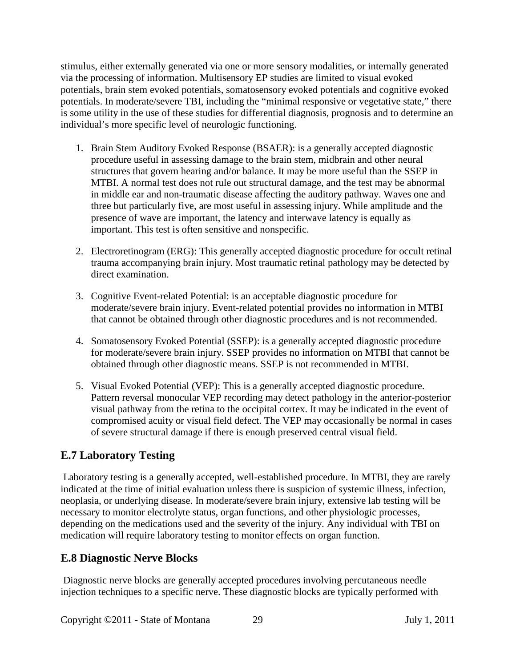stimulus, either externally generated via one or more sensory modalities, or internally generated via the processing of information. Multisensory EP studies are limited to visual evoked potentials, brain stem evoked potentials, somatosensory evoked potentials and cognitive evoked potentials. In moderate/severe TBI, including the "minimal responsive or vegetative state," there is some utility in the use of these studies for differential diagnosis, prognosis and to determine an individual's more specific level of neurologic functioning.

- 1. Brain Stem Auditory Evoked Response (BSAER): is a generally accepted diagnostic procedure useful in assessing damage to the brain stem, midbrain and other neural structures that govern hearing and/or balance. It may be more useful than the SSEP in MTBI. A normal test does not rule out structural damage, and the test may be abnormal in middle ear and non-traumatic disease affecting the auditory pathway. Waves one and three but particularly five, are most useful in assessing injury. While amplitude and the presence of wave are important, the latency and interwave latency is equally as important. This test is often sensitive and nonspecific.
- 2. Electroretinogram (ERG): This generally accepted diagnostic procedure for occult retinal trauma accompanying brain injury. Most traumatic retinal pathology may be detected by direct examination.
- 3. Cognitive Event-related Potential: is an acceptable diagnostic procedure for moderate/severe brain injury. Event-related potential provides no information in MTBI that cannot be obtained through other diagnostic procedures and is not recommended.
- 4. Somatosensory Evoked Potential (SSEP): is a generally accepted diagnostic procedure for moderate/severe brain injury. SSEP provides no information on MTBI that cannot be obtained through other diagnostic means. SSEP is not recommended in MTBI.
- 5. Visual Evoked Potential (VEP): This is a generally accepted diagnostic procedure. Pattern reversal monocular VEP recording may detect pathology in the anterior-posterior visual pathway from the retina to the occipital cortex. It may be indicated in the event of compromised acuity or visual field defect. The VEP may occasionally be normal in cases of severe structural damage if there is enough preserved central visual field.

# **E.7 Laboratory Testing**

Laboratory testing is a generally accepted, well-established procedure. In MTBI, they are rarely indicated at the time of initial evaluation unless there is suspicion of systemic illness, infection, neoplasia, or underlying disease. In moderate/severe brain injury, extensive lab testing will be necessary to monitor electrolyte status, organ functions, and other physiologic processes, depending on the medications used and the severity of the injury. Any individual with TBI on medication will require laboratory testing to monitor effects on organ function.

#### **E.8 Diagnostic Nerve Blocks**

Diagnostic nerve blocks are generally accepted procedures involving percutaneous needle injection techniques to a specific nerve. These diagnostic blocks are typically performed with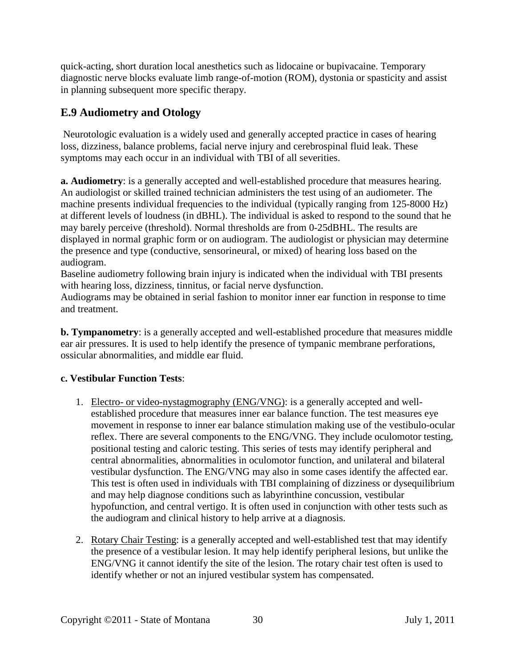quick-acting, short duration local anesthetics such as lidocaine or bupivacaine. Temporary diagnostic nerve blocks evaluate limb range-of-motion (ROM), dystonia or spasticity and assist in planning subsequent more specific therapy.

# **E.9 Audiometry and Otology**

Neurotologic evaluation is a widely used and generally accepted practice in cases of hearing loss, dizziness, balance problems, facial nerve injury and cerebrospinal fluid leak. These symptoms may each occur in an individual with TBI of all severities.

**a. Audiometry**: is a generally accepted and well-established procedure that measures hearing. An audiologist or skilled trained technician administers the test using of an audiometer. The machine presents individual frequencies to the individual (typically ranging from 125-8000 Hz) at different levels of loudness (in dBHL). The individual is asked to respond to the sound that he may barely perceive (threshold). Normal thresholds are from 0-25dBHL. The results are displayed in normal graphic form or on audiogram. The audiologist or physician may determine the presence and type (conductive, sensorineural, or mixed) of hearing loss based on the audiogram.

Baseline audiometry following brain injury is indicated when the individual with TBI presents with hearing loss, dizziness, tinnitus, or facial nerve dysfunction.

Audiograms may be obtained in serial fashion to monitor inner ear function in response to time and treatment.

**b. Tympanometry**: is a generally accepted and well-established procedure that measures middle ear air pressures. It is used to help identify the presence of tympanic membrane perforations, ossicular abnormalities, and middle ear fluid.

#### **c. Vestibular Function Tests**:

- 1. Electro- or video-nystagmography (ENG/VNG): is a generally accepted and wellestablished procedure that measures inner ear balance function. The test measures eye movement in response to inner ear balance stimulation making use of the vestibulo-ocular reflex. There are several components to the ENG/VNG. They include oculomotor testing, positional testing and caloric testing. This series of tests may identify peripheral and central abnormalities, abnormalities in oculomotor function, and unilateral and bilateral vestibular dysfunction. The ENG/VNG may also in some cases identify the affected ear. This test is often used in individuals with TBI complaining of dizziness or dysequilibrium and may help diagnose conditions such as labyrinthine concussion, vestibular hypofunction, and central vertigo. It is often used in conjunction with other tests such as the audiogram and clinical history to help arrive at a diagnosis.
- 2. Rotary Chair Testing: is a generally accepted and well-established test that may identify the presence of a vestibular lesion. It may help identify peripheral lesions, but unlike the ENG/VNG it cannot identify the site of the lesion. The rotary chair test often is used to identify whether or not an injured vestibular system has compensated.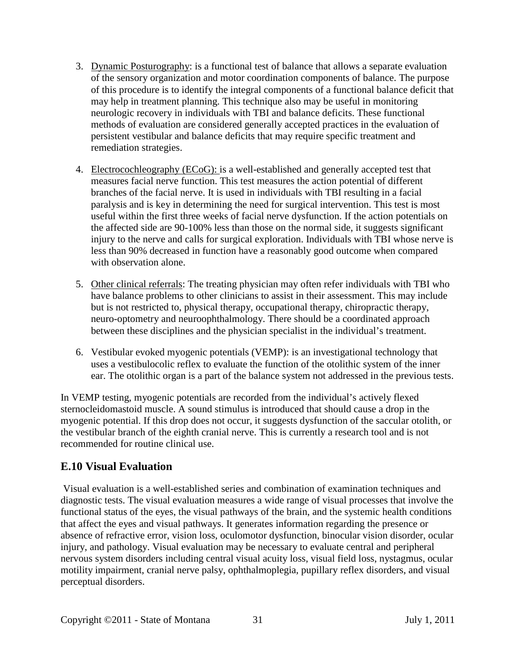- 3. Dynamic Posturography: is a functional test of balance that allows a separate evaluation of the sensory organization and motor coordination components of balance. The purpose of this procedure is to identify the integral components of a functional balance deficit that may help in treatment planning. This technique also may be useful in monitoring neurologic recovery in individuals with TBI and balance deficits. These functional methods of evaluation are considered generally accepted practices in the evaluation of persistent vestibular and balance deficits that may require specific treatment and remediation strategies.
- 4. Electrocochleography (ECoG): is a well-established and generally accepted test that measures facial nerve function. This test measures the action potential of different branches of the facial nerve. It is used in individuals with TBI resulting in a facial paralysis and is key in determining the need for surgical intervention. This test is most useful within the first three weeks of facial nerve dysfunction. If the action potentials on the affected side are 90-100% less than those on the normal side, it suggests significant injury to the nerve and calls for surgical exploration. Individuals with TBI whose nerve is less than 90% decreased in function have a reasonably good outcome when compared with observation alone.
- 5. Other clinical referrals: The treating physician may often refer individuals with TBI who have balance problems to other clinicians to assist in their assessment. This may include but is not restricted to, physical therapy, occupational therapy, chiropractic therapy, neuro-optometry and neuroophthalmology. There should be a coordinated approach between these disciplines and the physician specialist in the individual's treatment.
- 6. Vestibular evoked myogenic potentials (VEMP): is an investigational technology that uses a vestibulocolic reflex to evaluate the function of the otolithic system of the inner ear. The otolithic organ is a part of the balance system not addressed in the previous tests.

In VEMP testing, myogenic potentials are recorded from the individual's actively flexed sternocleidomastoid muscle. A sound stimulus is introduced that should cause a drop in the myogenic potential. If this drop does not occur, it suggests dysfunction of the saccular otolith, or the vestibular branch of the eighth cranial nerve. This is currently a research tool and is not recommended for routine clinical use.

# **E.10 Visual Evaluation**

Visual evaluation is a well-established series and combination of examination techniques and diagnostic tests. The visual evaluation measures a wide range of visual processes that involve the functional status of the eyes, the visual pathways of the brain, and the systemic health conditions that affect the eyes and visual pathways. It generates information regarding the presence or absence of refractive error, vision loss, oculomotor dysfunction, binocular vision disorder, ocular injury, and pathology. Visual evaluation may be necessary to evaluate central and peripheral nervous system disorders including central visual acuity loss, visual field loss, nystagmus, ocular motility impairment, cranial nerve palsy, ophthalmoplegia, pupillary reflex disorders, and visual perceptual disorders.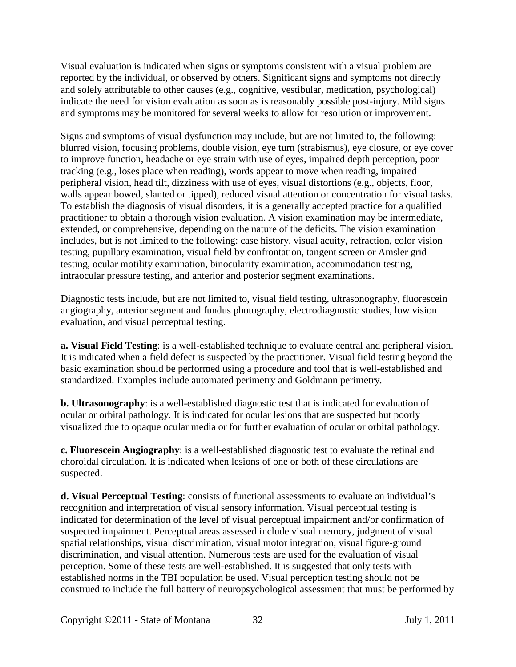Visual evaluation is indicated when signs or symptoms consistent with a visual problem are reported by the individual, or observed by others. Significant signs and symptoms not directly and solely attributable to other causes (e.g., cognitive, vestibular, medication, psychological) indicate the need for vision evaluation as soon as is reasonably possible post-injury. Mild signs and symptoms may be monitored for several weeks to allow for resolution or improvement.

Signs and symptoms of visual dysfunction may include, but are not limited to, the following: blurred vision, focusing problems, double vision, eye turn (strabismus), eye closure, or eye cover to improve function, headache or eye strain with use of eyes, impaired depth perception, poor tracking (e.g., loses place when reading), words appear to move when reading, impaired peripheral vision, head tilt, dizziness with use of eyes, visual distortions (e.g., objects, floor, walls appear bowed, slanted or tipped), reduced visual attention or concentration for visual tasks. To establish the diagnosis of visual disorders, it is a generally accepted practice for a qualified practitioner to obtain a thorough vision evaluation. A vision examination may be intermediate, extended, or comprehensive, depending on the nature of the deficits. The vision examination includes, but is not limited to the following: case history, visual acuity, refraction, color vision testing, pupillary examination, visual field by confrontation, tangent screen or Amsler grid testing, ocular motility examination, binocularity examination, accommodation testing, intraocular pressure testing, and anterior and posterior segment examinations.

Diagnostic tests include, but are not limited to, visual field testing, ultrasonography, fluorescein angiography, anterior segment and fundus photography, electrodiagnostic studies, low vision evaluation, and visual perceptual testing.

**a. Visual Field Testing**: is a well-established technique to evaluate central and peripheral vision. It is indicated when a field defect is suspected by the practitioner. Visual field testing beyond the basic examination should be performed using a procedure and tool that is well-established and standardized. Examples include automated perimetry and Goldmann perimetry.

**b. Ultrasonography**: is a well-established diagnostic test that is indicated for evaluation of ocular or orbital pathology. It is indicated for ocular lesions that are suspected but poorly visualized due to opaque ocular media or for further evaluation of ocular or orbital pathology.

**c. Fluorescein Angiography**: is a well-established diagnostic test to evaluate the retinal and choroidal circulation. It is indicated when lesions of one or both of these circulations are suspected.

**d. Visual Perceptual Testing**: consists of functional assessments to evaluate an individual's recognition and interpretation of visual sensory information. Visual perceptual testing is indicated for determination of the level of visual perceptual impairment and/or confirmation of suspected impairment. Perceptual areas assessed include visual memory, judgment of visual spatial relationships, visual discrimination, visual motor integration, visual figure-ground discrimination, and visual attention. Numerous tests are used for the evaluation of visual perception. Some of these tests are well-established. It is suggested that only tests with established norms in the TBI population be used. Visual perception testing should not be construed to include the full battery of neuropsychological assessment that must be performed by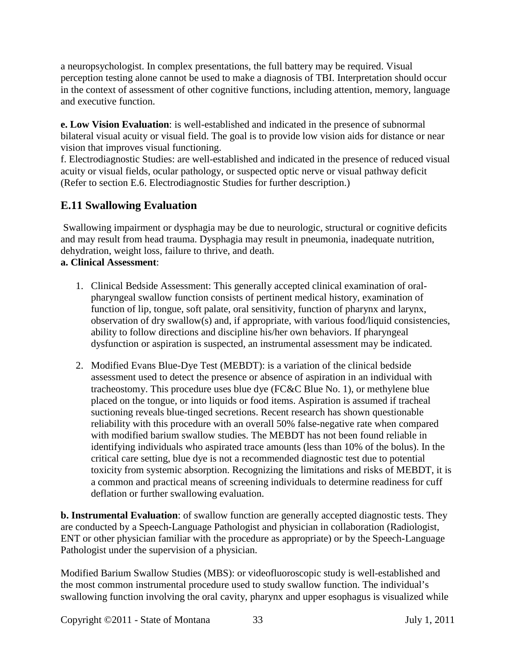a neuropsychologist. In complex presentations, the full battery may be required. Visual perception testing alone cannot be used to make a diagnosis of TBI. Interpretation should occur in the context of assessment of other cognitive functions, including attention, memory, language and executive function.

**e. Low Vision Evaluation**: is well-established and indicated in the presence of subnormal bilateral visual acuity or visual field. The goal is to provide low vision aids for distance or near vision that improves visual functioning.

f. Electrodiagnostic Studies: are well-established and indicated in the presence of reduced visual acuity or visual fields, ocular pathology, or suspected optic nerve or visual pathway deficit (Refer to section E.6. Electrodiagnostic Studies for further description.)

# **E.11 Swallowing Evaluation**

Swallowing impairment or dysphagia may be due to neurologic, structural or cognitive deficits and may result from head trauma. Dysphagia may result in pneumonia, inadequate nutrition, dehydration, weight loss, failure to thrive, and death.

#### **a. Clinical Assessment**:

- 1. Clinical Bedside Assessment: This generally accepted clinical examination of oralpharyngeal swallow function consists of pertinent medical history, examination of function of lip, tongue, soft palate, oral sensitivity, function of pharynx and larynx, observation of dry swallow(s) and, if appropriate, with various food/liquid consistencies, ability to follow directions and discipline his/her own behaviors. If pharyngeal dysfunction or aspiration is suspected, an instrumental assessment may be indicated.
- 2. Modified Evans Blue-Dye Test (MEBDT): is a variation of the clinical bedside assessment used to detect the presence or absence of aspiration in an individual with tracheostomy. This procedure uses blue dye (FC&C Blue No. 1), or methylene blue placed on the tongue, or into liquids or food items. Aspiration is assumed if tracheal suctioning reveals blue-tinged secretions. Recent research has shown questionable reliability with this procedure with an overall 50% false-negative rate when compared with modified barium swallow studies. The MEBDT has not been found reliable in identifying individuals who aspirated trace amounts (less than 10% of the bolus). In the critical care setting, blue dye is not a recommended diagnostic test due to potential toxicity from systemic absorption. Recognizing the limitations and risks of MEBDT, it is a common and practical means of screening individuals to determine readiness for cuff deflation or further swallowing evaluation.

**b. Instrumental Evaluation**: of swallow function are generally accepted diagnostic tests. They are conducted by a Speech-Language Pathologist and physician in collaboration (Radiologist, ENT or other physician familiar with the procedure as appropriate) or by the Speech-Language Pathologist under the supervision of a physician.

Modified Barium Swallow Studies (MBS): or videofluoroscopic study is well-established and the most common instrumental procedure used to study swallow function. The individual's swallowing function involving the oral cavity, pharynx and upper esophagus is visualized while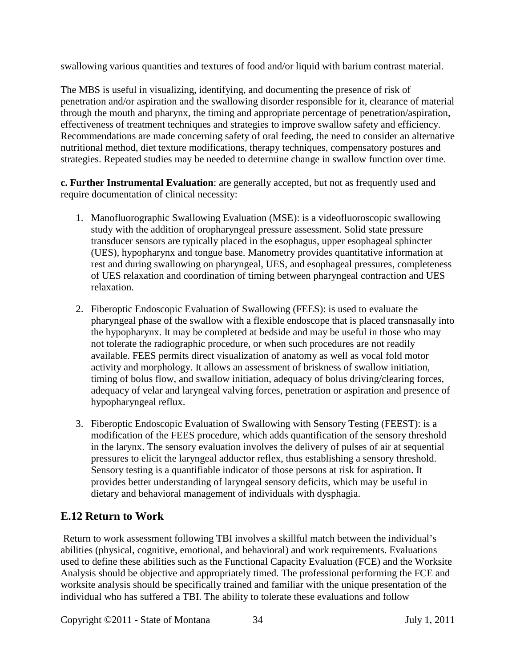swallowing various quantities and textures of food and/or liquid with barium contrast material.

The MBS is useful in visualizing, identifying, and documenting the presence of risk of penetration and/or aspiration and the swallowing disorder responsible for it, clearance of material through the mouth and pharynx, the timing and appropriate percentage of penetration/aspiration, effectiveness of treatment techniques and strategies to improve swallow safety and efficiency. Recommendations are made concerning safety of oral feeding, the need to consider an alternative nutritional method, diet texture modifications, therapy techniques, compensatory postures and strategies. Repeated studies may be needed to determine change in swallow function over time.

**c. Further Instrumental Evaluation**: are generally accepted, but not as frequently used and require documentation of clinical necessity:

- 1. Manofluorographic Swallowing Evaluation (MSE): is a videofluoroscopic swallowing study with the addition of oropharyngeal pressure assessment. Solid state pressure transducer sensors are typically placed in the esophagus, upper esophageal sphincter (UES), hypopharynx and tongue base. Manometry provides quantitative information at rest and during swallowing on pharyngeal, UES, and esophageal pressures, completeness of UES relaxation and coordination of timing between pharyngeal contraction and UES relaxation.
- 2. Fiberoptic Endoscopic Evaluation of Swallowing (FEES): is used to evaluate the pharyngeal phase of the swallow with a flexible endoscope that is placed transnasally into the hypopharynx. It may be completed at bedside and may be useful in those who may not tolerate the radiographic procedure, or when such procedures are not readily available. FEES permits direct visualization of anatomy as well as vocal fold motor activity and morphology. It allows an assessment of briskness of swallow initiation, timing of bolus flow, and swallow initiation, adequacy of bolus driving/clearing forces, adequacy of velar and laryngeal valving forces, penetration or aspiration and presence of hypopharyngeal reflux.
- 3. Fiberoptic Endoscopic Evaluation of Swallowing with Sensory Testing (FEEST): is a modification of the FEES procedure, which adds quantification of the sensory threshold in the larynx. The sensory evaluation involves the delivery of pulses of air at sequential pressures to elicit the laryngeal adductor reflex, thus establishing a sensory threshold. Sensory testing is a quantifiable indicator of those persons at risk for aspiration. It provides better understanding of laryngeal sensory deficits, which may be useful in dietary and behavioral management of individuals with dysphagia.

# **E.12 Return to Work**

Return to work assessment following TBI involves a skillful match between the individual's abilities (physical, cognitive, emotional, and behavioral) and work requirements. Evaluations used to define these abilities such as the Functional Capacity Evaluation (FCE) and the Worksite Analysis should be objective and appropriately timed. The professional performing the FCE and worksite analysis should be specifically trained and familiar with the unique presentation of the individual who has suffered a TBI. The ability to tolerate these evaluations and follow

Copyright ©2011 - State of Montana 34 July 1, 2011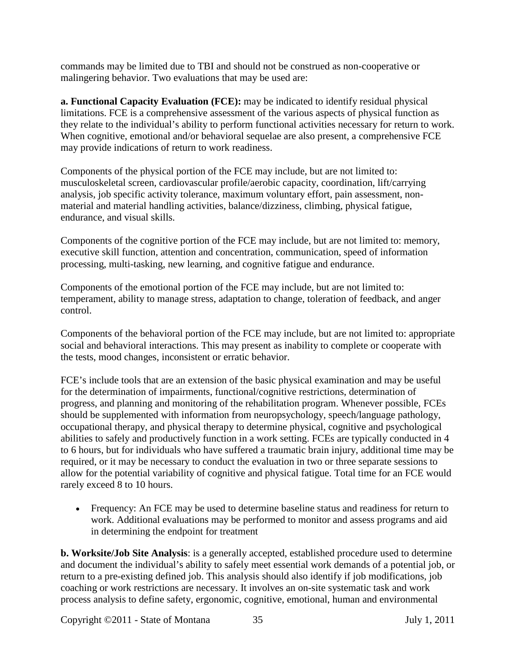commands may be limited due to TBI and should not be construed as non-cooperative or malingering behavior. Two evaluations that may be used are:

**a. Functional Capacity Evaluation (FCE):** may be indicated to identify residual physical limitations. FCE is a comprehensive assessment of the various aspects of physical function as they relate to the individual's ability to perform functional activities necessary for return to work. When cognitive, emotional and/or behavioral sequelae are also present, a comprehensive FCE may provide indications of return to work readiness.

Components of the physical portion of the FCE may include, but are not limited to: musculoskeletal screen, cardiovascular profile/aerobic capacity, coordination, lift/carrying analysis, job specific activity tolerance, maximum voluntary effort, pain assessment, nonmaterial and material handling activities, balance/dizziness, climbing, physical fatigue, endurance, and visual skills.

Components of the cognitive portion of the FCE may include, but are not limited to: memory, executive skill function, attention and concentration, communication, speed of information processing, multi-tasking, new learning, and cognitive fatigue and endurance.

Components of the emotional portion of the FCE may include, but are not limited to: temperament, ability to manage stress, adaptation to change, toleration of feedback, and anger control.

Components of the behavioral portion of the FCE may include, but are not limited to: appropriate social and behavioral interactions. This may present as inability to complete or cooperate with the tests, mood changes, inconsistent or erratic behavior.

FCE's include tools that are an extension of the basic physical examination and may be useful for the determination of impairments, functional/cognitive restrictions, determination of progress, and planning and monitoring of the rehabilitation program. Whenever possible, FCEs should be supplemented with information from neuropsychology, speech/language pathology, occupational therapy, and physical therapy to determine physical, cognitive and psychological abilities to safely and productively function in a work setting. FCEs are typically conducted in 4 to 6 hours, but for individuals who have suffered a traumatic brain injury, additional time may be required, or it may be necessary to conduct the evaluation in two or three separate sessions to allow for the potential variability of cognitive and physical fatigue. Total time for an FCE would rarely exceed 8 to 10 hours.

• Frequency: An FCE may be used to determine baseline status and readiness for return to work. Additional evaluations may be performed to monitor and assess programs and aid in determining the endpoint for treatment

**b. Worksite/Job Site Analysis**: is a generally accepted, established procedure used to determine and document the individual's ability to safely meet essential work demands of a potential job, or return to a pre-existing defined job. This analysis should also identify if job modifications, job coaching or work restrictions are necessary. It involves an on-site systematic task and work process analysis to define safety, ergonomic, cognitive, emotional, human and environmental

Copyright ©2011 - State of Montana 35 July 1, 2011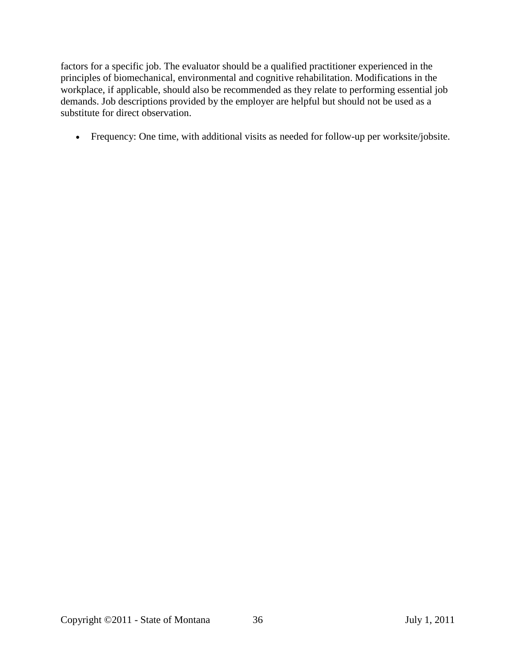factors for a specific job. The evaluator should be a qualified practitioner experienced in the principles of biomechanical, environmental and cognitive rehabilitation. Modifications in the workplace, if applicable, should also be recommended as they relate to performing essential job demands. Job descriptions provided by the employer are helpful but should not be used as a substitute for direct observation.

• Frequency: One time, with additional visits as needed for follow-up per worksite/jobsite.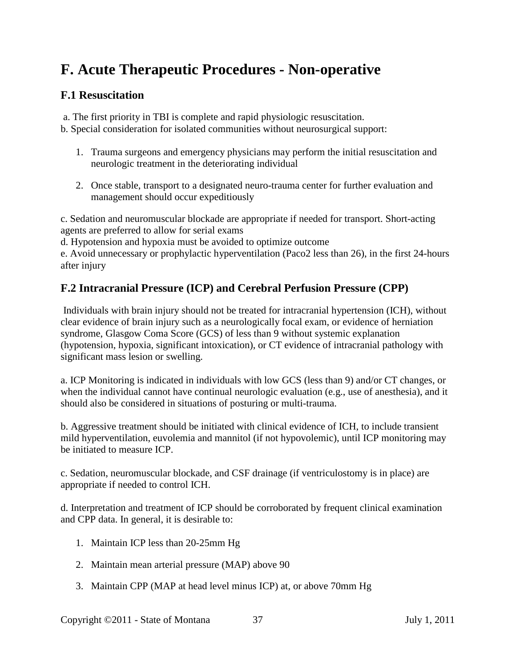# **F. Acute Therapeutic Procedures - Non-operative**

## **F.1 Resuscitation**

a. The first priority in TBI is complete and rapid physiologic resuscitation.

b. Special consideration for isolated communities without neurosurgical support:

- 1. Trauma surgeons and emergency physicians may perform the initial resuscitation and neurologic treatment in the deteriorating individual
- 2. Once stable, transport to a designated neuro-trauma center for further evaluation and management should occur expeditiously

c. Sedation and neuromuscular blockade are appropriate if needed for transport. Short-acting agents are preferred to allow for serial exams

d. Hypotension and hypoxia must be avoided to optimize outcome

e. Avoid unnecessary or prophylactic hyperventilation (Paco2 less than 26), in the first 24-hours after injury

## **F.2 Intracranial Pressure (ICP) and Cerebral Perfusion Pressure (CPP)**

Individuals with brain injury should not be treated for intracranial hypertension (ICH), without clear evidence of brain injury such as a neurologically focal exam, or evidence of herniation syndrome, Glasgow Coma Score (GCS) of less than 9 without systemic explanation (hypotension, hypoxia, significant intoxication), or CT evidence of intracranial pathology with significant mass lesion or swelling.

a. ICP Monitoring is indicated in individuals with low GCS (less than 9) and/or CT changes, or when the individual cannot have continual neurologic evaluation (e.g., use of anesthesia), and it should also be considered in situations of posturing or multi-trauma.

b. Aggressive treatment should be initiated with clinical evidence of ICH, to include transient mild hyperventilation, euvolemia and mannitol (if not hypovolemic), until ICP monitoring may be initiated to measure ICP.

c. Sedation, neuromuscular blockade, and CSF drainage (if ventriculostomy is in place) are appropriate if needed to control ICH.

d. Interpretation and treatment of ICP should be corroborated by frequent clinical examination and CPP data. In general, it is desirable to:

- 1. Maintain ICP less than 20-25mm Hg
- 2. Maintain mean arterial pressure (MAP) above 90
- 3. Maintain CPP (MAP at head level minus ICP) at, or above 70mm Hg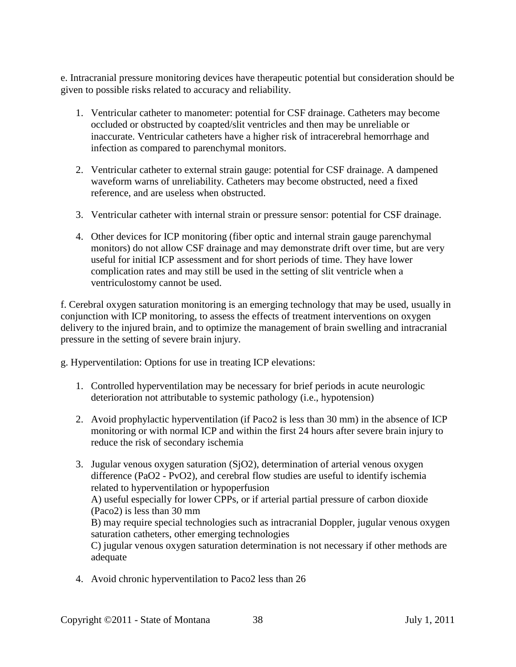e. Intracranial pressure monitoring devices have therapeutic potential but consideration should be given to possible risks related to accuracy and reliability.

- 1. Ventricular catheter to manometer: potential for CSF drainage. Catheters may become occluded or obstructed by coapted/slit ventricles and then may be unreliable or inaccurate. Ventricular catheters have a higher risk of intracerebral hemorrhage and infection as compared to parenchymal monitors.
- 2. Ventricular catheter to external strain gauge: potential for CSF drainage. A dampened waveform warns of unreliability. Catheters may become obstructed, need a fixed reference, and are useless when obstructed.
- 3. Ventricular catheter with internal strain or pressure sensor: potential for CSF drainage.
- 4. Other devices for ICP monitoring (fiber optic and internal strain gauge parenchymal monitors) do not allow CSF drainage and may demonstrate drift over time, but are very useful for initial ICP assessment and for short periods of time. They have lower complication rates and may still be used in the setting of slit ventricle when a ventriculostomy cannot be used.

f. Cerebral oxygen saturation monitoring is an emerging technology that may be used, usually in conjunction with ICP monitoring, to assess the effects of treatment interventions on oxygen delivery to the injured brain, and to optimize the management of brain swelling and intracranial pressure in the setting of severe brain injury.

g. Hyperventilation: Options for use in treating ICP elevations:

- 1. Controlled hyperventilation may be necessary for brief periods in acute neurologic deterioration not attributable to systemic pathology (i.e., hypotension)
- 2. Avoid prophylactic hyperventilation (if Paco2 is less than 30 mm) in the absence of ICP monitoring or with normal ICP and within the first 24 hours after severe brain injury to reduce the risk of secondary ischemia
- 3. Jugular venous oxygen saturation (SjO2), determination of arterial venous oxygen difference (PaO2 - PvO2), and cerebral flow studies are useful to identify ischemia related to hyperventilation or hypoperfusion A) useful especially for lower CPPs, or if arterial partial pressure of carbon dioxide (Paco2) is less than 30 mm B) may require special technologies such as intracranial Doppler, jugular venous oxygen saturation catheters, other emerging technologies C) jugular venous oxygen saturation determination is not necessary if other methods are adequate
- 4. Avoid chronic hyperventilation to Paco2 less than 26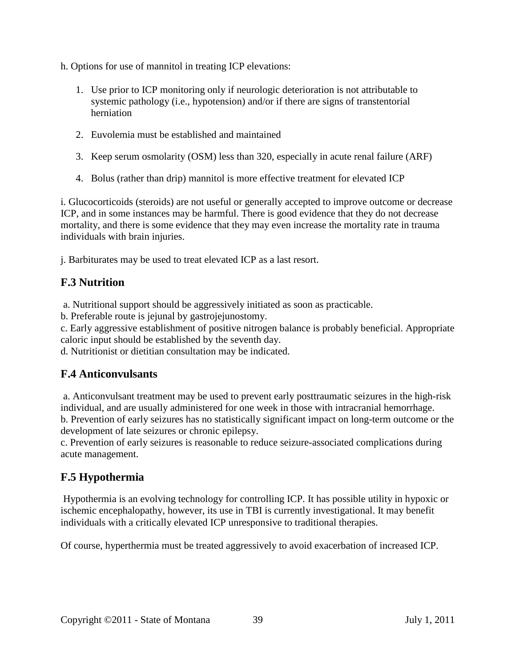h. Options for use of mannitol in treating ICP elevations:

- 1. Use prior to ICP monitoring only if neurologic deterioration is not attributable to systemic pathology (i.e., hypotension) and/or if there are signs of transtentorial herniation
- 2. Euvolemia must be established and maintained
- 3. Keep serum osmolarity (OSM) less than 320, especially in acute renal failure (ARF)
- 4. Bolus (rather than drip) mannitol is more effective treatment for elevated ICP

i. Glucocorticoids (steroids) are not useful or generally accepted to improve outcome or decrease ICP, and in some instances may be harmful. There is good evidence that they do not decrease mortality, and there is some evidence that they may even increase the mortality rate in trauma individuals with brain injuries.

j. Barbiturates may be used to treat elevated ICP as a last resort.

# **F.3 Nutrition**

a. Nutritional support should be aggressively initiated as soon as practicable.

b. Preferable route is jejunal by gastrojejunostomy.

c. Early aggressive establishment of positive nitrogen balance is probably beneficial. Appropriate caloric input should be established by the seventh day.

d. Nutritionist or dietitian consultation may be indicated.

## **F.4 Anticonvulsants**

a. Anticonvulsant treatment may be used to prevent early posttraumatic seizures in the high-risk individual, and are usually administered for one week in those with intracranial hemorrhage. b. Prevention of early seizures has no statistically significant impact on long-term outcome or the development of late seizures or chronic epilepsy.

c. Prevention of early seizures is reasonable to reduce seizure-associated complications during acute management.

# **F.5 Hypothermia**

Hypothermia is an evolving technology for controlling ICP. It has possible utility in hypoxic or ischemic encephalopathy, however, its use in TBI is currently investigational. It may benefit individuals with a critically elevated ICP unresponsive to traditional therapies.

Of course, hyperthermia must be treated aggressively to avoid exacerbation of increased ICP.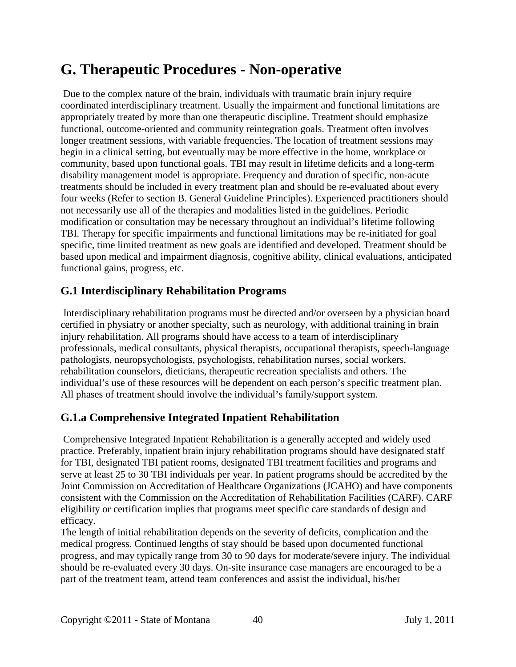# **G. Therapeutic Procedures - Non-operative**

Due to the complex nature of the brain, individuals with traumatic brain injury require coordinated interdisciplinary treatment. Usually the impairment and functional limitations are appropriately treated by more than one therapeutic discipline. Treatment should emphasize functional, outcome-oriented and community reintegration goals. Treatment often involves longer treatment sessions, with variable frequencies. The location of treatment sessions may begin in a clinical setting, but eventually may be more effective in the home, workplace or community, based upon functional goals. TBI may result in lifetime deficits and a long-term disability management model is appropriate. Frequency and duration of specific, non-acute treatments should be included in every treatment plan and should be re-evaluated about every four weeks (Refer to section B. General Guideline Principles). Experienced practitioners should not necessarily use all of the therapies and modalities listed in the guidelines. Periodic modification or consultation may be necessary throughout an individual's lifetime following TBI. Therapy for specific impairments and functional limitations may be re-initiated for goal specific, time limited treatment as new goals are identified and developed. Treatment should be based upon medical and impairment diagnosis, cognitive ability, clinical evaluations, anticipated functional gains, progress, etc.

#### **G.1 Interdisciplinary Rehabilitation Programs**

Interdisciplinary rehabilitation programs must be directed and/or overseen by a physician board certified in physiatry or another specialty, such as neurology, with additional training in brain injury rehabilitation. All programs should have access to a team of interdisciplinary professionals, medical consultants, physical therapists, occupational therapists, speech-language pathologists, neuropsychologists, psychologists, rehabilitation nurses, social workers, rehabilitation counselors, dieticians, therapeutic recreation specialists and others. The individual's use of these resources will be dependent on each person's specific treatment plan. All phases of treatment should involve the individual's family/support system.

#### **G.1.a Comprehensive Integrated Inpatient Rehabilitation**

Comprehensive Integrated Inpatient Rehabilitation is a generally accepted and widely used practice. Preferably, inpatient brain injury rehabilitation programs should have designated staff for TBI, designated TBI patient rooms, designated TBI treatment facilities and programs and serve at least 25 to 30 TBI individuals per year. In patient programs should be accredited by the Joint Commission on Accreditation of Healthcare Organizations (JCAHO) and have components consistent with the Commission on the Accreditation of Rehabilitation Facilities (CARF). CARF eligibility or certification implies that programs meet specific care standards of design and efficacy.

The length of initial rehabilitation depends on the severity of deficits, complication and the medical progress. Continued lengths of stay should be based upon documented functional progress, and may typically range from 30 to 90 days for moderate/severe injury. The individual should be re-evaluated every 30 days. On-site insurance case managers are encouraged to be a part of the treatment team, attend team conferences and assist the individual, his/her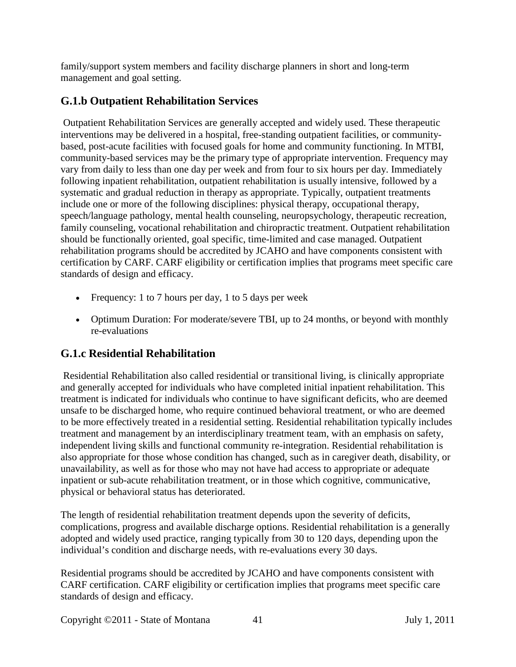family/support system members and facility discharge planners in short and long-term management and goal setting.

# **G.1.b Outpatient Rehabilitation Services**

Outpatient Rehabilitation Services are generally accepted and widely used. These therapeutic interventions may be delivered in a hospital, free-standing outpatient facilities, or communitybased, post-acute facilities with focused goals for home and community functioning. In MTBI, community-based services may be the primary type of appropriate intervention. Frequency may vary from daily to less than one day per week and from four to six hours per day. Immediately following inpatient rehabilitation, outpatient rehabilitation is usually intensive, followed by a systematic and gradual reduction in therapy as appropriate. Typically, outpatient treatments include one or more of the following disciplines: physical therapy, occupational therapy, speech/language pathology, mental health counseling, neuropsychology, therapeutic recreation, family counseling, vocational rehabilitation and chiropractic treatment. Outpatient rehabilitation should be functionally oriented, goal specific, time-limited and case managed. Outpatient rehabilitation programs should be accredited by JCAHO and have components consistent with certification by CARF. CARF eligibility or certification implies that programs meet specific care standards of design and efficacy.

- Frequency: 1 to 7 hours per day, 1 to 5 days per week
- Optimum Duration: For moderate/severe TBI, up to 24 months, or beyond with monthly re-evaluations

## **G.1.c Residential Rehabilitation**

Residential Rehabilitation also called residential or transitional living, is clinically appropriate and generally accepted for individuals who have completed initial inpatient rehabilitation. This treatment is indicated for individuals who continue to have significant deficits, who are deemed unsafe to be discharged home, who require continued behavioral treatment, or who are deemed to be more effectively treated in a residential setting. Residential rehabilitation typically includes treatment and management by an interdisciplinary treatment team, with an emphasis on safety, independent living skills and functional community re-integration. Residential rehabilitation is also appropriate for those whose condition has changed, such as in caregiver death, disability, or unavailability, as well as for those who may not have had access to appropriate or adequate inpatient or sub-acute rehabilitation treatment, or in those which cognitive, communicative, physical or behavioral status has deteriorated.

The length of residential rehabilitation treatment depends upon the severity of deficits, complications, progress and available discharge options. Residential rehabilitation is a generally adopted and widely used practice, ranging typically from 30 to 120 days, depending upon the individual's condition and discharge needs, with re-evaluations every 30 days.

Residential programs should be accredited by JCAHO and have components consistent with CARF certification. CARF eligibility or certification implies that programs meet specific care standards of design and efficacy.

Copyright ©2011 - State of Montana 41 July 1, 2011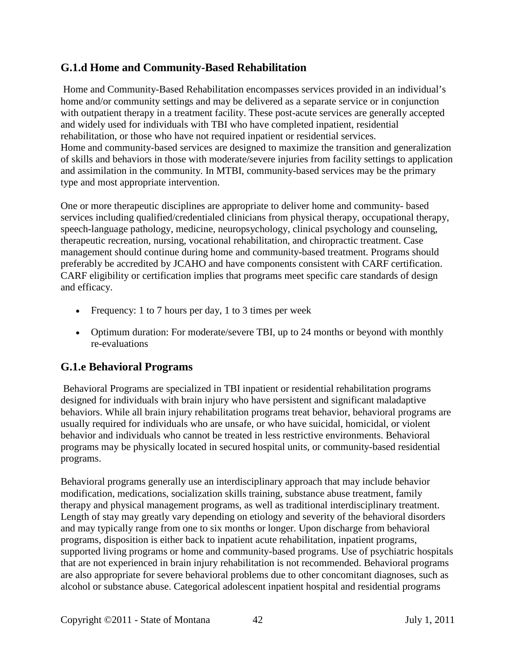#### **G.1.d Home and Community-Based Rehabilitation**

Home and Community-Based Rehabilitation encompasses services provided in an individual's home and/or community settings and may be delivered as a separate service or in conjunction with outpatient therapy in a treatment facility. These post-acute services are generally accepted and widely used for individuals with TBI who have completed inpatient, residential rehabilitation, or those who have not required inpatient or residential services. Home and community-based services are designed to maximize the transition and generalization of skills and behaviors in those with moderate/severe injuries from facility settings to application and assimilation in the community. In MTBI, community-based services may be the primary type and most appropriate intervention.

One or more therapeutic disciplines are appropriate to deliver home and community- based services including qualified/credentialed clinicians from physical therapy, occupational therapy, speech-language pathology, medicine, neuropsychology, clinical psychology and counseling, therapeutic recreation, nursing, vocational rehabilitation, and chiropractic treatment. Case management should continue during home and community-based treatment. Programs should preferably be accredited by JCAHO and have components consistent with CARF certification. CARF eligibility or certification implies that programs meet specific care standards of design and efficacy.

- Frequency: 1 to 7 hours per day, 1 to 3 times per week
- Optimum duration: For moderate/severe TBI, up to 24 months or beyond with monthly re-evaluations

#### **G.1.e Behavioral Programs**

Behavioral Programs are specialized in TBI inpatient or residential rehabilitation programs designed for individuals with brain injury who have persistent and significant maladaptive behaviors. While all brain injury rehabilitation programs treat behavior, behavioral programs are usually required for individuals who are unsafe, or who have suicidal, homicidal, or violent behavior and individuals who cannot be treated in less restrictive environments. Behavioral programs may be physically located in secured hospital units, or community-based residential programs.

Behavioral programs generally use an interdisciplinary approach that may include behavior modification, medications, socialization skills training, substance abuse treatment, family therapy and physical management programs, as well as traditional interdisciplinary treatment. Length of stay may greatly vary depending on etiology and severity of the behavioral disorders and may typically range from one to six months or longer. Upon discharge from behavioral programs, disposition is either back to inpatient acute rehabilitation, inpatient programs, supported living programs or home and community-based programs. Use of psychiatric hospitals that are not experienced in brain injury rehabilitation is not recommended. Behavioral programs are also appropriate for severe behavioral problems due to other concomitant diagnoses, such as alcohol or substance abuse. Categorical adolescent inpatient hospital and residential programs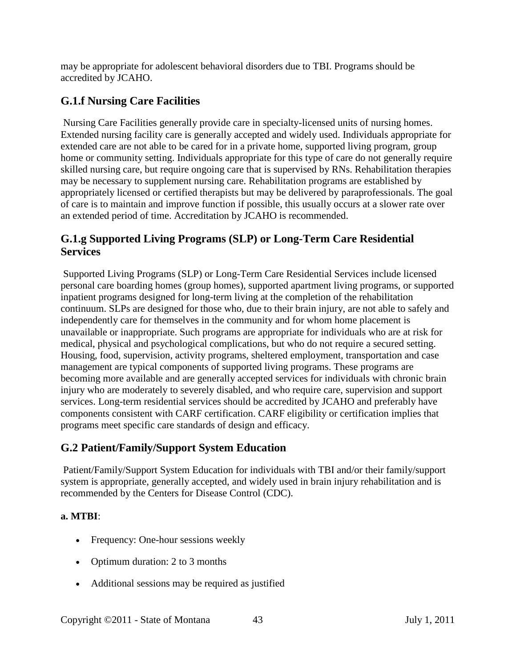may be appropriate for adolescent behavioral disorders due to TBI. Programs should be accredited by JCAHO.

## **G.1.f Nursing Care Facilities**

Nursing Care Facilities generally provide care in specialty-licensed units of nursing homes. Extended nursing facility care is generally accepted and widely used. Individuals appropriate for extended care are not able to be cared for in a private home, supported living program, group home or community setting. Individuals appropriate for this type of care do not generally require skilled nursing care, but require ongoing care that is supervised by RNs. Rehabilitation therapies may be necessary to supplement nursing care. Rehabilitation programs are established by appropriately licensed or certified therapists but may be delivered by paraprofessionals. The goal of care is to maintain and improve function if possible, this usually occurs at a slower rate over an extended period of time. Accreditation by JCAHO is recommended.

#### **G.1.g Supported Living Programs (SLP) or Long-Term Care Residential Services**

Supported Living Programs (SLP) or Long-Term Care Residential Services include licensed personal care boarding homes (group homes), supported apartment living programs, or supported inpatient programs designed for long-term living at the completion of the rehabilitation continuum. SLPs are designed for those who, due to their brain injury, are not able to safely and independently care for themselves in the community and for whom home placement is unavailable or inappropriate. Such programs are appropriate for individuals who are at risk for medical, physical and psychological complications, but who do not require a secured setting. Housing, food, supervision, activity programs, sheltered employment, transportation and case management are typical components of supported living programs. These programs are becoming more available and are generally accepted services for individuals with chronic brain injury who are moderately to severely disabled, and who require care, supervision and support services. Long-term residential services should be accredited by JCAHO and preferably have components consistent with CARF certification. CARF eligibility or certification implies that programs meet specific care standards of design and efficacy.

#### **G.2 Patient/Family/Support System Education**

Patient/Family/Support System Education for individuals with TBI and/or their family/support system is appropriate, generally accepted, and widely used in brain injury rehabilitation and is recommended by the Centers for Disease Control (CDC).

#### **a. MTBI**:

- Frequency: One-hour sessions weekly
- Optimum duration: 2 to 3 months
- Additional sessions may be required as justified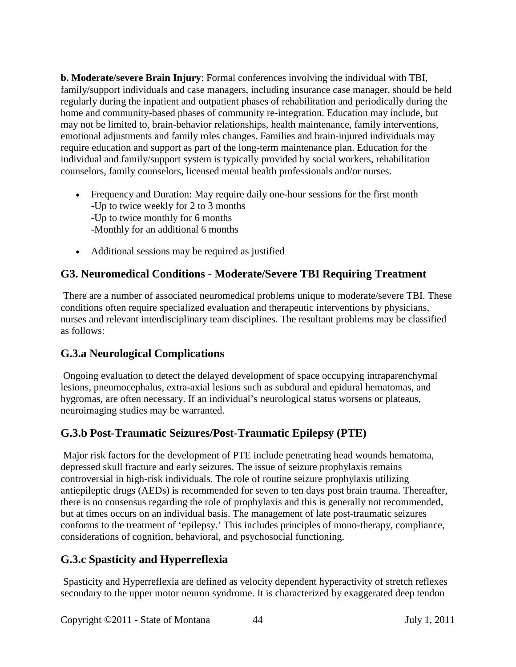**b. Moderate/severe Brain Injury**: Formal conferences involving the individual with TBI, family/support individuals and case managers, including insurance case manager, should be held regularly during the inpatient and outpatient phases of rehabilitation and periodically during the home and community-based phases of community re-integration. Education may include, but may not be limited to, brain-behavior relationships, health maintenance, family interventions, emotional adjustments and family roles changes. Families and brain-injured individuals may require education and support as part of the long-term maintenance plan. Education for the individual and family/support system is typically provided by social workers, rehabilitation counselors, family counselors, licensed mental health professionals and/or nurses.

- Frequency and Duration: May require daily one-hour sessions for the first month -Up to twice weekly for 2 to 3 months -Up to twice monthly for 6 months -Monthly for an additional 6 months
- Additional sessions may be required as justified

## **G3. Neuromedical Conditions - Moderate/Severe TBI Requiring Treatment**

There are a number of associated neuromedical problems unique to moderate/severe TBI. These conditions often require specialized evaluation and therapeutic interventions by physicians, nurses and relevant interdisciplinary team disciplines. The resultant problems may be classified as follows:

#### **G.3.a Neurological Complications**

Ongoing evaluation to detect the delayed development of space occupying intraparenchymal lesions, pneumocephalus, extra-axial lesions such as subdural and epidural hematomas, and hygromas, are often necessary. If an individual's neurological status worsens or plateaus, neuroimaging studies may be warranted.

#### **G.3.b Post-Traumatic Seizures/Post-Traumatic Epilepsy (PTE)**

Major risk factors for the development of PTE include penetrating head wounds hematoma, depressed skull fracture and early seizures. The issue of seizure prophylaxis remains controversial in high-risk individuals. The role of routine seizure prophylaxis utilizing antiepileptic drugs (AEDs) is recommended for seven to ten days post brain trauma. Thereafter, there is no consensus regarding the role of prophylaxis and this is generally not recommended, but at times occurs on an individual basis. The management of late post-traumatic seizures conforms to the treatment of 'epilepsy.' This includes principles of mono-therapy, compliance, considerations of cognition, behavioral, and psychosocial functioning.

#### **G.3.c Spasticity and Hyperreflexia**

Spasticity and Hyperreflexia are defined as velocity dependent hyperactivity of stretch reflexes secondary to the upper motor neuron syndrome. It is characterized by exaggerated deep tendon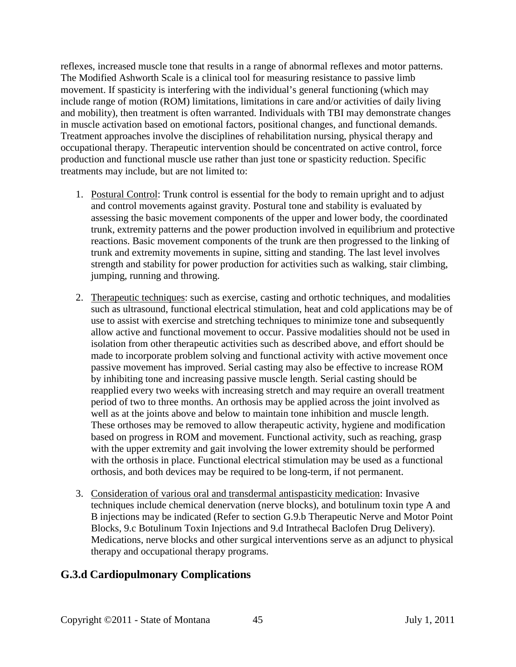reflexes, increased muscle tone that results in a range of abnormal reflexes and motor patterns. The Modified Ashworth Scale is a clinical tool for measuring resistance to passive limb movement. If spasticity is interfering with the individual's general functioning (which may include range of motion (ROM) limitations, limitations in care and/or activities of daily living and mobility), then treatment is often warranted. Individuals with TBI may demonstrate changes in muscle activation based on emotional factors, positional changes, and functional demands. Treatment approaches involve the disciplines of rehabilitation nursing, physical therapy and occupational therapy. Therapeutic intervention should be concentrated on active control, force production and functional muscle use rather than just tone or spasticity reduction. Specific treatments may include, but are not limited to:

- 1. Postural Control: Trunk control is essential for the body to remain upright and to adjust and control movements against gravity. Postural tone and stability is evaluated by assessing the basic movement components of the upper and lower body, the coordinated trunk, extremity patterns and the power production involved in equilibrium and protective reactions. Basic movement components of the trunk are then progressed to the linking of trunk and extremity movements in supine, sitting and standing. The last level involves strength and stability for power production for activities such as walking, stair climbing, jumping, running and throwing.
- 2. Therapeutic techniques: such as exercise, casting and orthotic techniques, and modalities such as ultrasound, functional electrical stimulation, heat and cold applications may be of use to assist with exercise and stretching techniques to minimize tone and subsequently allow active and functional movement to occur. Passive modalities should not be used in isolation from other therapeutic activities such as described above, and effort should be made to incorporate problem solving and functional activity with active movement once passive movement has improved. Serial casting may also be effective to increase ROM by inhibiting tone and increasing passive muscle length. Serial casting should be reapplied every two weeks with increasing stretch and may require an overall treatment period of two to three months. An orthosis may be applied across the joint involved as well as at the joints above and below to maintain tone inhibition and muscle length. These orthoses may be removed to allow therapeutic activity, hygiene and modification based on progress in ROM and movement. Functional activity, such as reaching, grasp with the upper extremity and gait involving the lower extremity should be performed with the orthosis in place. Functional electrical stimulation may be used as a functional orthosis, and both devices may be required to be long-term, if not permanent.
- 3. Consideration of various oral and transdermal antispasticity medication: Invasive techniques include chemical denervation (nerve blocks), and botulinum toxin type A and B injections may be indicated (Refer to section G.9.b Therapeutic Nerve and Motor Point Blocks, 9.c Botulinum Toxin Injections and 9.d Intrathecal Baclofen Drug Delivery). Medications, nerve blocks and other surgical interventions serve as an adjunct to physical therapy and occupational therapy programs.

#### **G.3.d Cardiopulmonary Complications**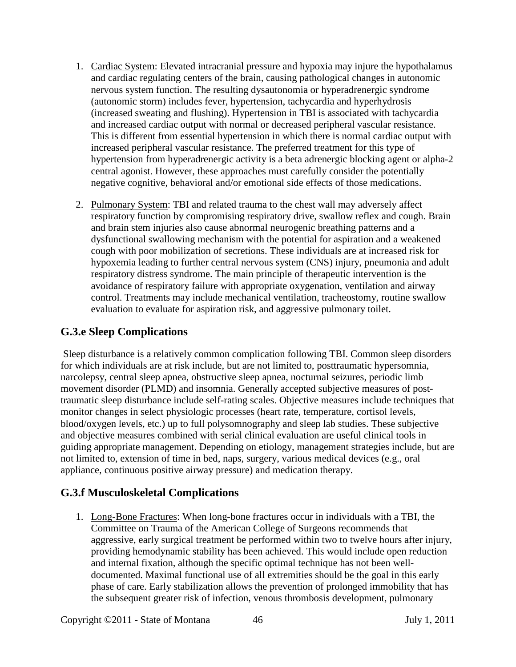- 1. Cardiac System: Elevated intracranial pressure and hypoxia may injure the hypothalamus and cardiac regulating centers of the brain, causing pathological changes in autonomic nervous system function. The resulting dysautonomia or hyperadrenergic syndrome (autonomic storm) includes fever, hypertension, tachycardia and hyperhydrosis (increased sweating and flushing). Hypertension in TBI is associated with tachycardia and increased cardiac output with normal or decreased peripheral vascular resistance. This is different from essential hypertension in which there is normal cardiac output with increased peripheral vascular resistance. The preferred treatment for this type of hypertension from hyperadrenergic activity is a beta adrenergic blocking agent or alpha-2 central agonist. However, these approaches must carefully consider the potentially negative cognitive, behavioral and/or emotional side effects of those medications.
- 2. Pulmonary System: TBI and related trauma to the chest wall may adversely affect respiratory function by compromising respiratory drive, swallow reflex and cough. Brain and brain stem injuries also cause abnormal neurogenic breathing patterns and a dysfunctional swallowing mechanism with the potential for aspiration and a weakened cough with poor mobilization of secretions. These individuals are at increased risk for hypoxemia leading to further central nervous system (CNS) injury, pneumonia and adult respiratory distress syndrome. The main principle of therapeutic intervention is the avoidance of respiratory failure with appropriate oxygenation, ventilation and airway control. Treatments may include mechanical ventilation, tracheostomy, routine swallow evaluation to evaluate for aspiration risk, and aggressive pulmonary toilet.

#### **G.3.e Sleep Complications**

Sleep disturbance is a relatively common complication following TBI. Common sleep disorders for which individuals are at risk include, but are not limited to, posttraumatic hypersomnia, narcolepsy, central sleep apnea, obstructive sleep apnea, nocturnal seizures, periodic limb movement disorder (PLMD) and insomnia. Generally accepted subjective measures of posttraumatic sleep disturbance include self-rating scales. Objective measures include techniques that monitor changes in select physiologic processes (heart rate, temperature, cortisol levels, blood/oxygen levels, etc.) up to full polysomnography and sleep lab studies. These subjective and objective measures combined with serial clinical evaluation are useful clinical tools in guiding appropriate management. Depending on etiology, management strategies include, but are not limited to, extension of time in bed, naps, surgery, various medical devices (e.g., oral appliance, continuous positive airway pressure) and medication therapy.

#### **G.3.f Musculoskeletal Complications**

1. Long-Bone Fractures: When long-bone fractures occur in individuals with a TBI, the Committee on Trauma of the American College of Surgeons recommends that aggressive, early surgical treatment be performed within two to twelve hours after injury, providing hemodynamic stability has been achieved. This would include open reduction and internal fixation, although the specific optimal technique has not been welldocumented. Maximal functional use of all extremities should be the goal in this early phase of care. Early stabilization allows the prevention of prolonged immobility that has the subsequent greater risk of infection, venous thrombosis development, pulmonary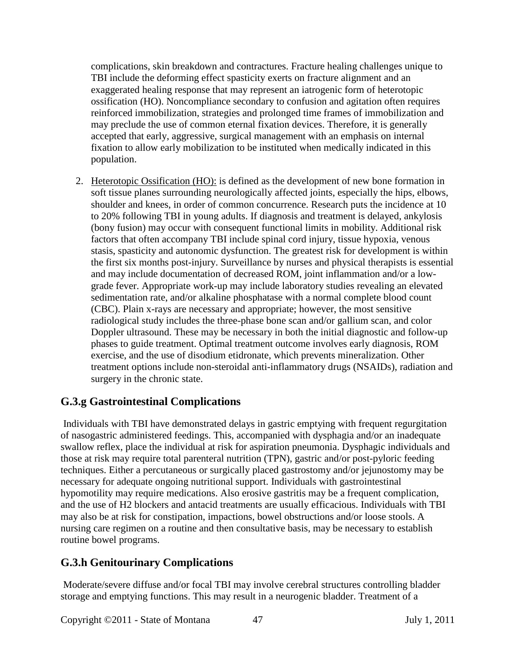complications, skin breakdown and contractures. Fracture healing challenges unique to TBI include the deforming effect spasticity exerts on fracture alignment and an exaggerated healing response that may represent an iatrogenic form of heterotopic ossification (HO). Noncompliance secondary to confusion and agitation often requires reinforced immobilization, strategies and prolonged time frames of immobilization and may preclude the use of common eternal fixation devices. Therefore, it is generally accepted that early, aggressive, surgical management with an emphasis on internal fixation to allow early mobilization to be instituted when medically indicated in this population.

2. Heterotopic Ossification (HO): is defined as the development of new bone formation in soft tissue planes surrounding neurologically affected joints, especially the hips, elbows, shoulder and knees, in order of common concurrence. Research puts the incidence at 10 to 20% following TBI in young adults. If diagnosis and treatment is delayed, ankylosis (bony fusion) may occur with consequent functional limits in mobility. Additional risk factors that often accompany TBI include spinal cord injury, tissue hypoxia, venous stasis, spasticity and autonomic dysfunction. The greatest risk for development is within the first six months post-injury. Surveillance by nurses and physical therapists is essential and may include documentation of decreased ROM, joint inflammation and/or a lowgrade fever. Appropriate work-up may include laboratory studies revealing an elevated sedimentation rate, and/or alkaline phosphatase with a normal complete blood count (CBC). Plain x-rays are necessary and appropriate; however, the most sensitive radiological study includes the three-phase bone scan and/or gallium scan, and color Doppler ultrasound. These may be necessary in both the initial diagnostic and follow-up phases to guide treatment. Optimal treatment outcome involves early diagnosis, ROM exercise, and the use of disodium etidronate, which prevents mineralization. Other treatment options include non-steroidal anti-inflammatory drugs (NSAIDs), radiation and surgery in the chronic state.

#### **G.3.g Gastrointestinal Complications**

Individuals with TBI have demonstrated delays in gastric emptying with frequent regurgitation of nasogastric administered feedings. This, accompanied with dysphagia and/or an inadequate swallow reflex, place the individual at risk for aspiration pneumonia. Dysphagic individuals and those at risk may require total parenteral nutrition (TPN), gastric and/or post-pyloric feeding techniques. Either a percutaneous or surgically placed gastrostomy and/or jejunostomy may be necessary for adequate ongoing nutritional support. Individuals with gastrointestinal hypomotility may require medications. Also erosive gastritis may be a frequent complication, and the use of H2 blockers and antacid treatments are usually efficacious. Individuals with TBI may also be at risk for constipation, impactions, bowel obstructions and/or loose stools. A nursing care regimen on a routine and then consultative basis, may be necessary to establish routine bowel programs.

#### **G.3.h Genitourinary Complications**

Moderate/severe diffuse and/or focal TBI may involve cerebral structures controlling bladder storage and emptying functions. This may result in a neurogenic bladder. Treatment of a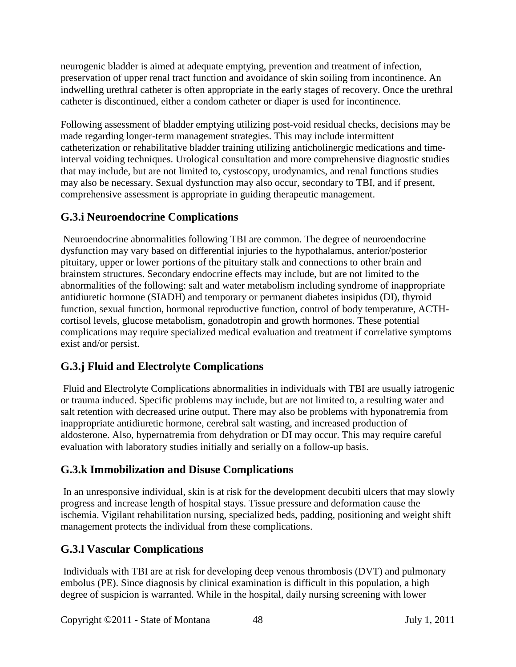neurogenic bladder is aimed at adequate emptying, prevention and treatment of infection, preservation of upper renal tract function and avoidance of skin soiling from incontinence. An indwelling urethral catheter is often appropriate in the early stages of recovery. Once the urethral catheter is discontinued, either a condom catheter or diaper is used for incontinence.

Following assessment of bladder emptying utilizing post-void residual checks, decisions may be made regarding longer-term management strategies. This may include intermittent catheterization or rehabilitative bladder training utilizing anticholinergic medications and timeinterval voiding techniques. Urological consultation and more comprehensive diagnostic studies that may include, but are not limited to, cystoscopy, urodynamics, and renal functions studies may also be necessary. Sexual dysfunction may also occur, secondary to TBI, and if present, comprehensive assessment is appropriate in guiding therapeutic management.

## **G.3.i Neuroendocrine Complications**

Neuroendocrine abnormalities following TBI are common. The degree of neuroendocrine dysfunction may vary based on differential injuries to the hypothalamus, anterior/posterior pituitary, upper or lower portions of the pituitary stalk and connections to other brain and brainstem structures. Secondary endocrine effects may include, but are not limited to the abnormalities of the following: salt and water metabolism including syndrome of inappropriate antidiuretic hormone (SIADH) and temporary or permanent diabetes insipidus (DI), thyroid function, sexual function, hormonal reproductive function, control of body temperature, ACTHcortisol levels, glucose metabolism, gonadotropin and growth hormones. These potential complications may require specialized medical evaluation and treatment if correlative symptoms exist and/or persist.

## **G.3.j Fluid and Electrolyte Complications**

Fluid and Electrolyte Complications abnormalities in individuals with TBI are usually iatrogenic or trauma induced. Specific problems may include, but are not limited to, a resulting water and salt retention with decreased urine output. There may also be problems with hyponatremia from inappropriate antidiuretic hormone, cerebral salt wasting, and increased production of aldosterone. Also, hypernatremia from dehydration or DI may occur. This may require careful evaluation with laboratory studies initially and serially on a follow-up basis.

## **G.3.k Immobilization and Disuse Complications**

In an unresponsive individual, skin is at risk for the development decubiti ulcers that may slowly progress and increase length of hospital stays. Tissue pressure and deformation cause the ischemia. Vigilant rehabilitation nursing, specialized beds, padding, positioning and weight shift management protects the individual from these complications.

#### **G.3.l Vascular Complications**

Individuals with TBI are at risk for developing deep venous thrombosis (DVT) and pulmonary embolus (PE). Since diagnosis by clinical examination is difficult in this population, a high degree of suspicion is warranted. While in the hospital, daily nursing screening with lower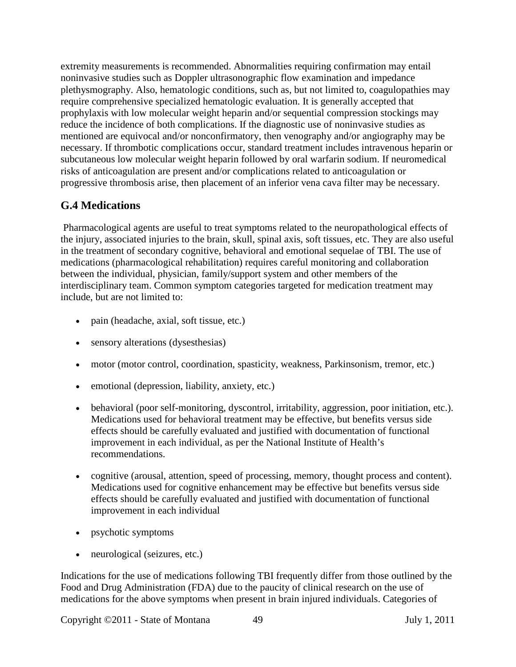extremity measurements is recommended. Abnormalities requiring confirmation may entail noninvasive studies such as Doppler ultrasonographic flow examination and impedance plethysmography. Also, hematologic conditions, such as, but not limited to, coagulopathies may require comprehensive specialized hematologic evaluation. It is generally accepted that prophylaxis with low molecular weight heparin and/or sequential compression stockings may reduce the incidence of both complications. If the diagnostic use of noninvasive studies as mentioned are equivocal and/or nonconfirmatory, then venography and/or angiography may be necessary. If thrombotic complications occur, standard treatment includes intravenous heparin or subcutaneous low molecular weight heparin followed by oral warfarin sodium. If neuromedical risks of anticoagulation are present and/or complications related to anticoagulation or progressive thrombosis arise, then placement of an inferior vena cava filter may be necessary.

#### **G.4 Medications**

Pharmacological agents are useful to treat symptoms related to the neuropathological effects of the injury, associated injuries to the brain, skull, spinal axis, soft tissues, etc. They are also useful in the treatment of secondary cognitive, behavioral and emotional sequelae of TBI. The use of medications (pharmacological rehabilitation) requires careful monitoring and collaboration between the individual, physician, family/support system and other members of the interdisciplinary team. Common symptom categories targeted for medication treatment may include, but are not limited to:

- pain (headache, axial, soft tissue, etc.)
- sensory alterations (dyses thesias)
- motor (motor control, coordination, spasticity, weakness, Parkinsonism, tremor, etc.)
- emotional (depression, liability, anxiety, etc.)
- behavioral (poor self-monitoring, dyscontrol, irritability, aggression, poor initiation, etc.). Medications used for behavioral treatment may be effective, but benefits versus side effects should be carefully evaluated and justified with documentation of functional improvement in each individual, as per the National Institute of Health's recommendations.
- cognitive (arousal, attention, speed of processing, memory, thought process and content). Medications used for cognitive enhancement may be effective but benefits versus side effects should be carefully evaluated and justified with documentation of functional improvement in each individual
- psychotic symptoms
- neurological (seizures, etc.)

Indications for the use of medications following TBI frequently differ from those outlined by the Food and Drug Administration (FDA) due to the paucity of clinical research on the use of medications for the above symptoms when present in brain injured individuals. Categories of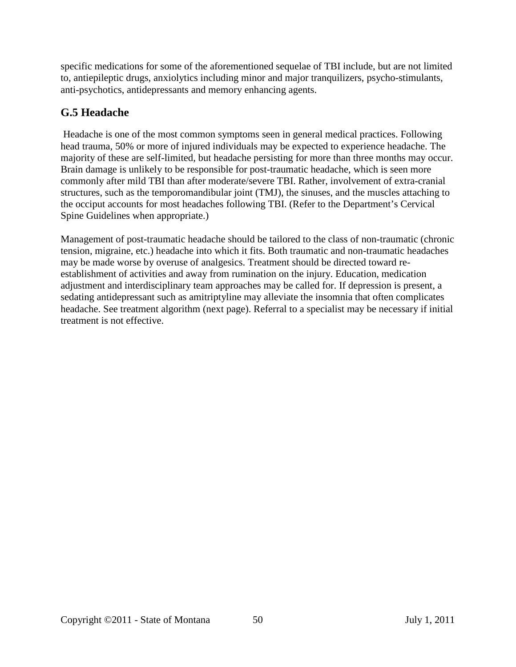specific medications for some of the aforementioned sequelae of TBI include, but are not limited to, antiepileptic drugs, anxiolytics including minor and major tranquilizers, psycho-stimulants, anti-psychotics, antidepressants and memory enhancing agents.

## **G.5 Headache**

Headache is one of the most common symptoms seen in general medical practices. Following head trauma, 50% or more of injured individuals may be expected to experience headache. The majority of these are self-limited, but headache persisting for more than three months may occur. Brain damage is unlikely to be responsible for post-traumatic headache, which is seen more commonly after mild TBI than after moderate/severe TBI. Rather, involvement of extra-cranial structures, such as the temporomandibular joint (TMJ), the sinuses, and the muscles attaching to the occiput accounts for most headaches following TBI. (Refer to the Department's Cervical Spine Guidelines when appropriate.)

Management of post-traumatic headache should be tailored to the class of non-traumatic (chronic tension, migraine, etc.) headache into which it fits. Both traumatic and non-traumatic headaches may be made worse by overuse of analgesics. Treatment should be directed toward reestablishment of activities and away from rumination on the injury. Education, medication adjustment and interdisciplinary team approaches may be called for. If depression is present, a sedating antidepressant such as amitriptyline may alleviate the insomnia that often complicates headache. See treatment algorithm (next page). Referral to a specialist may be necessary if initial treatment is not effective.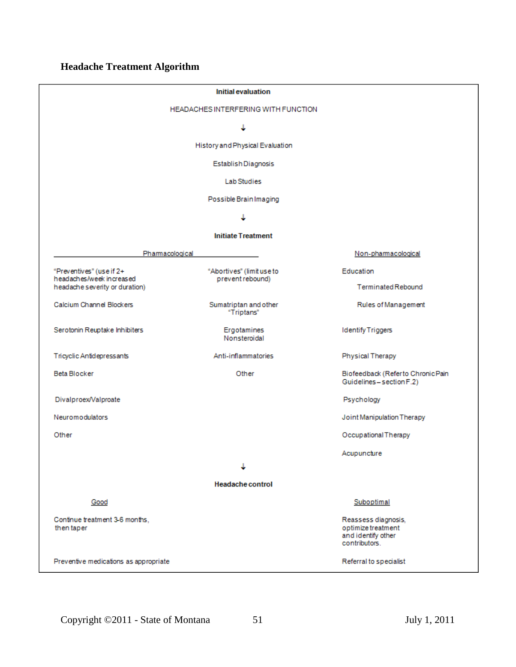# **Headache Treatment Algorithm**

| <b>Initial evaluation</b>                                                              |                                               |                                                                                  |
|----------------------------------------------------------------------------------------|-----------------------------------------------|----------------------------------------------------------------------------------|
| <b>HEADACHES INTERFERING WITH FUNCTION</b>                                             |                                               |                                                                                  |
|                                                                                        |                                               |                                                                                  |
| History and Physical Evaluation                                                        |                                               |                                                                                  |
| Establish Diagnosis                                                                    |                                               |                                                                                  |
| <b>Lab Studies</b>                                                                     |                                               |                                                                                  |
| Possible Brain Imaging                                                                 |                                               |                                                                                  |
|                                                                                        |                                               |                                                                                  |
| <b>Initiate Treatment</b>                                                              |                                               |                                                                                  |
| Pharmacological                                                                        |                                               | Non-pharmacological                                                              |
| "Preventives" (use if 2+<br>headaches/week increased<br>headache severity or duration) | "Abortives" (limit use to<br>prevent rebound) | Education                                                                        |
|                                                                                        |                                               | <b>Terminated Rebound</b>                                                        |
| Calcium Channel Blockers                                                               | Sumatriptan and other<br>"Triptans"           | Rules of Management                                                              |
| Serotonin Reuptake Inhibiters                                                          | Ergotamines<br>Nonsteroidal                   | <b>Identify Triggers</b>                                                         |
| Tricyclic Antidepressants                                                              | Anti-inflammatories                           | Physical Therapy                                                                 |
| Beta Blocker                                                                           | Other                                         | Biofeedback (Referto Chronic Pain<br>Guidelines-section F.2)                     |
| Divalproex/Valproate                                                                   |                                               | Psychology                                                                       |
| <b>Neuromodulators</b>                                                                 |                                               | Joint Manipulation Therapy                                                       |
| Other                                                                                  |                                               | Occupational Therapy                                                             |
|                                                                                        |                                               | Acupuncture                                                                      |
|                                                                                        |                                               |                                                                                  |
|                                                                                        | <b>Headache control</b>                       |                                                                                  |
| Good                                                                                   |                                               | Suboptimal                                                                       |
| Continue treatment 3-6 months,<br>then taper                                           |                                               | Reassess diagnosis,<br>optimize treatment<br>and identify other<br>contributors. |
| Preventive medications as appropriate                                                  |                                               | Referral to specialist                                                           |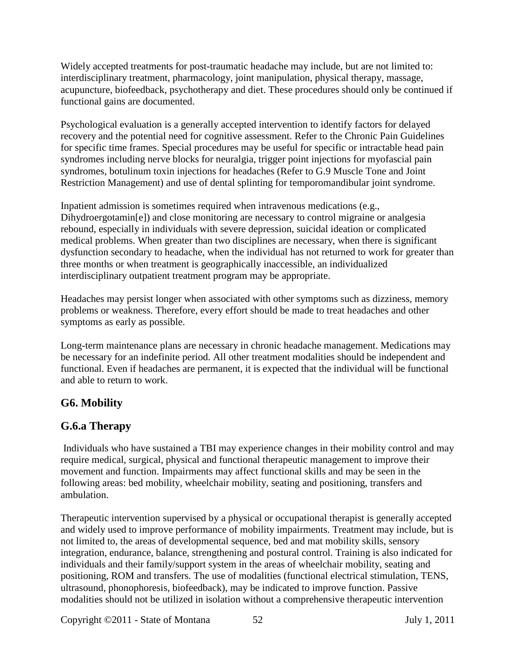Widely accepted treatments for post-traumatic headache may include, but are not limited to: interdisciplinary treatment, pharmacology, joint manipulation, physical therapy, massage, acupuncture, biofeedback, psychotherapy and diet. These procedures should only be continued if functional gains are documented.

Psychological evaluation is a generally accepted intervention to identify factors for delayed recovery and the potential need for cognitive assessment. Refer to the Chronic Pain Guidelines for specific time frames. Special procedures may be useful for specific or intractable head pain syndromes including nerve blocks for neuralgia, trigger point injections for myofascial pain syndromes, botulinum toxin injections for headaches (Refer to G.9 Muscle Tone and Joint Restriction Management) and use of dental splinting for temporomandibular joint syndrome.

Inpatient admission is sometimes required when intravenous medications (e.g., Dihydroergotamin[e]) and close monitoring are necessary to control migraine or analgesia rebound, especially in individuals with severe depression, suicidal ideation or complicated medical problems. When greater than two disciplines are necessary, when there is significant dysfunction secondary to headache, when the individual has not returned to work for greater than three months or when treatment is geographically inaccessible, an individualized interdisciplinary outpatient treatment program may be appropriate.

Headaches may persist longer when associated with other symptoms such as dizziness, memory problems or weakness. Therefore, every effort should be made to treat headaches and other symptoms as early as possible.

Long-term maintenance plans are necessary in chronic headache management. Medications may be necessary for an indefinite period. All other treatment modalities should be independent and functional. Even if headaches are permanent, it is expected that the individual will be functional and able to return to work.

#### **G6. Mobility**

#### **G.6.a Therapy**

Individuals who have sustained a TBI may experience changes in their mobility control and may require medical, surgical, physical and functional therapeutic management to improve their movement and function. Impairments may affect functional skills and may be seen in the following areas: bed mobility, wheelchair mobility, seating and positioning, transfers and ambulation.

Therapeutic intervention supervised by a physical or occupational therapist is generally accepted and widely used to improve performance of mobility impairments. Treatment may include, but is not limited to, the areas of developmental sequence, bed and mat mobility skills, sensory integration, endurance, balance, strengthening and postural control. Training is also indicated for individuals and their family/support system in the areas of wheelchair mobility, seating and positioning, ROM and transfers. The use of modalities (functional electrical stimulation, TENS, ultrasound, phonophoresis, biofeedback), may be indicated to improve function. Passive modalities should not be utilized in isolation without a comprehensive therapeutic intervention

Copyright ©2011 - State of Montana 52 July 1, 2011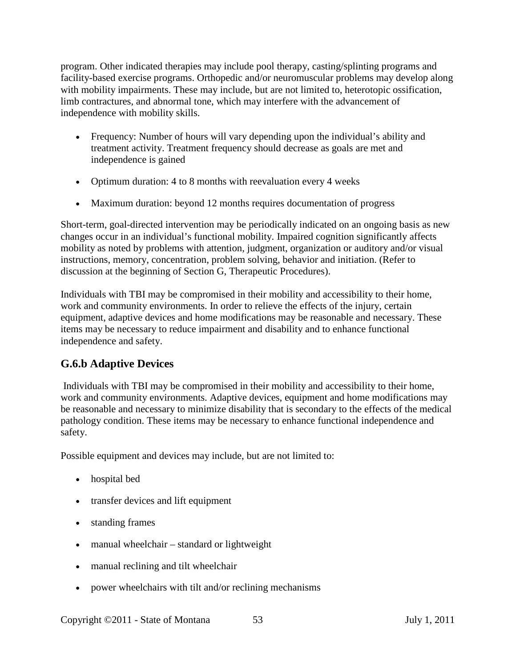program. Other indicated therapies may include pool therapy, casting/splinting programs and facility-based exercise programs. Orthopedic and/or neuromuscular problems may develop along with mobility impairments. These may include, but are not limited to, heterotopic ossification, limb contractures, and abnormal tone, which may interfere with the advancement of independence with mobility skills.

- Frequency: Number of hours will vary depending upon the individual's ability and treatment activity. Treatment frequency should decrease as goals are met and independence is gained
- Optimum duration: 4 to 8 months with reevaluation every 4 weeks
- Maximum duration: beyond 12 months requires documentation of progress

Short-term, goal-directed intervention may be periodically indicated on an ongoing basis as new changes occur in an individual's functional mobility. Impaired cognition significantly affects mobility as noted by problems with attention, judgment, organization or auditory and/or visual instructions, memory, concentration, problem solving, behavior and initiation. (Refer to discussion at the beginning of Section G, Therapeutic Procedures).

Individuals with TBI may be compromised in their mobility and accessibility to their home, work and community environments. In order to relieve the effects of the injury, certain equipment, adaptive devices and home modifications may be reasonable and necessary. These items may be necessary to reduce impairment and disability and to enhance functional independence and safety.

#### **G.6.b Adaptive Devices**

Individuals with TBI may be compromised in their mobility and accessibility to their home, work and community environments. Adaptive devices, equipment and home modifications may be reasonable and necessary to minimize disability that is secondary to the effects of the medical pathology condition. These items may be necessary to enhance functional independence and safety.

Possible equipment and devices may include, but are not limited to:

- hospital bed
- transfer devices and lift equipment
- standing frames
- manual wheelchair standard or lightweight
- manual reclining and tilt wheelchair
- power wheelchairs with tilt and/or reclining mechanisms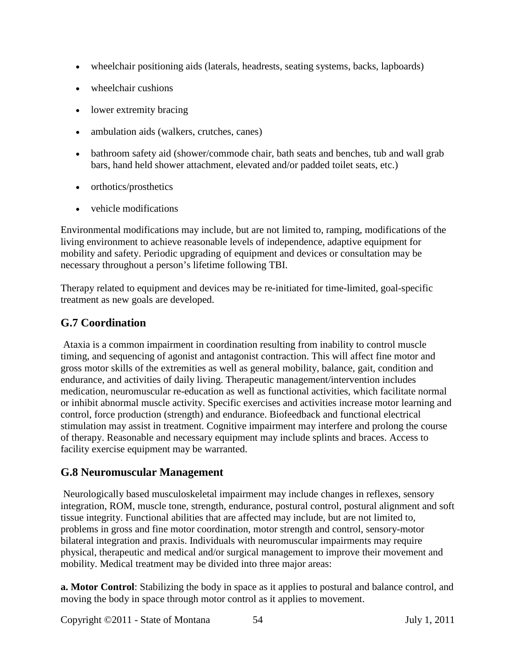- wheelchair positioning aids (laterals, headrests, seating systems, backs, lapboards)
- wheelchair cushions
- lower extremity bracing
- ambulation aids (walkers, crutches, canes)
- bathroom safety aid (shower/commode chair, bath seats and benches, tub and wall grab bars, hand held shower attachment, elevated and/or padded toilet seats, etc.)
- orthotics/prosthetics
- vehicle modifications

Environmental modifications may include, but are not limited to, ramping, modifications of the living environment to achieve reasonable levels of independence, adaptive equipment for mobility and safety. Periodic upgrading of equipment and devices or consultation may be necessary throughout a person's lifetime following TBI.

Therapy related to equipment and devices may be re-initiated for time-limited, goal-specific treatment as new goals are developed.

# **G.7 Coordination**

Ataxia is a common impairment in coordination resulting from inability to control muscle timing, and sequencing of agonist and antagonist contraction. This will affect fine motor and gross motor skills of the extremities as well as general mobility, balance, gait, condition and endurance, and activities of daily living. Therapeutic management/intervention includes medication, neuromuscular re-education as well as functional activities, which facilitate normal or inhibit abnormal muscle activity. Specific exercises and activities increase motor learning and control, force production (strength) and endurance. Biofeedback and functional electrical stimulation may assist in treatment. Cognitive impairment may interfere and prolong the course of therapy. Reasonable and necessary equipment may include splints and braces. Access to facility exercise equipment may be warranted.

#### **G.8 Neuromuscular Management**

Neurologically based musculoskeletal impairment may include changes in reflexes, sensory integration, ROM, muscle tone, strength, endurance, postural control, postural alignment and soft tissue integrity. Functional abilities that are affected may include, but are not limited to, problems in gross and fine motor coordination, motor strength and control, sensory-motor bilateral integration and praxis. Individuals with neuromuscular impairments may require physical, therapeutic and medical and/or surgical management to improve their movement and mobility. Medical treatment may be divided into three major areas:

**a. Motor Control**: Stabilizing the body in space as it applies to postural and balance control, and moving the body in space through motor control as it applies to movement.

Copyright ©2011 - State of Montana 54 July 1, 2011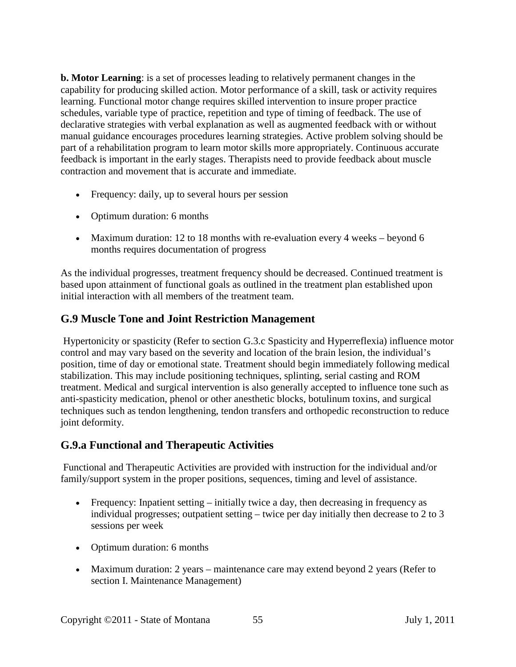**b. Motor Learning**: is a set of processes leading to relatively permanent changes in the capability for producing skilled action. Motor performance of a skill, task or activity requires learning. Functional motor change requires skilled intervention to insure proper practice schedules, variable type of practice, repetition and type of timing of feedback. The use of declarative strategies with verbal explanation as well as augmented feedback with or without manual guidance encourages procedures learning strategies. Active problem solving should be part of a rehabilitation program to learn motor skills more appropriately. Continuous accurate feedback is important in the early stages. Therapists need to provide feedback about muscle contraction and movement that is accurate and immediate.

- Frequency: daily, up to several hours per session
- Optimum duration: 6 months
- Maximum duration: 12 to 18 months with re-evaluation every 4 weeks beyond 6 months requires documentation of progress

As the individual progresses, treatment frequency should be decreased. Continued treatment is based upon attainment of functional goals as outlined in the treatment plan established upon initial interaction with all members of the treatment team.

#### **G.9 Muscle Tone and Joint Restriction Management**

Hypertonicity or spasticity (Refer to section G.3.c Spasticity and Hyperreflexia) influence motor control and may vary based on the severity and location of the brain lesion, the individual's position, time of day or emotional state. Treatment should begin immediately following medical stabilization. This may include positioning techniques, splinting, serial casting and ROM treatment. Medical and surgical intervention is also generally accepted to influence tone such as anti-spasticity medication, phenol or other anesthetic blocks, botulinum toxins, and surgical techniques such as tendon lengthening, tendon transfers and orthopedic reconstruction to reduce joint deformity.

#### **G.9.a Functional and Therapeutic Activities**

Functional and Therapeutic Activities are provided with instruction for the individual and/or family/support system in the proper positions, sequences, timing and level of assistance.

- Frequency: Inpatient setting initially twice a day, then decreasing in frequency as individual progresses; outpatient setting – twice per day initially then decrease to 2 to 3 sessions per week
- Optimum duration: 6 months
- Maximum duration: 2 years maintenance care may extend beyond 2 years (Refer to section I. Maintenance Management)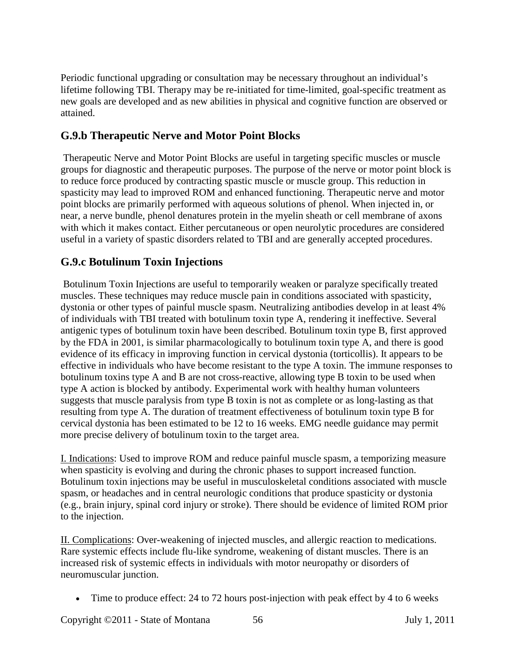Periodic functional upgrading or consultation may be necessary throughout an individual's lifetime following TBI. Therapy may be re-initiated for time-limited, goal-specific treatment as new goals are developed and as new abilities in physical and cognitive function are observed or attained.

#### **G.9.b Therapeutic Nerve and Motor Point Blocks**

Therapeutic Nerve and Motor Point Blocks are useful in targeting specific muscles or muscle groups for diagnostic and therapeutic purposes. The purpose of the nerve or motor point block is to reduce force produced by contracting spastic muscle or muscle group. This reduction in spasticity may lead to improved ROM and enhanced functioning. Therapeutic nerve and motor point blocks are primarily performed with aqueous solutions of phenol. When injected in, or near, a nerve bundle, phenol denatures protein in the myelin sheath or cell membrane of axons with which it makes contact. Either percutaneous or open neurolytic procedures are considered useful in a variety of spastic disorders related to TBI and are generally accepted procedures.

## **G.9.c Botulinum Toxin Injections**

Botulinum Toxin Injections are useful to temporarily weaken or paralyze specifically treated muscles. These techniques may reduce muscle pain in conditions associated with spasticity, dystonia or other types of painful muscle spasm. Neutralizing antibodies develop in at least 4% of individuals with TBI treated with botulinum toxin type A, rendering it ineffective. Several antigenic types of botulinum toxin have been described. Botulinum toxin type B, first approved by the FDA in 2001, is similar pharmacologically to botulinum toxin type A, and there is good evidence of its efficacy in improving function in cervical dystonia (torticollis). It appears to be effective in individuals who have become resistant to the type A toxin. The immune responses to botulinum toxins type A and B are not cross-reactive, allowing type B toxin to be used when type A action is blocked by antibody. Experimental work with healthy human volunteers suggests that muscle paralysis from type B toxin is not as complete or as long-lasting as that resulting from type A. The duration of treatment effectiveness of botulinum toxin type B for cervical dystonia has been estimated to be 12 to 16 weeks. EMG needle guidance may permit more precise delivery of botulinum toxin to the target area.

I. Indications: Used to improve ROM and reduce painful muscle spasm, a temporizing measure when spasticity is evolving and during the chronic phases to support increased function. Botulinum toxin injections may be useful in musculoskeletal conditions associated with muscle spasm, or headaches and in central neurologic conditions that produce spasticity or dystonia (e.g., brain injury, spinal cord injury or stroke). There should be evidence of limited ROM prior to the injection.

II. Complications: Over-weakening of injected muscles, and allergic reaction to medications. Rare systemic effects include flu-like syndrome, weakening of distant muscles. There is an increased risk of systemic effects in individuals with motor neuropathy or disorders of neuromuscular junction.

• Time to produce effect: 24 to 72 hours post-injection with peak effect by 4 to 6 weeks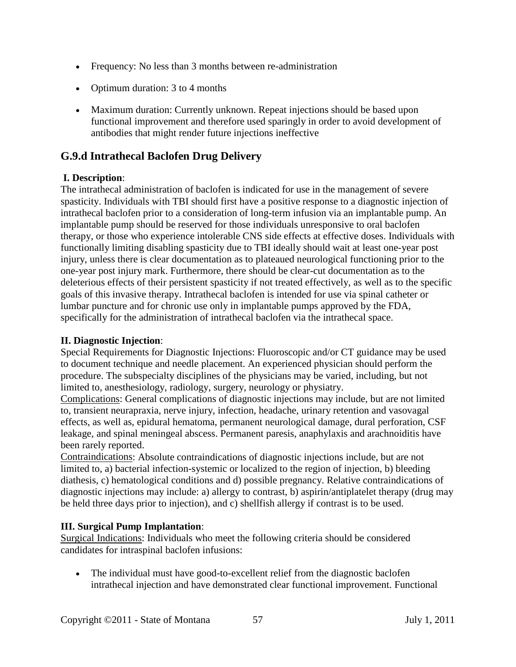- Frequency: No less than 3 months between re-administration
- Optimum duration: 3 to 4 months
- Maximum duration: Currently unknown. Repeat injections should be based upon functional improvement and therefore used sparingly in order to avoid development of antibodies that might render future injections ineffective

#### **G.9.d Intrathecal Baclofen Drug Delivery**

#### **I. Description**:

The intrathecal administration of baclofen is indicated for use in the management of severe spasticity. Individuals with TBI should first have a positive response to a diagnostic injection of intrathecal baclofen prior to a consideration of long-term infusion via an implantable pump. An implantable pump should be reserved for those individuals unresponsive to oral baclofen therapy, or those who experience intolerable CNS side effects at effective doses. Individuals with functionally limiting disabling spasticity due to TBI ideally should wait at least one-year post injury, unless there is clear documentation as to plateaued neurological functioning prior to the one-year post injury mark. Furthermore, there should be clear-cut documentation as to the deleterious effects of their persistent spasticity if not treated effectively, as well as to the specific goals of this invasive therapy. Intrathecal baclofen is intended for use via spinal catheter or lumbar puncture and for chronic use only in implantable pumps approved by the FDA, specifically for the administration of intrathecal baclofen via the intrathecal space.

#### **II. Diagnostic Injection**:

Special Requirements for Diagnostic Injections: Fluoroscopic and/or CT guidance may be used to document technique and needle placement. An experienced physician should perform the procedure. The subspecialty disciplines of the physicians may be varied, including, but not limited to, anesthesiology, radiology, surgery, neurology or physiatry.

Complications: General complications of diagnostic injections may include, but are not limited to, transient neurapraxia, nerve injury, infection, headache, urinary retention and vasovagal effects, as well as, epidural hematoma, permanent neurological damage, dural perforation, CSF leakage, and spinal meningeal abscess. Permanent paresis, anaphylaxis and arachnoiditis have been rarely reported.

Contraindications: Absolute contraindications of diagnostic injections include, but are not limited to, a) bacterial infection-systemic or localized to the region of injection, b) bleeding diathesis, c) hematological conditions and d) possible pregnancy. Relative contraindications of diagnostic injections may include: a) allergy to contrast, b) aspirin/antiplatelet therapy (drug may be held three days prior to injection), and c) shellfish allergy if contrast is to be used.

#### **III. Surgical Pump Implantation**:

Surgical Indications: Individuals who meet the following criteria should be considered candidates for intraspinal baclofen infusions:

• The individual must have good-to-excellent relief from the diagnostic baclofen intrathecal injection and have demonstrated clear functional improvement. Functional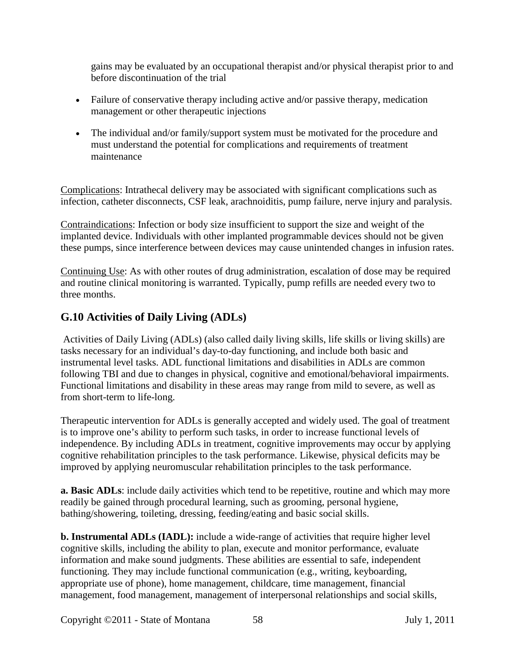gains may be evaluated by an occupational therapist and/or physical therapist prior to and before discontinuation of the trial

- Failure of conservative therapy including active and/or passive therapy, medication management or other therapeutic injections
- The individual and/or family/support system must be motivated for the procedure and must understand the potential for complications and requirements of treatment maintenance

Complications: Intrathecal delivery may be associated with significant complications such as infection, catheter disconnects, CSF leak, arachnoiditis, pump failure, nerve injury and paralysis.

Contraindications: Infection or body size insufficient to support the size and weight of the implanted device. Individuals with other implanted programmable devices should not be given these pumps, since interference between devices may cause unintended changes in infusion rates.

Continuing Use: As with other routes of drug administration, escalation of dose may be required and routine clinical monitoring is warranted. Typically, pump refills are needed every two to three months.

## **G.10 Activities of Daily Living (ADLs)**

Activities of Daily Living (ADLs) (also called daily living skills, life skills or living skills) are tasks necessary for an individual's day-to-day functioning, and include both basic and instrumental level tasks. ADL functional limitations and disabilities in ADLs are common following TBI and due to changes in physical, cognitive and emotional/behavioral impairments. Functional limitations and disability in these areas may range from mild to severe, as well as from short-term to life-long.

Therapeutic intervention for ADLs is generally accepted and widely used. The goal of treatment is to improve one's ability to perform such tasks, in order to increase functional levels of independence. By including ADLs in treatment, cognitive improvements may occur by applying cognitive rehabilitation principles to the task performance. Likewise, physical deficits may be improved by applying neuromuscular rehabilitation principles to the task performance.

**a. Basic ADLs**: include daily activities which tend to be repetitive, routine and which may more readily be gained through procedural learning, such as grooming, personal hygiene, bathing/showering, toileting, dressing, feeding/eating and basic social skills.

**b. Instrumental ADLs (IADL):** include a wide-range of activities that require higher level cognitive skills, including the ability to plan, execute and monitor performance, evaluate information and make sound judgments. These abilities are essential to safe, independent functioning. They may include functional communication (e.g., writing, keyboarding, appropriate use of phone), home management, childcare, time management, financial management, food management, management of interpersonal relationships and social skills,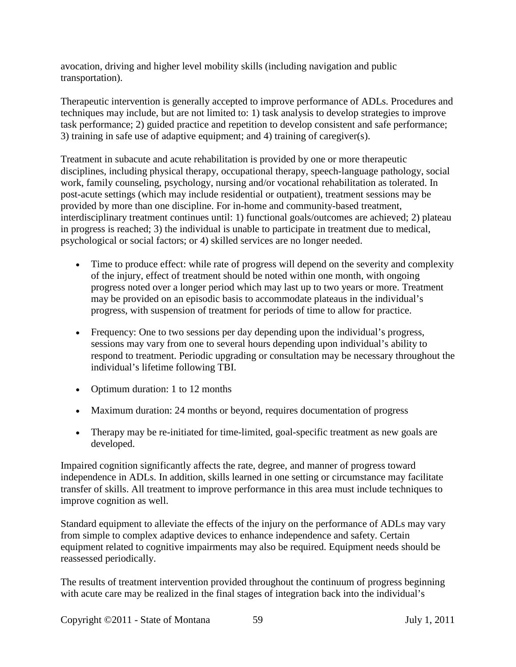avocation, driving and higher level mobility skills (including navigation and public transportation).

Therapeutic intervention is generally accepted to improve performance of ADLs. Procedures and techniques may include, but are not limited to: 1) task analysis to develop strategies to improve task performance; 2) guided practice and repetition to develop consistent and safe performance; 3) training in safe use of adaptive equipment; and 4) training of caregiver(s).

Treatment in subacute and acute rehabilitation is provided by one or more therapeutic disciplines, including physical therapy, occupational therapy, speech-language pathology, social work, family counseling, psychology, nursing and/or vocational rehabilitation as tolerated. In post-acute settings (which may include residential or outpatient), treatment sessions may be provided by more than one discipline. For in-home and community-based treatment, interdisciplinary treatment continues until: 1) functional goals/outcomes are achieved; 2) plateau in progress is reached; 3) the individual is unable to participate in treatment due to medical, psychological or social factors; or 4) skilled services are no longer needed.

- Time to produce effect: while rate of progress will depend on the severity and complexity of the injury, effect of treatment should be noted within one month, with ongoing progress noted over a longer period which may last up to two years or more. Treatment may be provided on an episodic basis to accommodate plateaus in the individual's progress, with suspension of treatment for periods of time to allow for practice.
- Frequency: One to two sessions per day depending upon the individual's progress, sessions may vary from one to several hours depending upon individual's ability to respond to treatment. Periodic upgrading or consultation may be necessary throughout the individual's lifetime following TBI.
- Optimum duration: 1 to 12 months
- Maximum duration: 24 months or beyond, requires documentation of progress
- Therapy may be re-initiated for time-limited, goal-specific treatment as new goals are developed.

Impaired cognition significantly affects the rate, degree, and manner of progress toward independence in ADLs. In addition, skills learned in one setting or circumstance may facilitate transfer of skills. All treatment to improve performance in this area must include techniques to improve cognition as well.

Standard equipment to alleviate the effects of the injury on the performance of ADLs may vary from simple to complex adaptive devices to enhance independence and safety. Certain equipment related to cognitive impairments may also be required. Equipment needs should be reassessed periodically.

The results of treatment intervention provided throughout the continuum of progress beginning with acute care may be realized in the final stages of integration back into the individual's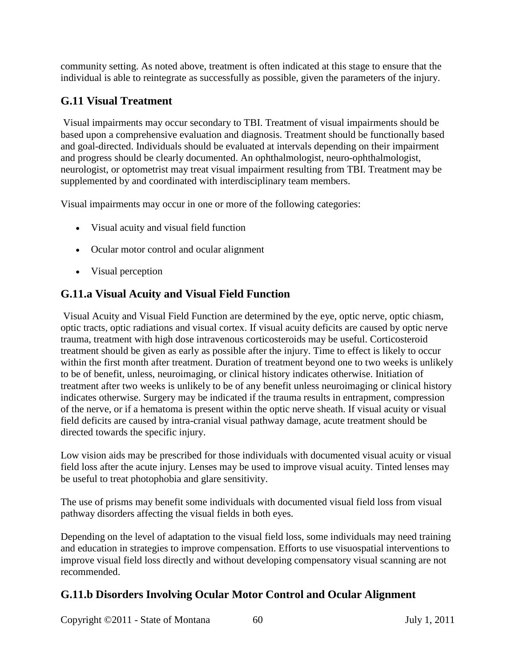community setting. As noted above, treatment is often indicated at this stage to ensure that the individual is able to reintegrate as successfully as possible, given the parameters of the injury.

## **G.11 Visual Treatment**

Visual impairments may occur secondary to TBI. Treatment of visual impairments should be based upon a comprehensive evaluation and diagnosis. Treatment should be functionally based and goal-directed. Individuals should be evaluated at intervals depending on their impairment and progress should be clearly documented. An ophthalmologist, neuro-ophthalmologist, neurologist, or optometrist may treat visual impairment resulting from TBI. Treatment may be supplemented by and coordinated with interdisciplinary team members.

Visual impairments may occur in one or more of the following categories:

- Visual acuity and visual field function
- Ocular motor control and ocular alignment
- Visual perception

#### **G.11.a Visual Acuity and Visual Field Function**

Visual Acuity and Visual Field Function are determined by the eye, optic nerve, optic chiasm, optic tracts, optic radiations and visual cortex. If visual acuity deficits are caused by optic nerve trauma, treatment with high dose intravenous corticosteroids may be useful. Corticosteroid treatment should be given as early as possible after the injury. Time to effect is likely to occur within the first month after treatment. Duration of treatment beyond one to two weeks is unlikely to be of benefit, unless, neuroimaging, or clinical history indicates otherwise. Initiation of treatment after two weeks is unlikely to be of any benefit unless neuroimaging or clinical history indicates otherwise. Surgery may be indicated if the trauma results in entrapment, compression of the nerve, or if a hematoma is present within the optic nerve sheath. If visual acuity or visual field deficits are caused by intra-cranial visual pathway damage, acute treatment should be directed towards the specific injury.

Low vision aids may be prescribed for those individuals with documented visual acuity or visual field loss after the acute injury. Lenses may be used to improve visual acuity. Tinted lenses may be useful to treat photophobia and glare sensitivity.

The use of prisms may benefit some individuals with documented visual field loss from visual pathway disorders affecting the visual fields in both eyes.

Depending on the level of adaptation to the visual field loss, some individuals may need training and education in strategies to improve compensation. Efforts to use visuospatial interventions to improve visual field loss directly and without developing compensatory visual scanning are not recommended.

#### **G.11.b Disorders Involving Ocular Motor Control and Ocular Alignment**

Copyright ©2011 - State of Montana 60 July 1, 2011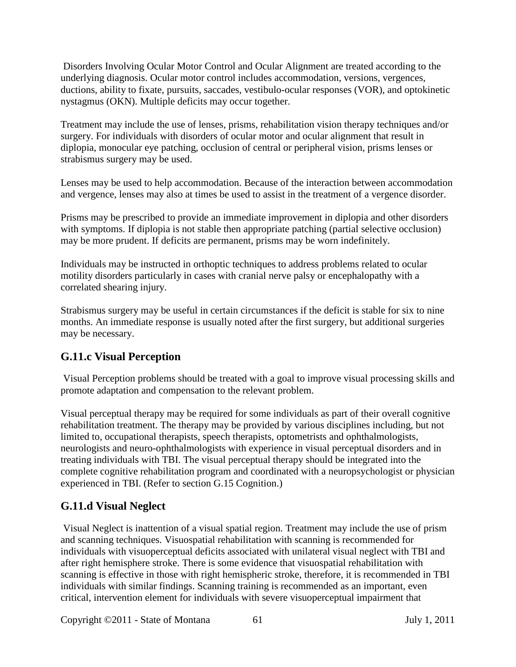Disorders Involving Ocular Motor Control and Ocular Alignment are treated according to the underlying diagnosis. Ocular motor control includes accommodation, versions, vergences, ductions, ability to fixate, pursuits, saccades, vestibulo-ocular responses (VOR), and optokinetic nystagmus (OKN). Multiple deficits may occur together.

Treatment may include the use of lenses, prisms, rehabilitation vision therapy techniques and/or surgery. For individuals with disorders of ocular motor and ocular alignment that result in diplopia, monocular eye patching, occlusion of central or peripheral vision, prisms lenses or strabismus surgery may be used.

Lenses may be used to help accommodation. Because of the interaction between accommodation and vergence, lenses may also at times be used to assist in the treatment of a vergence disorder.

Prisms may be prescribed to provide an immediate improvement in diplopia and other disorders with symptoms. If diplopia is not stable then appropriate patching (partial selective occlusion) may be more prudent. If deficits are permanent, prisms may be worn indefinitely.

Individuals may be instructed in orthoptic techniques to address problems related to ocular motility disorders particularly in cases with cranial nerve palsy or encephalopathy with a correlated shearing injury.

Strabismus surgery may be useful in certain circumstances if the deficit is stable for six to nine months. An immediate response is usually noted after the first surgery, but additional surgeries may be necessary.

## **G.11.c Visual Perception**

Visual Perception problems should be treated with a goal to improve visual processing skills and promote adaptation and compensation to the relevant problem.

Visual perceptual therapy may be required for some individuals as part of their overall cognitive rehabilitation treatment. The therapy may be provided by various disciplines including, but not limited to, occupational therapists, speech therapists, optometrists and ophthalmologists, neurologists and neuro-ophthalmologists with experience in visual perceptual disorders and in treating individuals with TBI. The visual perceptual therapy should be integrated into the complete cognitive rehabilitation program and coordinated with a neuropsychologist or physician experienced in TBI. (Refer to section G.15 Cognition.)

#### **G.11.d Visual Neglect**

Visual Neglect is inattention of a visual spatial region. Treatment may include the use of prism and scanning techniques. Visuospatial rehabilitation with scanning is recommended for individuals with visuoperceptual deficits associated with unilateral visual neglect with TBI and after right hemisphere stroke. There is some evidence that visuospatial rehabilitation with scanning is effective in those with right hemispheric stroke, therefore, it is recommended in TBI individuals with similar findings. Scanning training is recommended as an important, even critical, intervention element for individuals with severe visuoperceptual impairment that

Copyright ©2011 - State of Montana 61 July 1, 2011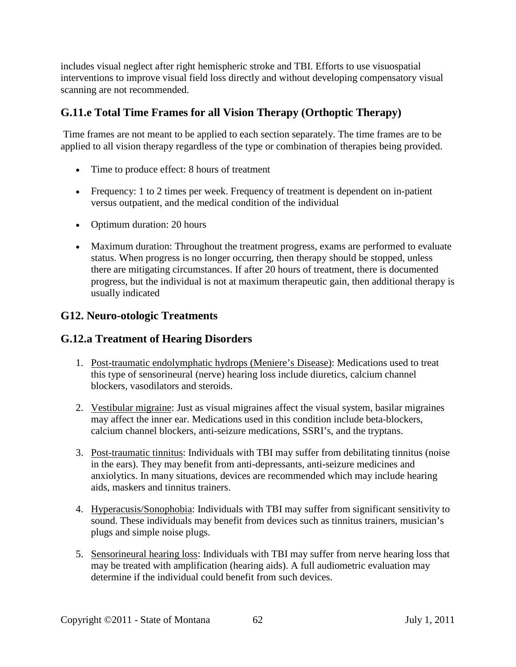includes visual neglect after right hemispheric stroke and TBI. Efforts to use visuospatial interventions to improve visual field loss directly and without developing compensatory visual scanning are not recommended.

#### **G.11.e Total Time Frames for all Vision Therapy (Orthoptic Therapy)**

Time frames are not meant to be applied to each section separately. The time frames are to be applied to all vision therapy regardless of the type or combination of therapies being provided.

- Time to produce effect: 8 hours of treatment
- Frequency: 1 to 2 times per week. Frequency of treatment is dependent on in-patient versus outpatient, and the medical condition of the individual
- Optimum duration: 20 hours
- Maximum duration: Throughout the treatment progress, exams are performed to evaluate status. When progress is no longer occurring, then therapy should be stopped, unless there are mitigating circumstances. If after 20 hours of treatment, there is documented progress, but the individual is not at maximum therapeutic gain, then additional therapy is usually indicated

#### **G12. Neuro-otologic Treatments**

#### **G.12.a Treatment of Hearing Disorders**

- 1. Post-traumatic endolymphatic hydrops (Meniere's Disease): Medications used to treat this type of sensorineural (nerve) hearing loss include diuretics, calcium channel blockers, vasodilators and steroids.
- 2. Vestibular migraine: Just as visual migraines affect the visual system, basilar migraines may affect the inner ear. Medications used in this condition include beta-blockers, calcium channel blockers, anti-seizure medications, SSRI's, and the tryptans.
- 3. Post-traumatic tinnitus: Individuals with TBI may suffer from debilitating tinnitus (noise in the ears). They may benefit from anti-depressants, anti-seizure medicines and anxiolytics. In many situations, devices are recommended which may include hearing aids, maskers and tinnitus trainers.
- 4. Hyperacusis/Sonophobia: Individuals with TBI may suffer from significant sensitivity to sound. These individuals may benefit from devices such as tinnitus trainers, musician's plugs and simple noise plugs.
- 5. Sensorineural hearing loss: Individuals with TBI may suffer from nerve hearing loss that may be treated with amplification (hearing aids). A full audiometric evaluation may determine if the individual could benefit from such devices.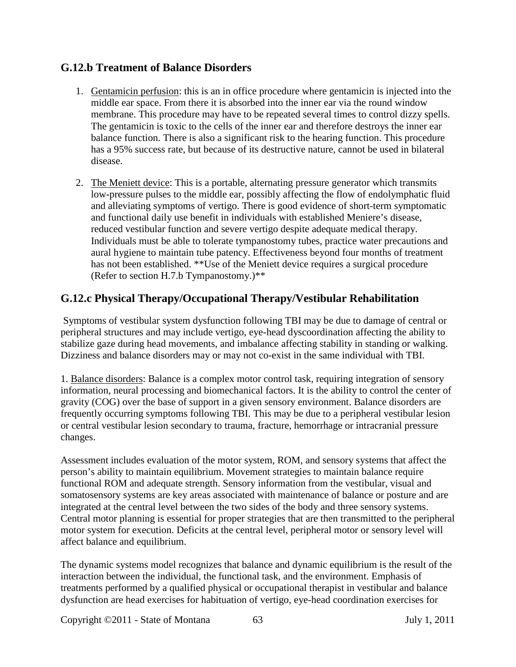#### **G.12.b Treatment of Balance Disorders**

- 1. Gentamicin perfusion: this is an in office procedure where gentamicin is injected into the middle ear space. From there it is absorbed into the inner ear via the round window membrane. This procedure may have to be repeated several times to control dizzy spells. The gentamicin is toxic to the cells of the inner ear and therefore destroys the inner ear balance function. There is also a significant risk to the hearing function. This procedure has a 95% success rate, but because of its destructive nature, cannot be used in bilateral disease.
- 2. The Meniett device: This is a portable, alternating pressure generator which transmits low-pressure pulses to the middle ear, possibly affecting the flow of endolymphatic fluid and alleviating symptoms of vertigo. There is good evidence of short-term symptomatic and functional daily use benefit in individuals with established Meniere's disease, reduced vestibular function and severe vertigo despite adequate medical therapy. Individuals must be able to tolerate tympanostomy tubes, practice water precautions and aural hygiene to maintain tube patency. Effectiveness beyond four months of treatment has not been established. \*\*Use of the Meniett device requires a surgical procedure (Refer to section H.7.b Tympanostomy.)\*\*

#### **G.12.c Physical Therapy/Occupational Therapy/Vestibular Rehabilitation**

Symptoms of vestibular system dysfunction following TBI may be due to damage of central or peripheral structures and may include vertigo, eye-head dyscoordination affecting the ability to stabilize gaze during head movements, and imbalance affecting stability in standing or walking. Dizziness and balance disorders may or may not co-exist in the same individual with TBI.

1. Balance disorders: Balance is a complex motor control task, requiring integration of sensory information, neural processing and biomechanical factors. It is the ability to control the center of gravity (COG) over the base of support in a given sensory environment. Balance disorders are frequently occurring symptoms following TBI. This may be due to a peripheral vestibular lesion or central vestibular lesion secondary to trauma, fracture, hemorrhage or intracranial pressure changes.

Assessment includes evaluation of the motor system, ROM, and sensory systems that affect the person's ability to maintain equilibrium. Movement strategies to maintain balance require functional ROM and adequate strength. Sensory information from the vestibular, visual and somatosensory systems are key areas associated with maintenance of balance or posture and are integrated at the central level between the two sides of the body and three sensory systems. Central motor planning is essential for proper strategies that are then transmitted to the peripheral motor system for execution. Deficits at the central level, peripheral motor or sensory level will affect balance and equilibrium.

The dynamic systems model recognizes that balance and dynamic equilibrium is the result of the interaction between the individual, the functional task, and the environment. Emphasis of treatments performed by a qualified physical or occupational therapist in vestibular and balance dysfunction are head exercises for habituation of vertigo, eye-head coordination exercises for

Copyright ©2011 - State of Montana 63 July 1, 2011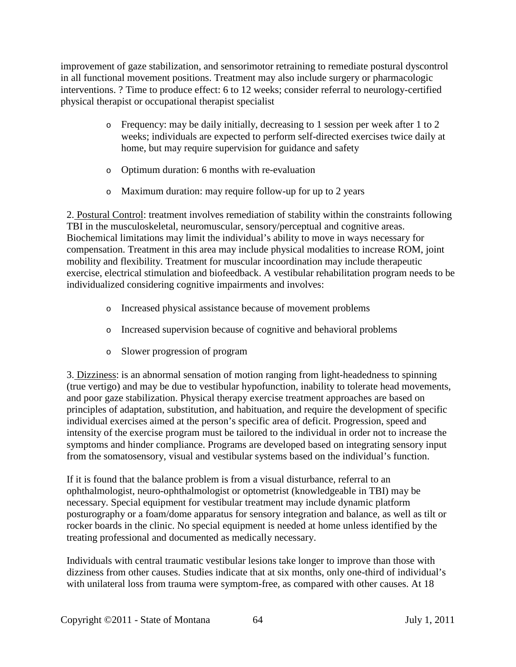improvement of gaze stabilization, and sensorimotor retraining to remediate postural dyscontrol in all functional movement positions. Treatment may also include surgery or pharmacologic interventions. ? Time to produce effect: 6 to 12 weeks; consider referral to neurology-certified physical therapist or occupational therapist specialist

- o Frequency: may be daily initially, decreasing to 1 session per week after 1 to 2 weeks; individuals are expected to perform self-directed exercises twice daily at home, but may require supervision for guidance and safety
- o Optimum duration: 6 months with re-evaluation
- o Maximum duration: may require follow-up for up to 2 years

2. Postural Control: treatment involves remediation of stability within the constraints following TBI in the musculoskeletal, neuromuscular, sensory/perceptual and cognitive areas. Biochemical limitations may limit the individual's ability to move in ways necessary for compensation. Treatment in this area may include physical modalities to increase ROM, joint mobility and flexibility. Treatment for muscular incoordination may include therapeutic exercise, electrical stimulation and biofeedback. A vestibular rehabilitation program needs to be individualized considering cognitive impairments and involves:

- o Increased physical assistance because of movement problems
- o Increased supervision because of cognitive and behavioral problems
- o Slower progression of program

3. Dizziness: is an abnormal sensation of motion ranging from light-headedness to spinning (true vertigo) and may be due to vestibular hypofunction, inability to tolerate head movements, and poor gaze stabilization. Physical therapy exercise treatment approaches are based on principles of adaptation, substitution, and habituation, and require the development of specific individual exercises aimed at the person's specific area of deficit. Progression, speed and intensity of the exercise program must be tailored to the individual in order not to increase the symptoms and hinder compliance. Programs are developed based on integrating sensory input from the somatosensory, visual and vestibular systems based on the individual's function.

If it is found that the balance problem is from a visual disturbance, referral to an ophthalmologist, neuro-ophthalmologist or optometrist (knowledgeable in TBI) may be necessary. Special equipment for vestibular treatment may include dynamic platform posturography or a foam/dome apparatus for sensory integration and balance, as well as tilt or rocker boards in the clinic. No special equipment is needed at home unless identified by the treating professional and documented as medically necessary.

Individuals with central traumatic vestibular lesions take longer to improve than those with dizziness from other causes. Studies indicate that at six months, only one-third of individual's with unilateral loss from trauma were symptom-free, as compared with other causes. At 18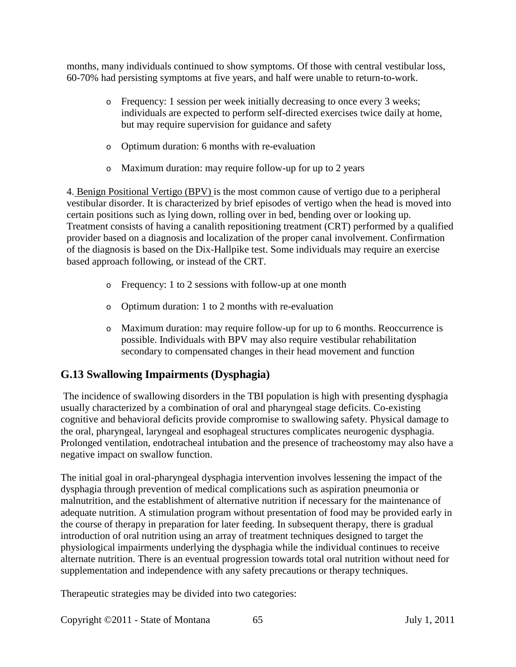months, many individuals continued to show symptoms. Of those with central vestibular loss, 60-70% had persisting symptoms at five years, and half were unable to return-to-work.

- o Frequency: 1 session per week initially decreasing to once every 3 weeks; individuals are expected to perform self-directed exercises twice daily at home, but may require supervision for guidance and safety
- o Optimum duration: 6 months with re-evaluation
- o Maximum duration: may require follow-up for up to 2 years

4. Benign Positional Vertigo (BPV) is the most common cause of vertigo due to a peripheral vestibular disorder. It is characterized by brief episodes of vertigo when the head is moved into certain positions such as lying down, rolling over in bed, bending over or looking up. Treatment consists of having a canalith repositioning treatment (CRT) performed by a qualified provider based on a diagnosis and localization of the proper canal involvement. Confirmation of the diagnosis is based on the Dix-Hallpike test. Some individuals may require an exercise based approach following, or instead of the CRT.

- o Frequency: 1 to 2 sessions with follow-up at one month
- o Optimum duration: 1 to 2 months with re-evaluation
- o Maximum duration: may require follow-up for up to 6 months. Reoccurrence is possible. Individuals with BPV may also require vestibular rehabilitation secondary to compensated changes in their head movement and function

#### **G.13 Swallowing Impairments (Dysphagia)**

The incidence of swallowing disorders in the TBI population is high with presenting dysphagia usually characterized by a combination of oral and pharyngeal stage deficits. Co-existing cognitive and behavioral deficits provide compromise to swallowing safety. Physical damage to the oral, pharyngeal, laryngeal and esophageal structures complicates neurogenic dysphagia. Prolonged ventilation, endotracheal intubation and the presence of tracheostomy may also have a negative impact on swallow function.

The initial goal in oral-pharyngeal dysphagia intervention involves lessening the impact of the dysphagia through prevention of medical complications such as aspiration pneumonia or malnutrition, and the establishment of alternative nutrition if necessary for the maintenance of adequate nutrition. A stimulation program without presentation of food may be provided early in the course of therapy in preparation for later feeding. In subsequent therapy, there is gradual introduction of oral nutrition using an array of treatment techniques designed to target the physiological impairments underlying the dysphagia while the individual continues to receive alternate nutrition. There is an eventual progression towards total oral nutrition without need for supplementation and independence with any safety precautions or therapy techniques.

Therapeutic strategies may be divided into two categories:

Copyright ©2011 - State of Montana 65 July 1, 2011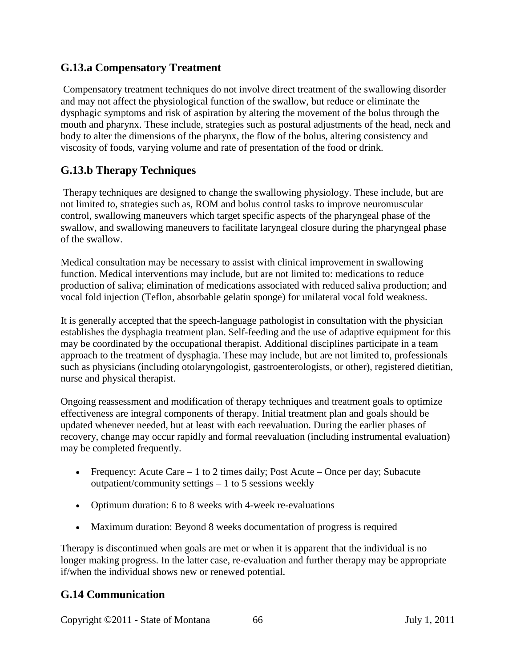#### **G.13.a Compensatory Treatment**

Compensatory treatment techniques do not involve direct treatment of the swallowing disorder and may not affect the physiological function of the swallow, but reduce or eliminate the dysphagic symptoms and risk of aspiration by altering the movement of the bolus through the mouth and pharynx. These include, strategies such as postural adjustments of the head, neck and body to alter the dimensions of the pharynx, the flow of the bolus, altering consistency and viscosity of foods, varying volume and rate of presentation of the food or drink.

#### **G.13.b Therapy Techniques**

Therapy techniques are designed to change the swallowing physiology. These include, but are not limited to, strategies such as, ROM and bolus control tasks to improve neuromuscular control, swallowing maneuvers which target specific aspects of the pharyngeal phase of the swallow, and swallowing maneuvers to facilitate laryngeal closure during the pharyngeal phase of the swallow.

Medical consultation may be necessary to assist with clinical improvement in swallowing function. Medical interventions may include, but are not limited to: medications to reduce production of saliva; elimination of medications associated with reduced saliva production; and vocal fold injection (Teflon, absorbable gelatin sponge) for unilateral vocal fold weakness.

It is generally accepted that the speech-language pathologist in consultation with the physician establishes the dysphagia treatment plan. Self-feeding and the use of adaptive equipment for this may be coordinated by the occupational therapist. Additional disciplines participate in a team approach to the treatment of dysphagia. These may include, but are not limited to, professionals such as physicians (including otolaryngologist, gastroenterologists, or other), registered dietitian, nurse and physical therapist.

Ongoing reassessment and modification of therapy techniques and treatment goals to optimize effectiveness are integral components of therapy. Initial treatment plan and goals should be updated whenever needed, but at least with each reevaluation. During the earlier phases of recovery, change may occur rapidly and formal reevaluation (including instrumental evaluation) may be completed frequently.

- Frequency: Acute Care  $-1$  to 2 times daily; Post Acute  $-$  Once per day; Subacute outpatient/community settings – 1 to 5 sessions weekly
- Optimum duration: 6 to 8 weeks with 4-week re-evaluations
- Maximum duration: Beyond 8 weeks documentation of progress is required

Therapy is discontinued when goals are met or when it is apparent that the individual is no longer making progress. In the latter case, re-evaluation and further therapy may be appropriate if/when the individual shows new or renewed potential.

#### **G.14 Communication**

Copyright ©2011 - State of Montana 66 July 1, 2011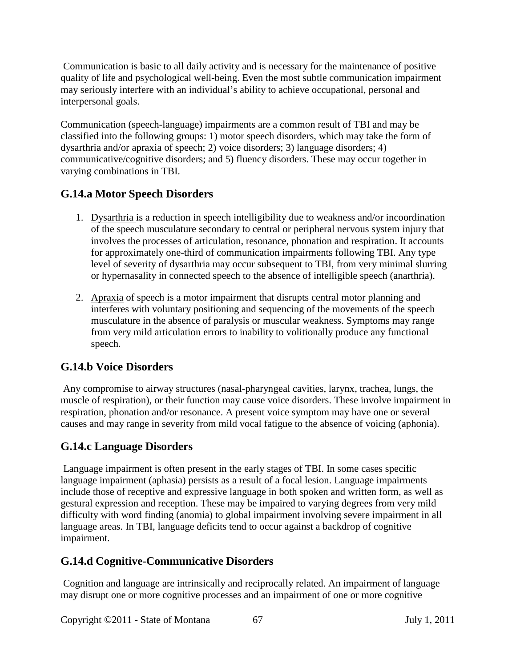Communication is basic to all daily activity and is necessary for the maintenance of positive quality of life and psychological well-being. Even the most subtle communication impairment may seriously interfere with an individual's ability to achieve occupational, personal and interpersonal goals.

Communication (speech-language) impairments are a common result of TBI and may be classified into the following groups: 1) motor speech disorders, which may take the form of dysarthria and/or apraxia of speech; 2) voice disorders; 3) language disorders; 4) communicative/cognitive disorders; and 5) fluency disorders. These may occur together in varying combinations in TBI.

# **G.14.a Motor Speech Disorders**

- 1. Dysarthria is a reduction in speech intelligibility due to weakness and/or incoordination of the speech musculature secondary to central or peripheral nervous system injury that involves the processes of articulation, resonance, phonation and respiration. It accounts for approximately one-third of communication impairments following TBI. Any type level of severity of dysarthria may occur subsequent to TBI, from very minimal slurring or hypernasality in connected speech to the absence of intelligible speech (anarthria).
- 2. Apraxia of speech is a motor impairment that disrupts central motor planning and interferes with voluntary positioning and sequencing of the movements of the speech musculature in the absence of paralysis or muscular weakness. Symptoms may range from very mild articulation errors to inability to volitionally produce any functional speech.

# **G.14.b Voice Disorders**

Any compromise to airway structures (nasal-pharyngeal cavities, larynx, trachea, lungs, the muscle of respiration), or their function may cause voice disorders. These involve impairment in respiration, phonation and/or resonance. A present voice symptom may have one or several causes and may range in severity from mild vocal fatigue to the absence of voicing (aphonia).

## **G.14.c Language Disorders**

Language impairment is often present in the early stages of TBI. In some cases specific language impairment (aphasia) persists as a result of a focal lesion. Language impairments include those of receptive and expressive language in both spoken and written form, as well as gestural expression and reception. These may be impaired to varying degrees from very mild difficulty with word finding (anomia) to global impairment involving severe impairment in all language areas. In TBI, language deficits tend to occur against a backdrop of cognitive impairment.

## **G.14.d Cognitive-Communicative Disorders**

Cognition and language are intrinsically and reciprocally related. An impairment of language may disrupt one or more cognitive processes and an impairment of one or more cognitive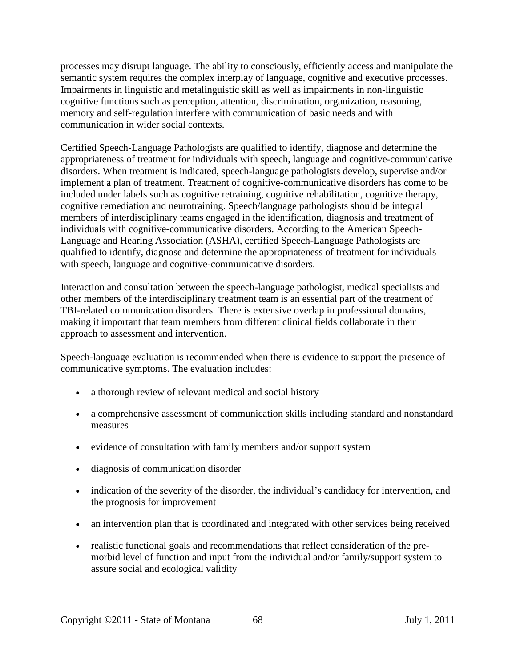processes may disrupt language. The ability to consciously, efficiently access and manipulate the semantic system requires the complex interplay of language, cognitive and executive processes. Impairments in linguistic and metalinguistic skill as well as impairments in non-linguistic cognitive functions such as perception, attention, discrimination, organization, reasoning, memory and self-regulation interfere with communication of basic needs and with communication in wider social contexts.

Certified Speech-Language Pathologists are qualified to identify, diagnose and determine the appropriateness of treatment for individuals with speech, language and cognitive-communicative disorders. When treatment is indicated, speech-language pathologists develop, supervise and/or implement a plan of treatment. Treatment of cognitive-communicative disorders has come to be included under labels such as cognitive retraining, cognitive rehabilitation, cognitive therapy, cognitive remediation and neurotraining. Speech/language pathologists should be integral members of interdisciplinary teams engaged in the identification, diagnosis and treatment of individuals with cognitive-communicative disorders. According to the American Speech-Language and Hearing Association (ASHA), certified Speech-Language Pathologists are qualified to identify, diagnose and determine the appropriateness of treatment for individuals with speech, language and cognitive-communicative disorders.

Interaction and consultation between the speech-language pathologist, medical specialists and other members of the interdisciplinary treatment team is an essential part of the treatment of TBI-related communication disorders. There is extensive overlap in professional domains, making it important that team members from different clinical fields collaborate in their approach to assessment and intervention.

Speech-language evaluation is recommended when there is evidence to support the presence of communicative symptoms. The evaluation includes:

- a thorough review of relevant medical and social history
- a comprehensive assessment of communication skills including standard and nonstandard measures
- evidence of consultation with family members and/or support system
- diagnosis of communication disorder
- indication of the severity of the disorder, the individual's candidacy for intervention, and the prognosis for improvement
- an intervention plan that is coordinated and integrated with other services being received
- realistic functional goals and recommendations that reflect consideration of the premorbid level of function and input from the individual and/or family/support system to assure social and ecological validity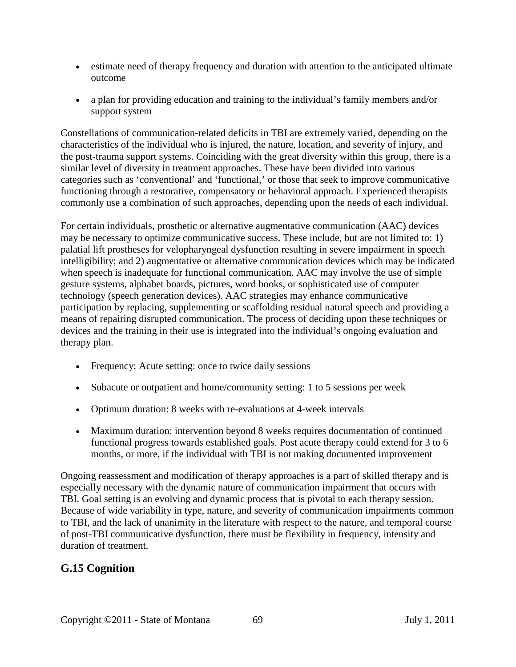- estimate need of therapy frequency and duration with attention to the anticipated ultimate outcome
- a plan for providing education and training to the individual's family members and/or support system

Constellations of communication-related deficits in TBI are extremely varied, depending on the characteristics of the individual who is injured, the nature, location, and severity of injury, and the post-trauma support systems. Coinciding with the great diversity within this group, there is a similar level of diversity in treatment approaches. These have been divided into various categories such as 'conventional' and 'functional,' or those that seek to improve communicative functioning through a restorative, compensatory or behavioral approach. Experienced therapists commonly use a combination of such approaches, depending upon the needs of each individual.

For certain individuals, prosthetic or alternative augmentative communication (AAC) devices may be necessary to optimize communicative success. These include, but are not limited to: 1) palatial lift prostheses for velopharyngeal dysfunction resulting in severe impairment in speech intelligibility; and 2) augmentative or alternative communication devices which may be indicated when speech is inadequate for functional communication. AAC may involve the use of simple gesture systems, alphabet boards, pictures, word books, or sophisticated use of computer technology (speech generation devices). AAC strategies may enhance communicative participation by replacing, supplementing or scaffolding residual natural speech and providing a means of repairing disrupted communication. The process of deciding upon these techniques or devices and the training in their use is integrated into the individual's ongoing evaluation and therapy plan.

- Frequency: Acute setting: once to twice daily sessions
- Subacute or outpatient and home/community setting: 1 to 5 sessions per week
- Optimum duration: 8 weeks with re-evaluations at 4-week intervals
- Maximum duration: intervention beyond 8 weeks requires documentation of continued functional progress towards established goals. Post acute therapy could extend for 3 to 6 months, or more, if the individual with TBI is not making documented improvement

Ongoing reassessment and modification of therapy approaches is a part of skilled therapy and is especially necessary with the dynamic nature of communication impairment that occurs with TBI. Goal setting is an evolving and dynamic process that is pivotal to each therapy session. Because of wide variability in type, nature, and severity of communication impairments common to TBI, and the lack of unanimity in the literature with respect to the nature, and temporal course of post-TBI communicative dysfunction, there must be flexibility in frequency, intensity and duration of treatment.

#### **G.15 Cognition**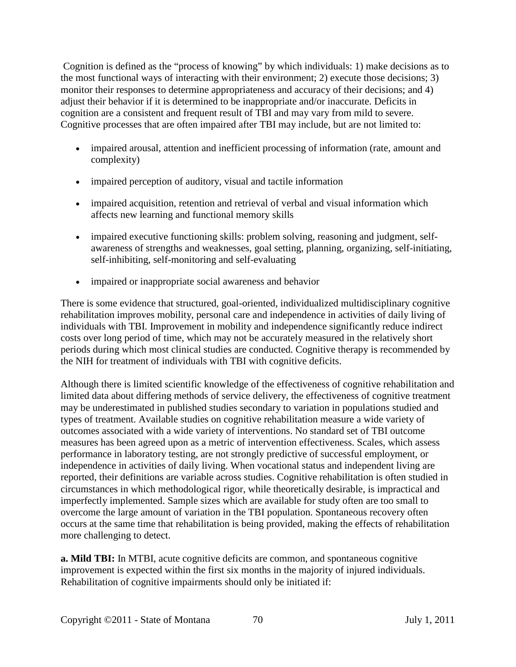Cognition is defined as the "process of knowing" by which individuals: 1) make decisions as to the most functional ways of interacting with their environment; 2) execute those decisions; 3) monitor their responses to determine appropriateness and accuracy of their decisions; and 4) adjust their behavior if it is determined to be inappropriate and/or inaccurate. Deficits in cognition are a consistent and frequent result of TBI and may vary from mild to severe. Cognitive processes that are often impaired after TBI may include, but are not limited to:

- impaired arousal, attention and inefficient processing of information (rate, amount and complexity)
- impaired perception of auditory, visual and tactile information
- impaired acquisition, retention and retrieval of verbal and visual information which affects new learning and functional memory skills
- impaired executive functioning skills: problem solving, reasoning and judgment, selfawareness of strengths and weaknesses, goal setting, planning, organizing, self-initiating, self-inhibiting, self-monitoring and self-evaluating
- impaired or inappropriate social awareness and behavior

There is some evidence that structured, goal-oriented, individualized multidisciplinary cognitive rehabilitation improves mobility, personal care and independence in activities of daily living of individuals with TBI. Improvement in mobility and independence significantly reduce indirect costs over long period of time, which may not be accurately measured in the relatively short periods during which most clinical studies are conducted. Cognitive therapy is recommended by the NIH for treatment of individuals with TBI with cognitive deficits.

Although there is limited scientific knowledge of the effectiveness of cognitive rehabilitation and limited data about differing methods of service delivery, the effectiveness of cognitive treatment may be underestimated in published studies secondary to variation in populations studied and types of treatment. Available studies on cognitive rehabilitation measure a wide variety of outcomes associated with a wide variety of interventions. No standard set of TBI outcome measures has been agreed upon as a metric of intervention effectiveness. Scales, which assess performance in laboratory testing, are not strongly predictive of successful employment, or independence in activities of daily living. When vocational status and independent living are reported, their definitions are variable across studies. Cognitive rehabilitation is often studied in circumstances in which methodological rigor, while theoretically desirable, is impractical and imperfectly implemented. Sample sizes which are available for study often are too small to overcome the large amount of variation in the TBI population. Spontaneous recovery often occurs at the same time that rehabilitation is being provided, making the effects of rehabilitation more challenging to detect.

**a. Mild TBI:** In MTBI, acute cognitive deficits are common, and spontaneous cognitive improvement is expected within the first six months in the majority of injured individuals. Rehabilitation of cognitive impairments should only be initiated if: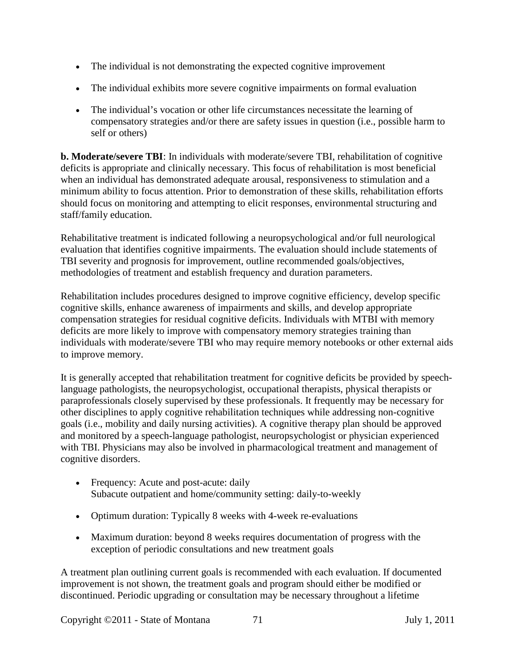- The individual is not demonstrating the expected cognitive improvement
- The individual exhibits more severe cognitive impairments on formal evaluation
- The individual's vocation or other life circumstances necessitate the learning of compensatory strategies and/or there are safety issues in question (i.e., possible harm to self or others)

**b. Moderate/severe TBI**: In individuals with moderate/severe TBI, rehabilitation of cognitive deficits is appropriate and clinically necessary. This focus of rehabilitation is most beneficial when an individual has demonstrated adequate arousal, responsiveness to stimulation and a minimum ability to focus attention. Prior to demonstration of these skills, rehabilitation efforts should focus on monitoring and attempting to elicit responses, environmental structuring and staff/family education.

Rehabilitative treatment is indicated following a neuropsychological and/or full neurological evaluation that identifies cognitive impairments. The evaluation should include statements of TBI severity and prognosis for improvement, outline recommended goals/objectives, methodologies of treatment and establish frequency and duration parameters.

Rehabilitation includes procedures designed to improve cognitive efficiency, develop specific cognitive skills, enhance awareness of impairments and skills, and develop appropriate compensation strategies for residual cognitive deficits. Individuals with MTBI with memory deficits are more likely to improve with compensatory memory strategies training than individuals with moderate/severe TBI who may require memory notebooks or other external aids to improve memory.

It is generally accepted that rehabilitation treatment for cognitive deficits be provided by speechlanguage pathologists, the neuropsychologist, occupational therapists, physical therapists or paraprofessionals closely supervised by these professionals. It frequently may be necessary for other disciplines to apply cognitive rehabilitation techniques while addressing non-cognitive goals (i.e., mobility and daily nursing activities). A cognitive therapy plan should be approved and monitored by a speech-language pathologist, neuropsychologist or physician experienced with TBI. Physicians may also be involved in pharmacological treatment and management of cognitive disorders.

- Frequency: Acute and post-acute: daily Subacute outpatient and home/community setting: daily-to-weekly
- Optimum duration: Typically 8 weeks with 4-week re-evaluations
- Maximum duration: beyond 8 weeks requires documentation of progress with the exception of periodic consultations and new treatment goals

A treatment plan outlining current goals is recommended with each evaluation. If documented improvement is not shown, the treatment goals and program should either be modified or discontinued. Periodic upgrading or consultation may be necessary throughout a lifetime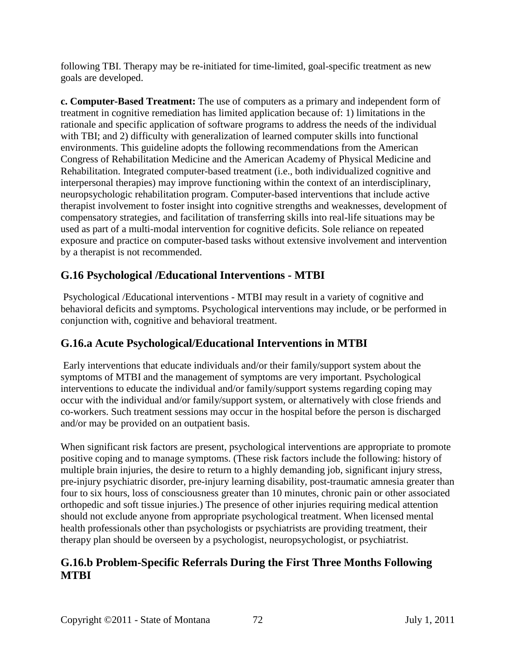following TBI. Therapy may be re-initiated for time-limited, goal-specific treatment as new goals are developed.

**c. Computer-Based Treatment:** The use of computers as a primary and independent form of treatment in cognitive remediation has limited application because of: 1) limitations in the rationale and specific application of software programs to address the needs of the individual with TBI; and 2) difficulty with generalization of learned computer skills into functional environments. This guideline adopts the following recommendations from the American Congress of Rehabilitation Medicine and the American Academy of Physical Medicine and Rehabilitation. Integrated computer-based treatment (i.e., both individualized cognitive and interpersonal therapies) may improve functioning within the context of an interdisciplinary, neuropsychologic rehabilitation program. Computer-based interventions that include active therapist involvement to foster insight into cognitive strengths and weaknesses, development of compensatory strategies, and facilitation of transferring skills into real-life situations may be used as part of a multi-modal intervention for cognitive deficits. Sole reliance on repeated exposure and practice on computer-based tasks without extensive involvement and intervention by a therapist is not recommended.

#### **G.16 Psychological /Educational Interventions - MTBI**

Psychological /Educational interventions - MTBI may result in a variety of cognitive and behavioral deficits and symptoms. Psychological interventions may include, or be performed in conjunction with, cognitive and behavioral treatment.

#### **G.16.a Acute Psychological/Educational Interventions in MTBI**

Early interventions that educate individuals and/or their family/support system about the symptoms of MTBI and the management of symptoms are very important. Psychological interventions to educate the individual and/or family/support systems regarding coping may occur with the individual and/or family/support system, or alternatively with close friends and co-workers. Such treatment sessions may occur in the hospital before the person is discharged and/or may be provided on an outpatient basis.

When significant risk factors are present, psychological interventions are appropriate to promote positive coping and to manage symptoms. (These risk factors include the following: history of multiple brain injuries, the desire to return to a highly demanding job, significant injury stress, pre-injury psychiatric disorder, pre-injury learning disability, post-traumatic amnesia greater than four to six hours, loss of consciousness greater than 10 minutes, chronic pain or other associated orthopedic and soft tissue injuries.) The presence of other injuries requiring medical attention should not exclude anyone from appropriate psychological treatment. When licensed mental health professionals other than psychologists or psychiatrists are providing treatment, their therapy plan should be overseen by a psychologist, neuropsychologist, or psychiatrist.

#### **G.16.b Problem-Specific Referrals During the First Three Months Following MTBI**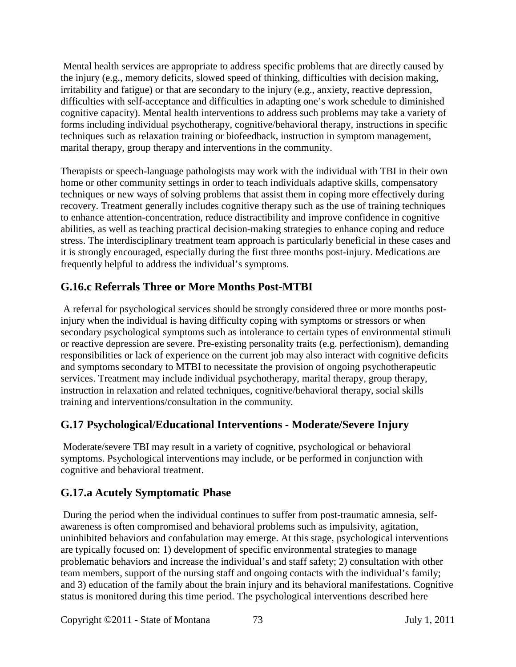Mental health services are appropriate to address specific problems that are directly caused by the injury (e.g., memory deficits, slowed speed of thinking, difficulties with decision making, irritability and fatigue) or that are secondary to the injury (e.g., anxiety, reactive depression, difficulties with self-acceptance and difficulties in adapting one's work schedule to diminished cognitive capacity). Mental health interventions to address such problems may take a variety of forms including individual psychotherapy, cognitive/behavioral therapy, instructions in specific techniques such as relaxation training or biofeedback, instruction in symptom management, marital therapy, group therapy and interventions in the community.

Therapists or speech-language pathologists may work with the individual with TBI in their own home or other community settings in order to teach individuals adaptive skills, compensatory techniques or new ways of solving problems that assist them in coping more effectively during recovery. Treatment generally includes cognitive therapy such as the use of training techniques to enhance attention-concentration, reduce distractibility and improve confidence in cognitive abilities, as well as teaching practical decision-making strategies to enhance coping and reduce stress. The interdisciplinary treatment team approach is particularly beneficial in these cases and it is strongly encouraged, especially during the first three months post-injury. Medications are frequently helpful to address the individual's symptoms.

# **G.16.c Referrals Three or More Months Post-MTBI**

A referral for psychological services should be strongly considered three or more months postinjury when the individual is having difficulty coping with symptoms or stressors or when secondary psychological symptoms such as intolerance to certain types of environmental stimuli or reactive depression are severe. Pre-existing personality traits (e.g. perfectionism), demanding responsibilities or lack of experience on the current job may also interact with cognitive deficits and symptoms secondary to MTBI to necessitate the provision of ongoing psychotherapeutic services. Treatment may include individual psychotherapy, marital therapy, group therapy, instruction in relaxation and related techniques, cognitive/behavioral therapy, social skills training and interventions/consultation in the community.

# **G.17 Psychological/Educational Interventions - Moderate/Severe Injury**

Moderate/severe TBI may result in a variety of cognitive, psychological or behavioral symptoms. Psychological interventions may include, or be performed in conjunction with cognitive and behavioral treatment.

# **G.17.a Acutely Symptomatic Phase**

During the period when the individual continues to suffer from post-traumatic amnesia, selfawareness is often compromised and behavioral problems such as impulsivity, agitation, uninhibited behaviors and confabulation may emerge. At this stage, psychological interventions are typically focused on: 1) development of specific environmental strategies to manage problematic behaviors and increase the individual's and staff safety; 2) consultation with other team members, support of the nursing staff and ongoing contacts with the individual's family; and 3) education of the family about the brain injury and its behavioral manifestations. Cognitive status is monitored during this time period. The psychological interventions described here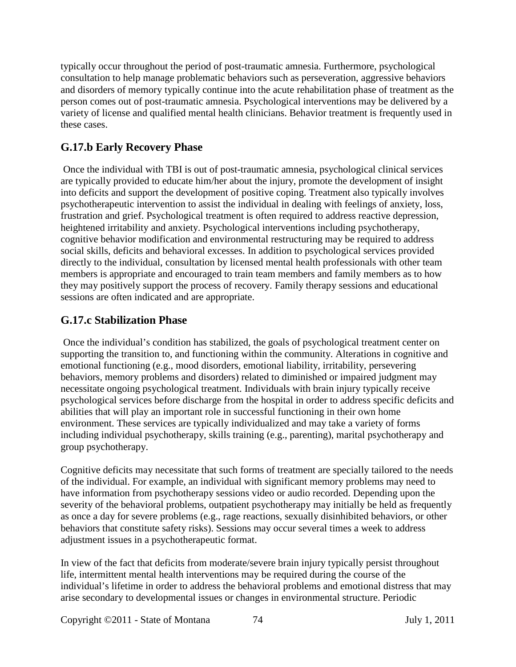typically occur throughout the period of post-traumatic amnesia. Furthermore, psychological consultation to help manage problematic behaviors such as perseveration, aggressive behaviors and disorders of memory typically continue into the acute rehabilitation phase of treatment as the person comes out of post-traumatic amnesia. Psychological interventions may be delivered by a variety of license and qualified mental health clinicians. Behavior treatment is frequently used in these cases.

# **G.17.b Early Recovery Phase**

Once the individual with TBI is out of post-traumatic amnesia, psychological clinical services are typically provided to educate him/her about the injury, promote the development of insight into deficits and support the development of positive coping. Treatment also typically involves psychotherapeutic intervention to assist the individual in dealing with feelings of anxiety, loss, frustration and grief. Psychological treatment is often required to address reactive depression, heightened irritability and anxiety. Psychological interventions including psychotherapy, cognitive behavior modification and environmental restructuring may be required to address social skills, deficits and behavioral excesses. In addition to psychological services provided directly to the individual, consultation by licensed mental health professionals with other team members is appropriate and encouraged to train team members and family members as to how they may positively support the process of recovery. Family therapy sessions and educational sessions are often indicated and are appropriate.

### **G.17.c Stabilization Phase**

Once the individual's condition has stabilized, the goals of psychological treatment center on supporting the transition to, and functioning within the community. Alterations in cognitive and emotional functioning (e.g., mood disorders, emotional liability, irritability, persevering behaviors, memory problems and disorders) related to diminished or impaired judgment may necessitate ongoing psychological treatment. Individuals with brain injury typically receive psychological services before discharge from the hospital in order to address specific deficits and abilities that will play an important role in successful functioning in their own home environment. These services are typically individualized and may take a variety of forms including individual psychotherapy, skills training (e.g., parenting), marital psychotherapy and group psychotherapy.

Cognitive deficits may necessitate that such forms of treatment are specially tailored to the needs of the individual. For example, an individual with significant memory problems may need to have information from psychotherapy sessions video or audio recorded. Depending upon the severity of the behavioral problems, outpatient psychotherapy may initially be held as frequently as once a day for severe problems (e.g., rage reactions, sexually disinhibited behaviors, or other behaviors that constitute safety risks). Sessions may occur several times a week to address adjustment issues in a psychotherapeutic format.

In view of the fact that deficits from moderate/severe brain injury typically persist throughout life, intermittent mental health interventions may be required during the course of the individual's lifetime in order to address the behavioral problems and emotional distress that may arise secondary to developmental issues or changes in environmental structure. Periodic

Copyright ©2011 - State of Montana 74 July 1, 2011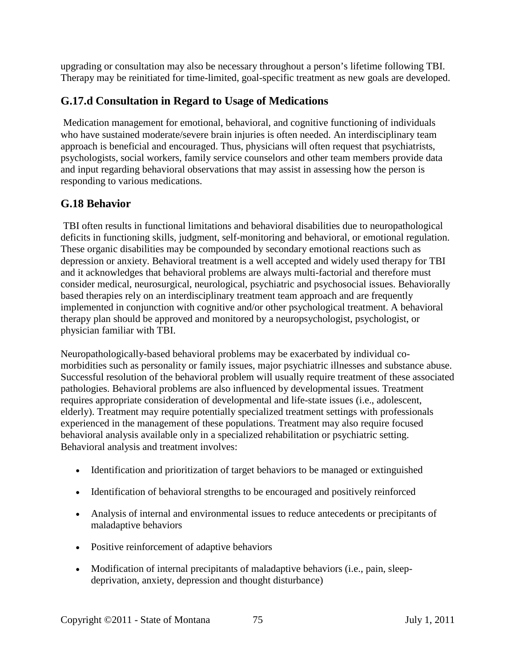upgrading or consultation may also be necessary throughout a person's lifetime following TBI. Therapy may be reinitiated for time-limited, goal-specific treatment as new goals are developed.

# **G.17.d Consultation in Regard to Usage of Medications**

Medication management for emotional, behavioral, and cognitive functioning of individuals who have sustained moderate/severe brain injuries is often needed. An interdisciplinary team approach is beneficial and encouraged. Thus, physicians will often request that psychiatrists, psychologists, social workers, family service counselors and other team members provide data and input regarding behavioral observations that may assist in assessing how the person is responding to various medications.

### **G.18 Behavior**

TBI often results in functional limitations and behavioral disabilities due to neuropathological deficits in functioning skills, judgment, self-monitoring and behavioral, or emotional regulation. These organic disabilities may be compounded by secondary emotional reactions such as depression or anxiety. Behavioral treatment is a well accepted and widely used therapy for TBI and it acknowledges that behavioral problems are always multi-factorial and therefore must consider medical, neurosurgical, neurological, psychiatric and psychosocial issues. Behaviorally based therapies rely on an interdisciplinary treatment team approach and are frequently implemented in conjunction with cognitive and/or other psychological treatment. A behavioral therapy plan should be approved and monitored by a neuropsychologist, psychologist, or physician familiar with TBI.

Neuropathologically-based behavioral problems may be exacerbated by individual comorbidities such as personality or family issues, major psychiatric illnesses and substance abuse. Successful resolution of the behavioral problem will usually require treatment of these associated pathologies. Behavioral problems are also influenced by developmental issues. Treatment requires appropriate consideration of developmental and life-state issues (i.e., adolescent, elderly). Treatment may require potentially specialized treatment settings with professionals experienced in the management of these populations. Treatment may also require focused behavioral analysis available only in a specialized rehabilitation or psychiatric setting. Behavioral analysis and treatment involves:

- Identification and prioritization of target behaviors to be managed or extinguished
- Identification of behavioral strengths to be encouraged and positively reinforced
- Analysis of internal and environmental issues to reduce antecedents or precipitants of maladaptive behaviors
- Positive reinforcement of adaptive behaviors
- Modification of internal precipitants of maladaptive behaviors (i.e., pain, sleepdeprivation, anxiety, depression and thought disturbance)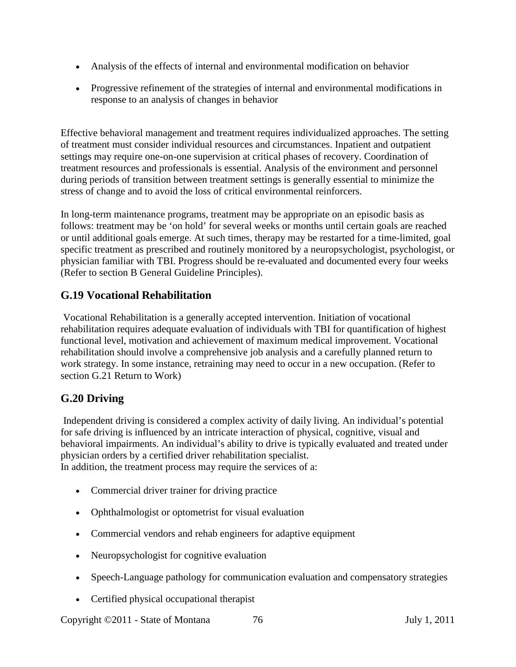- Analysis of the effects of internal and environmental modification on behavior
- Progressive refinement of the strategies of internal and environmental modifications in response to an analysis of changes in behavior

Effective behavioral management and treatment requires individualized approaches. The setting of treatment must consider individual resources and circumstances. Inpatient and outpatient settings may require one-on-one supervision at critical phases of recovery. Coordination of treatment resources and professionals is essential. Analysis of the environment and personnel during periods of transition between treatment settings is generally essential to minimize the stress of change and to avoid the loss of critical environmental reinforcers.

In long-term maintenance programs, treatment may be appropriate on an episodic basis as follows: treatment may be 'on hold' for several weeks or months until certain goals are reached or until additional goals emerge. At such times, therapy may be restarted for a time-limited, goal specific treatment as prescribed and routinely monitored by a neuropsychologist, psychologist, or physician familiar with TBI. Progress should be re-evaluated and documented every four weeks (Refer to section B General Guideline Principles).

# **G.19 Vocational Rehabilitation**

Vocational Rehabilitation is a generally accepted intervention. Initiation of vocational rehabilitation requires adequate evaluation of individuals with TBI for quantification of highest functional level, motivation and achievement of maximum medical improvement. Vocational rehabilitation should involve a comprehensive job analysis and a carefully planned return to work strategy. In some instance, retraining may need to occur in a new occupation. (Refer to section G.21 Return to Work)

### **G.20 Driving**

Independent driving is considered a complex activity of daily living. An individual's potential for safe driving is influenced by an intricate interaction of physical, cognitive, visual and behavioral impairments. An individual's ability to drive is typically evaluated and treated under physician orders by a certified driver rehabilitation specialist. In addition, the treatment process may require the services of a:

- Commercial driver trainer for driving practice
- Ophthalmologist or optometrist for visual evaluation
- Commercial vendors and rehab engineers for adaptive equipment
- Neuropsychologist for cognitive evaluation
- Speech-Language pathology for communication evaluation and compensatory strategies
- Certified physical occupational therapist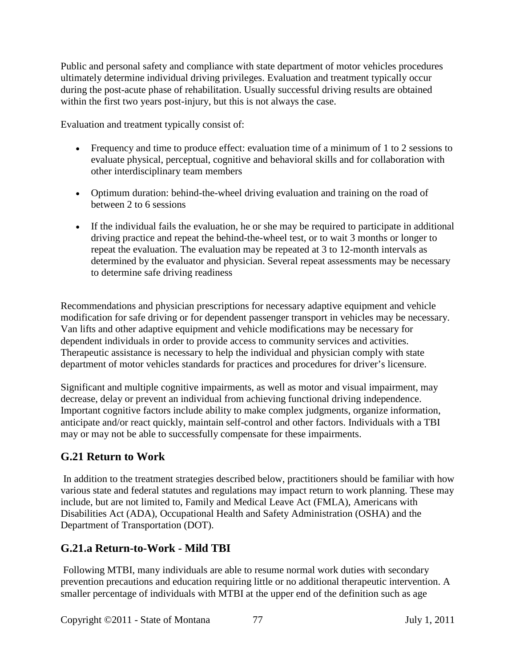Public and personal safety and compliance with state department of motor vehicles procedures ultimately determine individual driving privileges. Evaluation and treatment typically occur during the post-acute phase of rehabilitation. Usually successful driving results are obtained within the first two years post-injury, but this is not always the case.

Evaluation and treatment typically consist of:

- Frequency and time to produce effect: evaluation time of a minimum of 1 to 2 sessions to evaluate physical, perceptual, cognitive and behavioral skills and for collaboration with other interdisciplinary team members
- Optimum duration: behind-the-wheel driving evaluation and training on the road of between 2 to 6 sessions
- If the individual fails the evaluation, he or she may be required to participate in additional driving practice and repeat the behind-the-wheel test, or to wait 3 months or longer to repeat the evaluation. The evaluation may be repeated at 3 to 12-month intervals as determined by the evaluator and physician. Several repeat assessments may be necessary to determine safe driving readiness

Recommendations and physician prescriptions for necessary adaptive equipment and vehicle modification for safe driving or for dependent passenger transport in vehicles may be necessary. Van lifts and other adaptive equipment and vehicle modifications may be necessary for dependent individuals in order to provide access to community services and activities. Therapeutic assistance is necessary to help the individual and physician comply with state department of motor vehicles standards for practices and procedures for driver's licensure.

Significant and multiple cognitive impairments, as well as motor and visual impairment, may decrease, delay or prevent an individual from achieving functional driving independence. Important cognitive factors include ability to make complex judgments, organize information, anticipate and/or react quickly, maintain self-control and other factors. Individuals with a TBI may or may not be able to successfully compensate for these impairments.

### **G.21 Return to Work**

In addition to the treatment strategies described below, practitioners should be familiar with how various state and federal statutes and regulations may impact return to work planning. These may include, but are not limited to, Family and Medical Leave Act (FMLA), Americans with Disabilities Act (ADA), Occupational Health and Safety Administration (OSHA) and the Department of Transportation (DOT).

# **G.21.a Return-to-Work - Mild TBI**

Following MTBI, many individuals are able to resume normal work duties with secondary prevention precautions and education requiring little or no additional therapeutic intervention. A smaller percentage of individuals with MTBI at the upper end of the definition such as age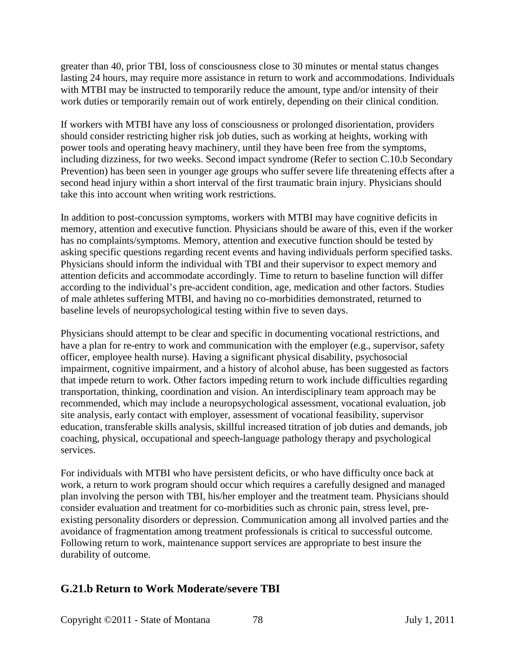greater than 40, prior TBI, loss of consciousness close to 30 minutes or mental status changes lasting 24 hours, may require more assistance in return to work and accommodations. Individuals with MTBI may be instructed to temporarily reduce the amount, type and/or intensity of their work duties or temporarily remain out of work entirely, depending on their clinical condition.

If workers with MTBI have any loss of consciousness or prolonged disorientation, providers should consider restricting higher risk job duties, such as working at heights, working with power tools and operating heavy machinery, until they have been free from the symptoms, including dizziness, for two weeks. Second impact syndrome (Refer to section C.10.b Secondary Prevention) has been seen in younger age groups who suffer severe life threatening effects after a second head injury within a short interval of the first traumatic brain injury. Physicians should take this into account when writing work restrictions.

In addition to post-concussion symptoms, workers with MTBI may have cognitive deficits in memory, attention and executive function. Physicians should be aware of this, even if the worker has no complaints/symptoms. Memory, attention and executive function should be tested by asking specific questions regarding recent events and having individuals perform specified tasks. Physicians should inform the individual with TBI and their supervisor to expect memory and attention deficits and accommodate accordingly. Time to return to baseline function will differ according to the individual's pre-accident condition, age, medication and other factors. Studies of male athletes suffering MTBI, and having no co-morbidities demonstrated, returned to baseline levels of neuropsychological testing within five to seven days.

Physicians should attempt to be clear and specific in documenting vocational restrictions, and have a plan for re-entry to work and communication with the employer (e.g., supervisor, safety officer, employee health nurse). Having a significant physical disability, psychosocial impairment, cognitive impairment, and a history of alcohol abuse, has been suggested as factors that impede return to work. Other factors impeding return to work include difficulties regarding transportation, thinking, coordination and vision. An interdisciplinary team approach may be recommended, which may include a neuropsychological assessment, vocational evaluation, job site analysis, early contact with employer, assessment of vocational feasibility, supervisor education, transferable skills analysis, skillful increased titration of job duties and demands, job coaching, physical, occupational and speech-language pathology therapy and psychological services.

For individuals with MTBI who have persistent deficits, or who have difficulty once back at work, a return to work program should occur which requires a carefully designed and managed plan involving the person with TBI, his/her employer and the treatment team. Physicians should consider evaluation and treatment for co-morbidities such as chronic pain, stress level, preexisting personality disorders or depression. Communication among all involved parties and the avoidance of fragmentation among treatment professionals is critical to successful outcome. Following return to work, maintenance support services are appropriate to best insure the durability of outcome.

### **G.21.b Return to Work Moderate/severe TBI**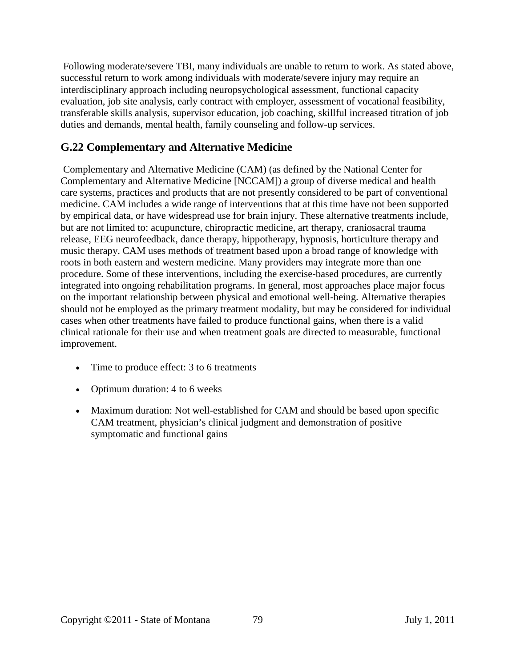Following moderate/severe TBI, many individuals are unable to return to work. As stated above, successful return to work among individuals with moderate/severe injury may require an interdisciplinary approach including neuropsychological assessment, functional capacity evaluation, job site analysis, early contract with employer, assessment of vocational feasibility, transferable skills analysis, supervisor education, job coaching, skillful increased titration of job duties and demands, mental health, family counseling and follow-up services.

### **G.22 Complementary and Alternative Medicine**

Complementary and Alternative Medicine (CAM) (as defined by the National Center for Complementary and Alternative Medicine [NCCAM]) a group of diverse medical and health care systems, practices and products that are not presently considered to be part of conventional medicine. CAM includes a wide range of interventions that at this time have not been supported by empirical data, or have widespread use for brain injury. These alternative treatments include, but are not limited to: acupuncture, chiropractic medicine, art therapy, craniosacral trauma release, EEG neurofeedback, dance therapy, hippotherapy, hypnosis, horticulture therapy and music therapy. CAM uses methods of treatment based upon a broad range of knowledge with roots in both eastern and western medicine. Many providers may integrate more than one procedure. Some of these interventions, including the exercise-based procedures, are currently integrated into ongoing rehabilitation programs. In general, most approaches place major focus on the important relationship between physical and emotional well-being. Alternative therapies should not be employed as the primary treatment modality, but may be considered for individual cases when other treatments have failed to produce functional gains, when there is a valid clinical rationale for their use and when treatment goals are directed to measurable, functional improvement.

- Time to produce effect: 3 to 6 treatments
- Optimum duration: 4 to 6 weeks
- Maximum duration: Not well-established for CAM and should be based upon specific CAM treatment, physician's clinical judgment and demonstration of positive symptomatic and functional gains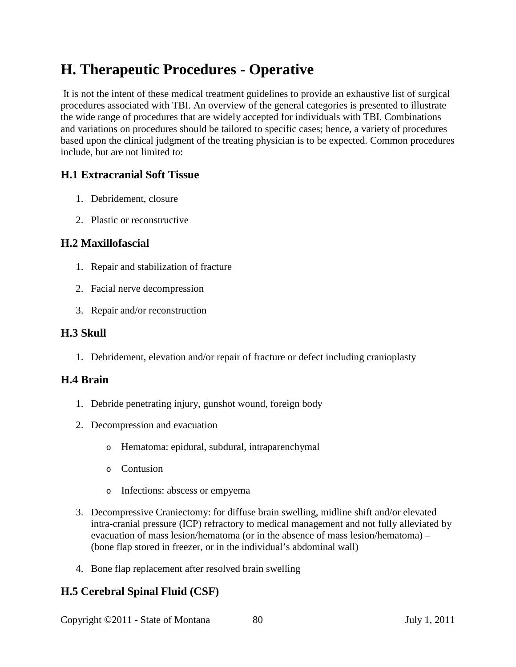# **H. Therapeutic Procedures - Operative**

It is not the intent of these medical treatment guidelines to provide an exhaustive list of surgical procedures associated with TBI. An overview of the general categories is presented to illustrate the wide range of procedures that are widely accepted for individuals with TBI. Combinations and variations on procedures should be tailored to specific cases; hence, a variety of procedures based upon the clinical judgment of the treating physician is to be expected. Common procedures include, but are not limited to:

### **H.1 Extracranial Soft Tissue**

- 1. Debridement, closure
- 2. Plastic or reconstructive

### **H.2 Maxillofascial**

- 1. Repair and stabilization of fracture
- 2. Facial nerve decompression
- 3. Repair and/or reconstruction

### **H.3 Skull**

1. Debridement, elevation and/or repair of fracture or defect including cranioplasty

### **H.4 Brain**

- 1. Debride penetrating injury, gunshot wound, foreign body
- 2. Decompression and evacuation
	- o Hematoma: epidural, subdural, intraparenchymal
	- o Contusion
	- o Infections: abscess or empyema
- 3. Decompressive Craniectomy: for diffuse brain swelling, midline shift and/or elevated intra-cranial pressure (ICP) refractory to medical management and not fully alleviated by evacuation of mass lesion/hematoma (or in the absence of mass lesion/hematoma) – (bone flap stored in freezer, or in the individual's abdominal wall)
- 4. Bone flap replacement after resolved brain swelling

### **H.5 Cerebral Spinal Fluid (CSF)**

Copyright ©2011 - State of Montana 80 July 1, 2011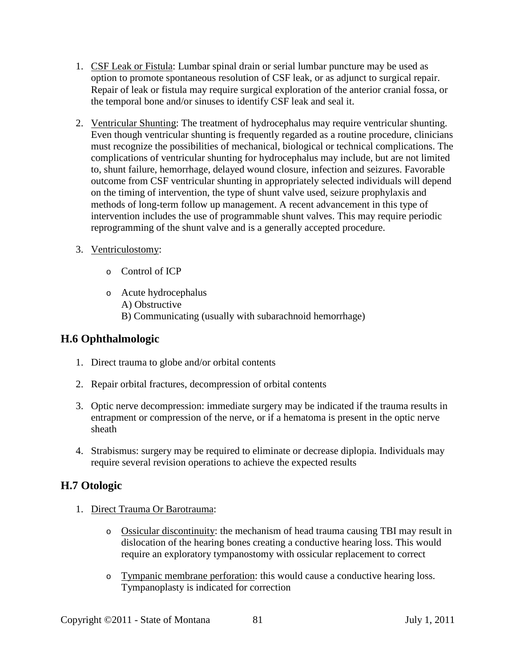- 1. CSF Leak or Fistula: Lumbar spinal drain or serial lumbar puncture may be used as option to promote spontaneous resolution of CSF leak, or as adjunct to surgical repair. Repair of leak or fistula may require surgical exploration of the anterior cranial fossa, or the temporal bone and/or sinuses to identify CSF leak and seal it.
- 2. Ventricular Shunting: The treatment of hydrocephalus may require ventricular shunting. Even though ventricular shunting is frequently regarded as a routine procedure, clinicians must recognize the possibilities of mechanical, biological or technical complications. The complications of ventricular shunting for hydrocephalus may include, but are not limited to, shunt failure, hemorrhage, delayed wound closure, infection and seizures. Favorable outcome from CSF ventricular shunting in appropriately selected individuals will depend on the timing of intervention, the type of shunt valve used, seizure prophylaxis and methods of long-term follow up management. A recent advancement in this type of intervention includes the use of programmable shunt valves. This may require periodic reprogramming of the shunt valve and is a generally accepted procedure.
- 3. Ventriculostomy:
	- o Control of ICP
	- o Acute hydrocephalus A) Obstructive B) Communicating (usually with subarachnoid hemorrhage)

### **H.6 Ophthalmologic**

- 1. Direct trauma to globe and/or orbital contents
- 2. Repair orbital fractures, decompression of orbital contents
- 3. Optic nerve decompression: immediate surgery may be indicated if the trauma results in entrapment or compression of the nerve, or if a hematoma is present in the optic nerve sheath
- 4. Strabismus: surgery may be required to eliminate or decrease diplopia. Individuals may require several revision operations to achieve the expected results

### **H.7 Otologic**

- 1. Direct Trauma Or Barotrauma:
	- o Ossicular discontinuity: the mechanism of head trauma causing TBI may result in dislocation of the hearing bones creating a conductive hearing loss. This would require an exploratory tympanostomy with ossicular replacement to correct
	- o Tympanic membrane perforation: this would cause a conductive hearing loss. Tympanoplasty is indicated for correction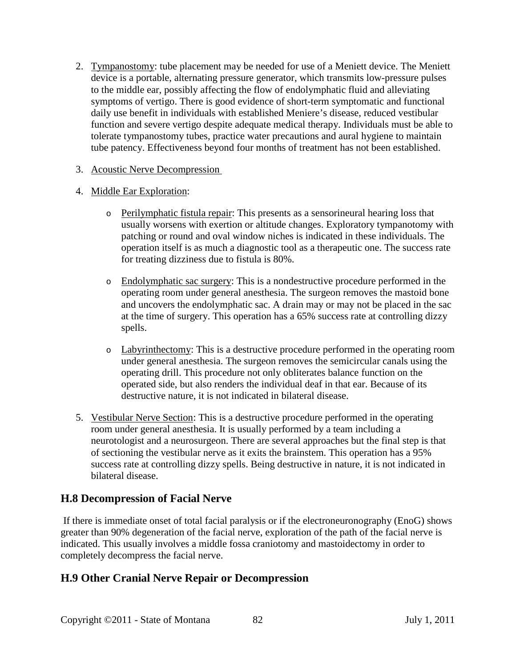2. Tympanostomy: tube placement may be needed for use of a Meniett device. The Meniett device is a portable, alternating pressure generator, which transmits low-pressure pulses to the middle ear, possibly affecting the flow of endolymphatic fluid and alleviating symptoms of vertigo. There is good evidence of short-term symptomatic and functional daily use benefit in individuals with established Meniere's disease, reduced vestibular function and severe vertigo despite adequate medical therapy. Individuals must be able to tolerate tympanostomy tubes, practice water precautions and aural hygiene to maintain tube patency. Effectiveness beyond four months of treatment has not been established.

#### 3. Acoustic Nerve Decompression

#### 4. Middle Ear Exploration:

- o Perilymphatic fistula repair: This presents as a sensorineural hearing loss that usually worsens with exertion or altitude changes. Exploratory tympanotomy with patching or round and oval window niches is indicated in these individuals. The operation itself is as much a diagnostic tool as a therapeutic one. The success rate for treating dizziness due to fistula is 80%.
- o Endolymphatic sac surgery: This is a nondestructive procedure performed in the operating room under general anesthesia. The surgeon removes the mastoid bone and uncovers the endolymphatic sac. A drain may or may not be placed in the sac at the time of surgery. This operation has a 65% success rate at controlling dizzy spells.
- o Labyrinthectomy: This is a destructive procedure performed in the operating room under general anesthesia. The surgeon removes the semicircular canals using the operating drill. This procedure not only obliterates balance function on the operated side, but also renders the individual deaf in that ear. Because of its destructive nature, it is not indicated in bilateral disease.
- 5. Vestibular Nerve Section: This is a destructive procedure performed in the operating room under general anesthesia. It is usually performed by a team including a neurotologist and a neurosurgeon. There are several approaches but the final step is that of sectioning the vestibular nerve as it exits the brainstem. This operation has a 95% success rate at controlling dizzy spells. Being destructive in nature, it is not indicated in bilateral disease.

### **H.8 Decompression of Facial Nerve**

If there is immediate onset of total facial paralysis or if the electroneuronography (EnoG) shows greater than 90% degeneration of the facial nerve, exploration of the path of the facial nerve is indicated. This usually involves a middle fossa craniotomy and mastoidectomy in order to completely decompress the facial nerve.

### **H.9 Other Cranial Nerve Repair or Decompression**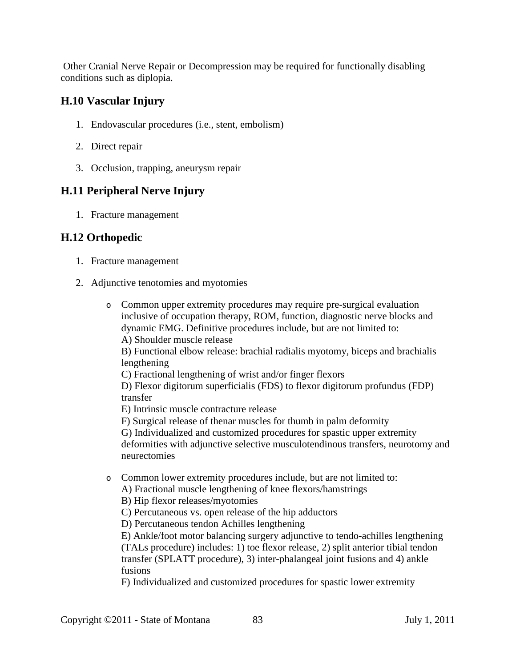Other Cranial Nerve Repair or Decompression may be required for functionally disabling conditions such as diplopia.

### **H.10 Vascular Injury**

- 1. Endovascular procedures (i.e., stent, embolism)
- 2. Direct repair
- 3. Occlusion, trapping, aneurysm repair

### **H.11 Peripheral Nerve Injury**

1. Fracture management

### **H.12 Orthopedic**

- 1. Fracture management
- 2. Adjunctive tenotomies and myotomies
	- o Common upper extremity procedures may require pre-surgical evaluation inclusive of occupation therapy, ROM, function, diagnostic nerve blocks and dynamic EMG. Definitive procedures include, but are not limited to:

A) Shoulder muscle release

B) Functional elbow release: brachial radialis myotomy, biceps and brachialis lengthening

C) Fractional lengthening of wrist and/or finger flexors

D) Flexor digitorum superficialis (FDS) to flexor digitorum profundus (FDP) transfer

E) Intrinsic muscle contracture release

F) Surgical release of thenar muscles for thumb in palm deformity

G) Individualized and customized procedures for spastic upper extremity deformities with adjunctive selective musculotendinous transfers, neurotomy and neurectomies

o Common lower extremity procedures include, but are not limited to:

A) Fractional muscle lengthening of knee flexors/hamstrings

B) Hip flexor releases/myotomies

C) Percutaneous vs. open release of the hip adductors

D) Percutaneous tendon Achilles lengthening

E) Ankle/foot motor balancing surgery adjunctive to tendo-achilles lengthening (TALs procedure) includes: 1) toe flexor release, 2) split anterior tibial tendon transfer (SPLATT procedure), 3) inter-phalangeal joint fusions and 4) ankle fusions

F) Individualized and customized procedures for spastic lower extremity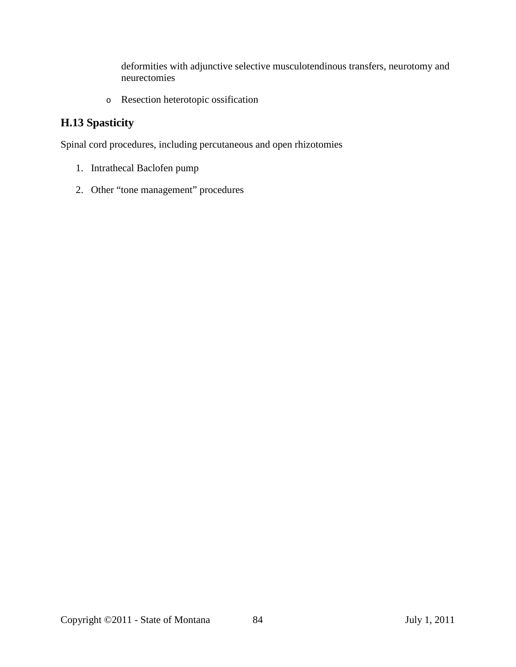deformities with adjunctive selective musculotendinous transfers, neurotomy and neurectomies

o Resection heterotopic ossification

# **H.13 Spasticity**

Spinal cord procedures, including percutaneous and open rhizotomies

- 1. Intrathecal Baclofen pump
- 2. Other "tone management" procedures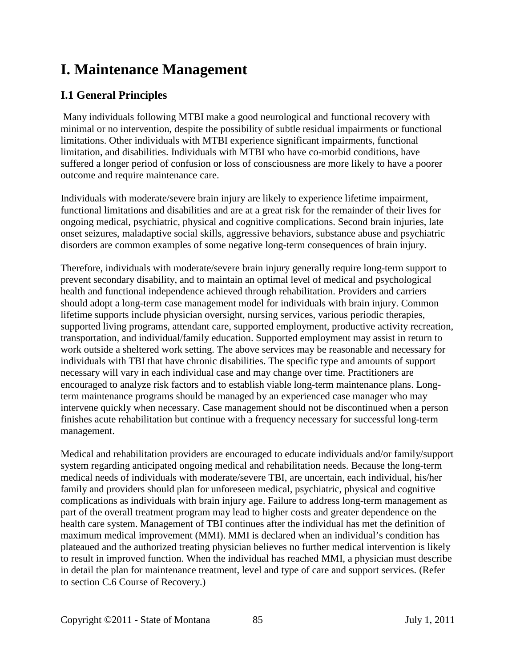# **I. Maintenance Management**

# **I.1 General Principles**

Many individuals following MTBI make a good neurological and functional recovery with minimal or no intervention, despite the possibility of subtle residual impairments or functional limitations. Other individuals with MTBI experience significant impairments, functional limitation, and disabilities. Individuals with MTBI who have co-morbid conditions, have suffered a longer period of confusion or loss of consciousness are more likely to have a poorer outcome and require maintenance care.

Individuals with moderate/severe brain injury are likely to experience lifetime impairment, functional limitations and disabilities and are at a great risk for the remainder of their lives for ongoing medical, psychiatric, physical and cognitive complications. Second brain injuries, late onset seizures, maladaptive social skills, aggressive behaviors, substance abuse and psychiatric disorders are common examples of some negative long-term consequences of brain injury.

Therefore, individuals with moderate/severe brain injury generally require long-term support to prevent secondary disability, and to maintain an optimal level of medical and psychological health and functional independence achieved through rehabilitation. Providers and carriers should adopt a long-term case management model for individuals with brain injury. Common lifetime supports include physician oversight, nursing services, various periodic therapies, supported living programs, attendant care, supported employment, productive activity recreation, transportation, and individual/family education. Supported employment may assist in return to work outside a sheltered work setting. The above services may be reasonable and necessary for individuals with TBI that have chronic disabilities. The specific type and amounts of support necessary will vary in each individual case and may change over time. Practitioners are encouraged to analyze risk factors and to establish viable long-term maintenance plans. Longterm maintenance programs should be managed by an experienced case manager who may intervene quickly when necessary. Case management should not be discontinued when a person finishes acute rehabilitation but continue with a frequency necessary for successful long-term management.

Medical and rehabilitation providers are encouraged to educate individuals and/or family/support system regarding anticipated ongoing medical and rehabilitation needs. Because the long-term medical needs of individuals with moderate/severe TBI, are uncertain, each individual, his/her family and providers should plan for unforeseen medical, psychiatric, physical and cognitive complications as individuals with brain injury age. Failure to address long-term management as part of the overall treatment program may lead to higher costs and greater dependence on the health care system. Management of TBI continues after the individual has met the definition of maximum medical improvement (MMI). MMI is declared when an individual's condition has plateaued and the authorized treating physician believes no further medical intervention is likely to result in improved function. When the individual has reached MMI, a physician must describe in detail the plan for maintenance treatment, level and type of care and support services. (Refer to section C.6 Course of Recovery.)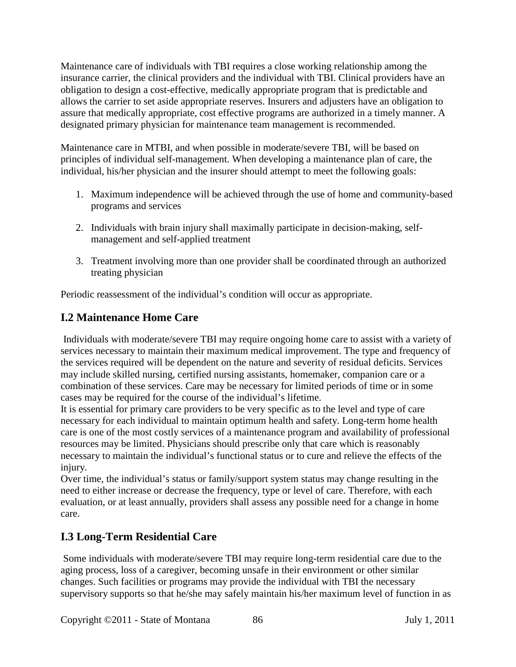Maintenance care of individuals with TBI requires a close working relationship among the insurance carrier, the clinical providers and the individual with TBI. Clinical providers have an obligation to design a cost-effective, medically appropriate program that is predictable and allows the carrier to set aside appropriate reserves. Insurers and adjusters have an obligation to assure that medically appropriate, cost effective programs are authorized in a timely manner. A designated primary physician for maintenance team management is recommended.

Maintenance care in MTBI, and when possible in moderate/severe TBI, will be based on principles of individual self-management. When developing a maintenance plan of care, the individual, his/her physician and the insurer should attempt to meet the following goals:

- 1. Maximum independence will be achieved through the use of home and community-based programs and services
- 2. Individuals with brain injury shall maximally participate in decision-making, selfmanagement and self-applied treatment
- 3. Treatment involving more than one provider shall be coordinated through an authorized treating physician

Periodic reassessment of the individual's condition will occur as appropriate.

# **I.2 Maintenance Home Care**

Individuals with moderate/severe TBI may require ongoing home care to assist with a variety of services necessary to maintain their maximum medical improvement. The type and frequency of the services required will be dependent on the nature and severity of residual deficits. Services may include skilled nursing, certified nursing assistants, homemaker, companion care or a combination of these services. Care may be necessary for limited periods of time or in some cases may be required for the course of the individual's lifetime.

It is essential for primary care providers to be very specific as to the level and type of care necessary for each individual to maintain optimum health and safety. Long-term home health care is one of the most costly services of a maintenance program and availability of professional resources may be limited. Physicians should prescribe only that care which is reasonably necessary to maintain the individual's functional status or to cure and relieve the effects of the injury.

Over time, the individual's status or family/support system status may change resulting in the need to either increase or decrease the frequency, type or level of care. Therefore, with each evaluation, or at least annually, providers shall assess any possible need for a change in home care.

# **I.3 Long-Term Residential Care**

Some individuals with moderate/severe TBI may require long-term residential care due to the aging process, loss of a caregiver, becoming unsafe in their environment or other similar changes. Such facilities or programs may provide the individual with TBI the necessary supervisory supports so that he/she may safely maintain his/her maximum level of function in as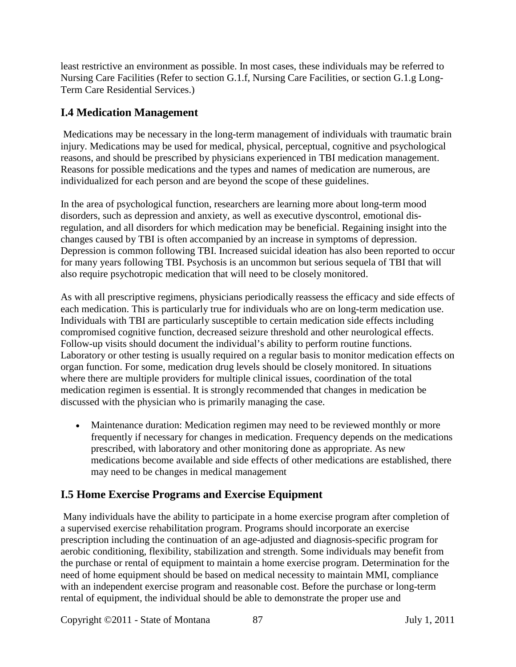least restrictive an environment as possible. In most cases, these individuals may be referred to Nursing Care Facilities (Refer to section G.1.f, Nursing Care Facilities, or section G.1.g Long-Term Care Residential Services.)

# **I.4 Medication Management**

Medications may be necessary in the long-term management of individuals with traumatic brain injury. Medications may be used for medical, physical, perceptual, cognitive and psychological reasons, and should be prescribed by physicians experienced in TBI medication management. Reasons for possible medications and the types and names of medication are numerous, are individualized for each person and are beyond the scope of these guidelines.

In the area of psychological function, researchers are learning more about long-term mood disorders, such as depression and anxiety, as well as executive dyscontrol, emotional disregulation, and all disorders for which medication may be beneficial. Regaining insight into the changes caused by TBI is often accompanied by an increase in symptoms of depression. Depression is common following TBI. Increased suicidal ideation has also been reported to occur for many years following TBI. Psychosis is an uncommon but serious sequela of TBI that will also require psychotropic medication that will need to be closely monitored.

As with all prescriptive regimens, physicians periodically reassess the efficacy and side effects of each medication. This is particularly true for individuals who are on long-term medication use. Individuals with TBI are particularly susceptible to certain medication side effects including compromised cognitive function, decreased seizure threshold and other neurological effects. Follow-up visits should document the individual's ability to perform routine functions. Laboratory or other testing is usually required on a regular basis to monitor medication effects on organ function. For some, medication drug levels should be closely monitored. In situations where there are multiple providers for multiple clinical issues, coordination of the total medication regimen is essential. It is strongly recommended that changes in medication be discussed with the physician who is primarily managing the case.

• Maintenance duration: Medication regimen may need to be reviewed monthly or more frequently if necessary for changes in medication. Frequency depends on the medications prescribed, with laboratory and other monitoring done as appropriate. As new medications become available and side effects of other medications are established, there may need to be changes in medical management

# **I.5 Home Exercise Programs and Exercise Equipment**

Many individuals have the ability to participate in a home exercise program after completion of a supervised exercise rehabilitation program. Programs should incorporate an exercise prescription including the continuation of an age-adjusted and diagnosis-specific program for aerobic conditioning, flexibility, stabilization and strength. Some individuals may benefit from the purchase or rental of equipment to maintain a home exercise program. Determination for the need of home equipment should be based on medical necessity to maintain MMI, compliance with an independent exercise program and reasonable cost. Before the purchase or long-term rental of equipment, the individual should be able to demonstrate the proper use and

Copyright ©2011 - State of Montana 87 July 1, 2011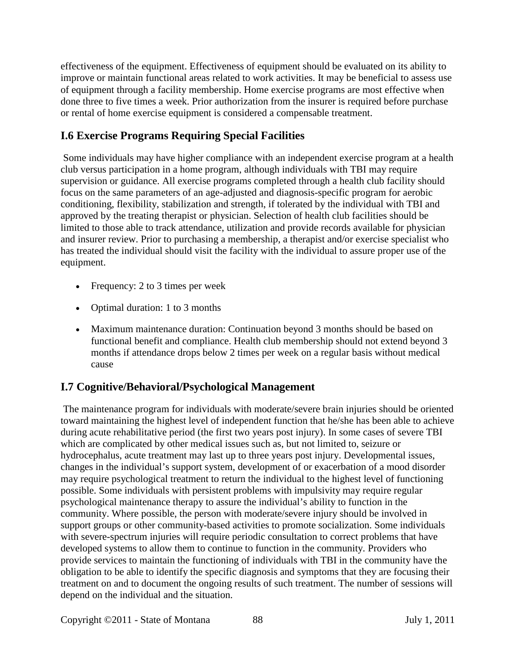effectiveness of the equipment. Effectiveness of equipment should be evaluated on its ability to improve or maintain functional areas related to work activities. It may be beneficial to assess use of equipment through a facility membership. Home exercise programs are most effective when done three to five times a week. Prior authorization from the insurer is required before purchase or rental of home exercise equipment is considered a compensable treatment.

# **I.6 Exercise Programs Requiring Special Facilities**

Some individuals may have higher compliance with an independent exercise program at a health club versus participation in a home program, although individuals with TBI may require supervision or guidance. All exercise programs completed through a health club facility should focus on the same parameters of an age-adjusted and diagnosis-specific program for aerobic conditioning, flexibility, stabilization and strength, if tolerated by the individual with TBI and approved by the treating therapist or physician. Selection of health club facilities should be limited to those able to track attendance, utilization and provide records available for physician and insurer review. Prior to purchasing a membership, a therapist and/or exercise specialist who has treated the individual should visit the facility with the individual to assure proper use of the equipment.

- Frequency: 2 to 3 times per week
- Optimal duration: 1 to 3 months
- Maximum maintenance duration: Continuation beyond 3 months should be based on functional benefit and compliance. Health club membership should not extend beyond 3 months if attendance drops below 2 times per week on a regular basis without medical cause

### **I.7 Cognitive/Behavioral/Psychological Management**

The maintenance program for individuals with moderate/severe brain injuries should be oriented toward maintaining the highest level of independent function that he/she has been able to achieve during acute rehabilitative period (the first two years post injury). In some cases of severe TBI which are complicated by other medical issues such as, but not limited to, seizure or hydrocephalus, acute treatment may last up to three years post injury. Developmental issues, changes in the individual's support system, development of or exacerbation of a mood disorder may require psychological treatment to return the individual to the highest level of functioning possible. Some individuals with persistent problems with impulsivity may require regular psychological maintenance therapy to assure the individual's ability to function in the community. Where possible, the person with moderate/severe injury should be involved in support groups or other community-based activities to promote socialization. Some individuals with severe-spectrum injuries will require periodic consultation to correct problems that have developed systems to allow them to continue to function in the community. Providers who provide services to maintain the functioning of individuals with TBI in the community have the obligation to be able to identify the specific diagnosis and symptoms that they are focusing their treatment on and to document the ongoing results of such treatment. The number of sessions will depend on the individual and the situation.

Copyright ©2011 - State of Montana 88 July 1, 2011